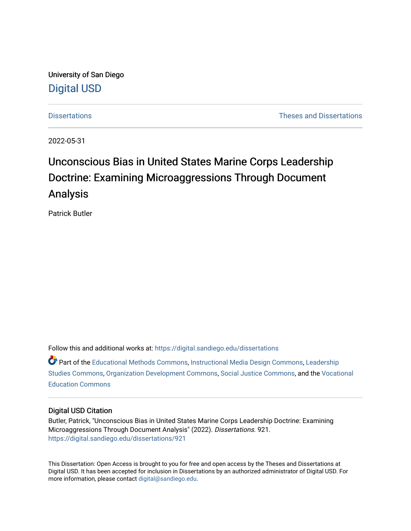University of San Diego [Digital USD](https://digital.sandiego.edu/)

[Dissertations](https://digital.sandiego.edu/dissertations) [Theses and Dissertations](https://digital.sandiego.edu/etd) 

2022-05-31

# Unconscious Bias in United States Marine Corps Leadership Doctrine: Examining Microaggressions Through Document Analysis

Patrick Butler

Follow this and additional works at: [https://digital.sandiego.edu/dissertations](https://digital.sandiego.edu/dissertations?utm_source=digital.sandiego.edu%2Fdissertations%2F921&utm_medium=PDF&utm_campaign=PDFCoverPages)

Part of the [Educational Methods Commons,](http://network.bepress.com/hgg/discipline/1227?utm_source=digital.sandiego.edu%2Fdissertations%2F921&utm_medium=PDF&utm_campaign=PDFCoverPages) [Instructional Media Design Commons](http://network.bepress.com/hgg/discipline/795?utm_source=digital.sandiego.edu%2Fdissertations%2F921&utm_medium=PDF&utm_campaign=PDFCoverPages), [Leadership](http://network.bepress.com/hgg/discipline/1250?utm_source=digital.sandiego.edu%2Fdissertations%2F921&utm_medium=PDF&utm_campaign=PDFCoverPages)  [Studies Commons,](http://network.bepress.com/hgg/discipline/1250?utm_source=digital.sandiego.edu%2Fdissertations%2F921&utm_medium=PDF&utm_campaign=PDFCoverPages) [Organization Development Commons](http://network.bepress.com/hgg/discipline/1242?utm_source=digital.sandiego.edu%2Fdissertations%2F921&utm_medium=PDF&utm_campaign=PDFCoverPages), [Social Justice Commons](http://network.bepress.com/hgg/discipline/1432?utm_source=digital.sandiego.edu%2Fdissertations%2F921&utm_medium=PDF&utm_campaign=PDFCoverPages), and the [Vocational](http://network.bepress.com/hgg/discipline/1369?utm_source=digital.sandiego.edu%2Fdissertations%2F921&utm_medium=PDF&utm_campaign=PDFCoverPages)  [Education Commons](http://network.bepress.com/hgg/discipline/1369?utm_source=digital.sandiego.edu%2Fdissertations%2F921&utm_medium=PDF&utm_campaign=PDFCoverPages) 

#### Digital USD Citation

Butler, Patrick, "Unconscious Bias in United States Marine Corps Leadership Doctrine: Examining Microaggressions Through Document Analysis" (2022). Dissertations. 921. [https://digital.sandiego.edu/dissertations/921](https://digital.sandiego.edu/dissertations/921?utm_source=digital.sandiego.edu%2Fdissertations%2F921&utm_medium=PDF&utm_campaign=PDFCoverPages)

This Dissertation: Open Access is brought to you for free and open access by the Theses and Dissertations at Digital USD. It has been accepted for inclusion in Dissertations by an authorized administrator of Digital USD. For more information, please contact [digital@sandiego.edu.](mailto:digital@sandiego.edu)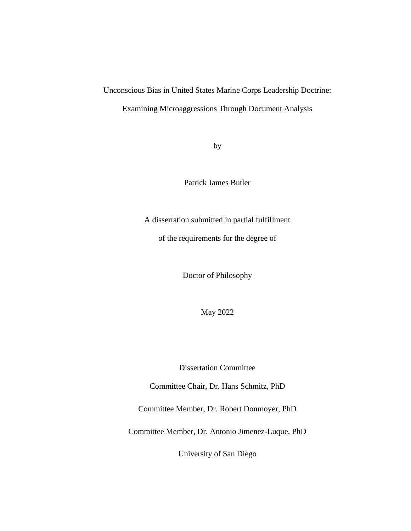# Unconscious Bias in United States Marine Corps Leadership Doctrine: Examining Microaggressions Through Document Analysis

by

Patrick James Butler

A dissertation submitted in partial fulfillment

of the requirements for the degree of

Doctor of Philosophy

May 2022

Dissertation Committee

Committee Chair, Dr. Hans Schmitz, PhD

Committee Member, Dr. Robert Donmoyer, PhD

Committee Member, Dr. Antonio Jimenez-Luque, PhD

University of San Diego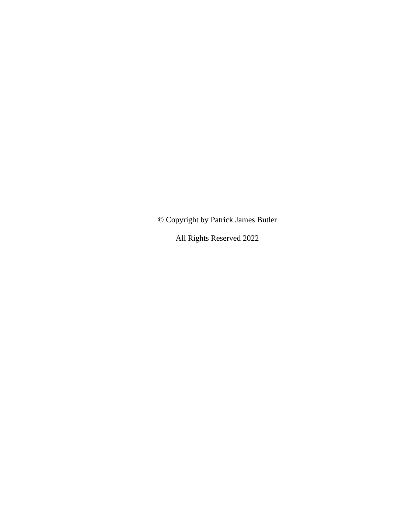© Copyright by Patrick James Butler

All Rights Reserved 2022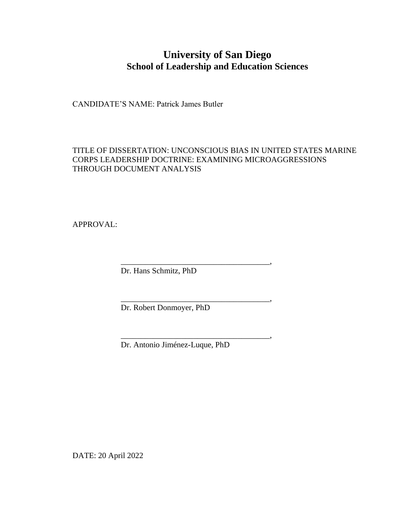## **University of San Diego School of Leadership and Education Sciences**

CANDIDATE'S NAME: Patrick James Butler

TITLE OF DISSERTATION: UNCONSCIOUS BIAS IN UNITED STATES MARINE CORPS LEADERSHIP DOCTRINE: EXAMINING MICROAGGRESSIONS THROUGH DOCUMENT ANALYSIS

APPROVAL:

Dr. Hans Schmitz, PhD

Dr. Robert Donmoyer, PhD

Dr. Antonio Jiménez-Luque, PhD

\_\_\_\_\_\_\_\_\_\_\_\_\_\_\_\_\_\_\_\_\_\_\_\_\_\_\_\_\_\_\_\_\_\_\_\_\_,

\_\_\_\_\_\_\_\_\_\_\_\_\_\_\_\_\_\_\_\_\_\_\_\_\_\_\_\_\_\_\_\_\_\_\_\_\_,

\_\_\_\_\_\_\_\_\_\_\_\_\_\_\_\_\_\_\_\_\_\_\_\_\_\_\_\_\_\_\_\_\_\_\_\_\_,

DATE: 20 April 2022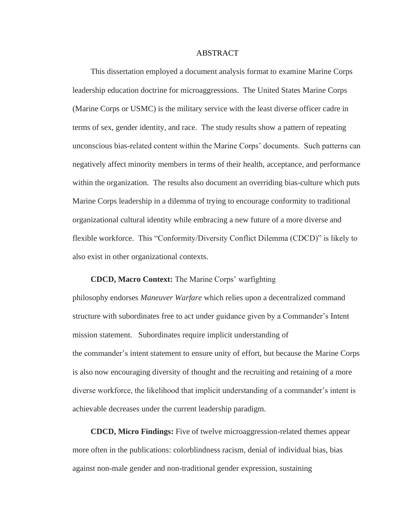#### ABSTRACT

This dissertation employed a document analysis format to examine Marine Corps leadership education doctrine for microaggressions. The United States Marine Corps (Marine Corps or USMC) is the military service with the least diverse officer cadre in terms of sex, gender identity, and race. The study results show a pattern of repeating unconscious bias-related content within the Marine Corps' documents. Such patterns can negatively affect minority members in terms of their health, acceptance, and performance within the organization. The results also document an overriding bias-culture which puts Marine Corps leadership in a dilemma of trying to encourage conformity to traditional organizational cultural identity while embracing a new future of a more diverse and flexible workforce. This "Conformity/Diversity Conflict Dilemma (CDCD)" is likely to also exist in other organizational contexts.

#### **CDCD, Macro Context:** The Marine Corps' warfighting

philosophy endorses *Maneuver Warfare* which relies upon a decentralized command structure with subordinates free to act under guidance given by a Commander's Intent mission statement. Subordinates require implicit understanding of the commander's intent statement to ensure unity of effort, but because the Marine Corps is also now encouraging diversity of thought and the recruiting and retaining of a more diverse workforce, the likelihood that implicit understanding of a commander's intent is achievable decreases under the current leadership paradigm.

**CDCD, Micro Findings:** Five of twelve microaggression-related themes appear more often in the publications: colorblindness racism, denial of individual bias, bias against non-male gender and non-traditional gender expression, sustaining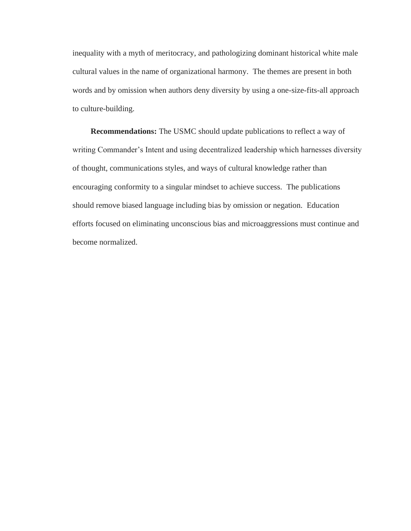inequality with a myth of meritocracy, and pathologizing dominant historical white male cultural values in the name of organizational harmony. The themes are present in both words and by omission when authors deny diversity by using a one-size-fits-all approach to culture-building.

**Recommendations:** The USMC should update publications to reflect a way of writing Commander's Intent and using decentralized leadership which harnesses diversity of thought, communications styles, and ways of cultural knowledge rather than encouraging conformity to a singular mindset to achieve success. The publications should remove biased language including bias by omission or negation. Education efforts focused on eliminating unconscious bias and microaggressions must continue and become normalized.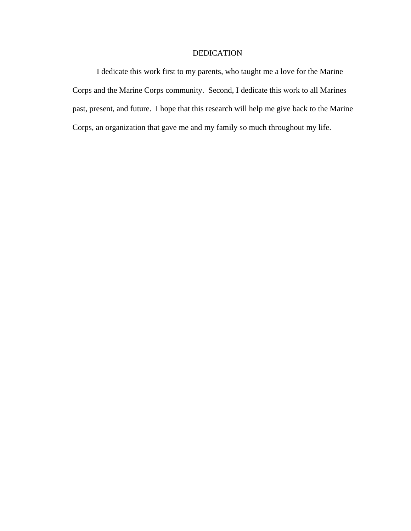### DEDICATION

I dedicate this work first to my parents, who taught me a love for the Marine Corps and the Marine Corps community. Second, I dedicate this work to all Marines past, present, and future. I hope that this research will help me give back to the Marine Corps, an organization that gave me and my family so much throughout my life.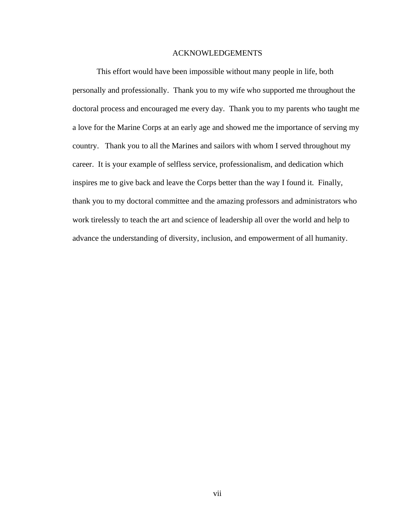#### ACKNOWLEDGEMENTS

<span id="page-7-0"></span>This effort would have been impossible without many people in life, both personally and professionally. Thank you to my wife who supported me throughout the doctoral process and encouraged me every day. Thank you to my parents who taught me a love for the Marine Corps at an early age and showed me the importance of serving my country. Thank you to all the Marines and sailors with whom I served throughout my career. It is your example of selfless service, professionalism, and dedication which inspires me to give back and leave the Corps better than the way I found it. Finally, thank you to my doctoral committee and the amazing professors and administrators who work tirelessly to teach the art and science of leadership all over the world and help to advance the understanding of diversity, inclusion, and empowerment of all humanity.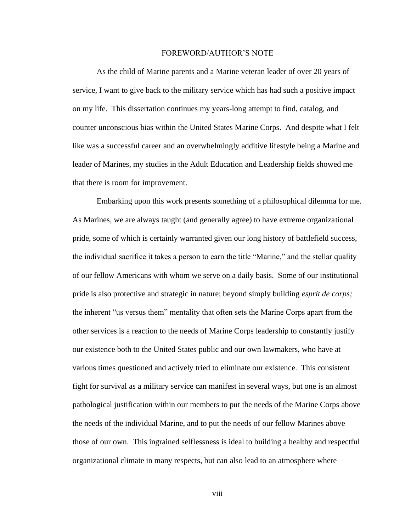#### FOREWORD/AUTHOR'S NOTE

<span id="page-8-0"></span>As the child of Marine parents and a Marine veteran leader of over 20 years of service, I want to give back to the military service which has had such a positive impact on my life. This dissertation continues my years-long attempt to find, catalog, and counter unconscious bias within the United States Marine Corps. And despite what I felt like was a successful career and an overwhelmingly additive lifestyle being a Marine and leader of Marines, my studies in the Adult Education and Leadership fields showed me that there is room for improvement.

Embarking upon this work presents something of a philosophical dilemma for me. As Marines, we are always taught (and generally agree) to have extreme organizational pride, some of which is certainly warranted given our long history of battlefield success, the individual sacrifice it takes a person to earn the title "Marine," and the stellar quality of our fellow Americans with whom we serve on a daily basis. Some of our institutional pride is also protective and strategic in nature; beyond simply building *esprit de corps;*  the inherent "us versus them" mentality that often sets the Marine Corps apart from the other services is a reaction to the needs of Marine Corps leadership to constantly justify our existence both to the United States public and our own lawmakers, who have at various times questioned and actively tried to eliminate our existence. This consistent fight for survival as a military service can manifest in several ways, but one is an almost pathological justification within our members to put the needs of the Marine Corps above the needs of the individual Marine, and to put the needs of our fellow Marines above those of our own. This ingrained selflessness is ideal to building a healthy and respectful organizational climate in many respects, but can also lead to an atmosphere where

viii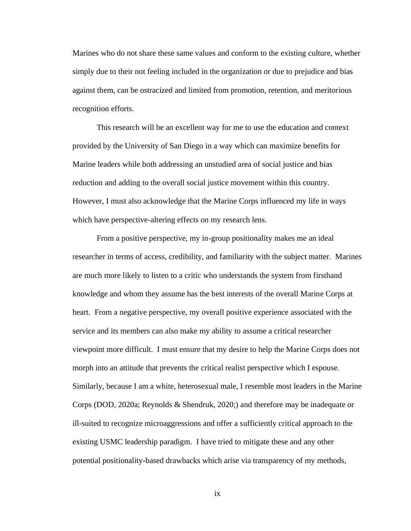Marines who do not share these same values and conform to the existing culture, whether simply due to their not feeling included in the organization or due to prejudice and bias against them, can be ostracized and limited from promotion, retention, and meritorious recognition efforts.

This research will be an excellent way for me to use the education and context provided by the University of San Diego in a way which can maximize benefits for Marine leaders while both addressing an unstudied area of social justice and bias reduction and adding to the overall social justice movement within this country. However, I must also acknowledge that the Marine Corps influenced my life in ways which have perspective-altering effects on my research lens.

From a positive perspective, my in-group positionality makes me an ideal researcher in terms of access, credibility, and familiarity with the subject matter. Marines are much more likely to listen to a critic who understands the system from firsthand knowledge and whom they assume has the best interests of the overall Marine Corps at heart. From a negative perspective, my overall positive experience associated with the service and its members can also make my ability to assume a critical researcher viewpoint more difficult. I must ensure that my desire to help the Marine Corps does not morph into an attitude that prevents the critical realist perspective which I espouse. Similarly, because I am a white, heterosexual male, I resemble most leaders in the Marine Corps (DOD, 2020a; Reynolds & Shendruk, 2020;) and therefore may be inadequate or ill-suited to recognize microaggressions and offer a sufficiently critical approach to the existing USMC leadership paradigm. I have tried to mitigate these and any other potential positionality-based drawbacks which arise via transparency of my methods,

ix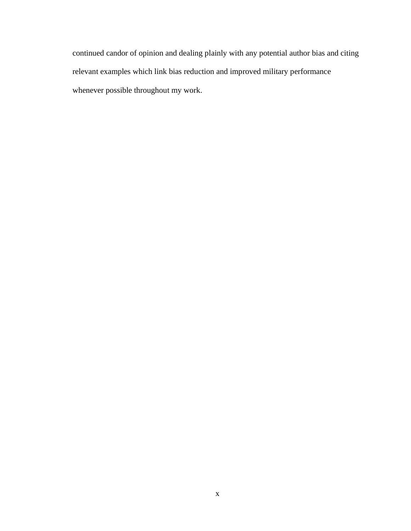continued candor of opinion and dealing plainly with any potential author bias and citing relevant examples which link bias reduction and improved military performance whenever possible throughout my work.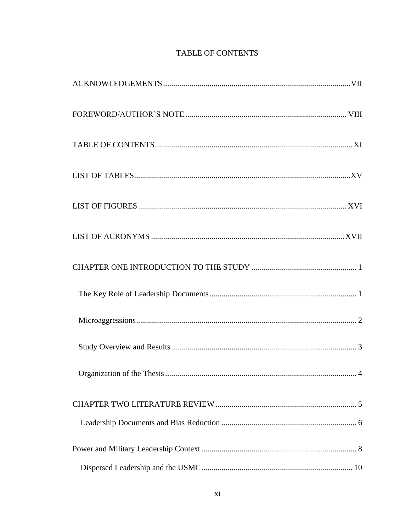## TABLE OF CONTENTS

<span id="page-11-0"></span>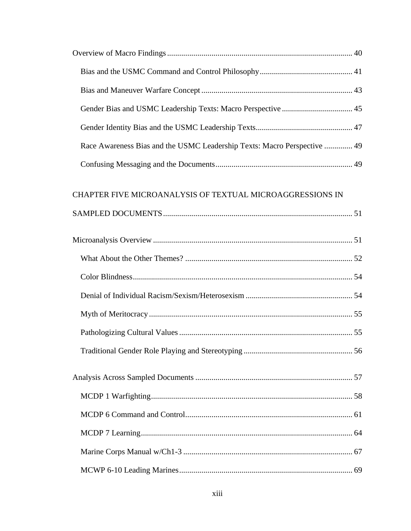| Race Awareness Bias and the USMC Leadership Texts: Macro Perspective  49 |  |
|--------------------------------------------------------------------------|--|
|                                                                          |  |

## CHAPTER FIVE [MICROANALYSIS OF TEXTUAL MICROAGGRESSIONS IN](#page-68-0)

|--|--|--|--|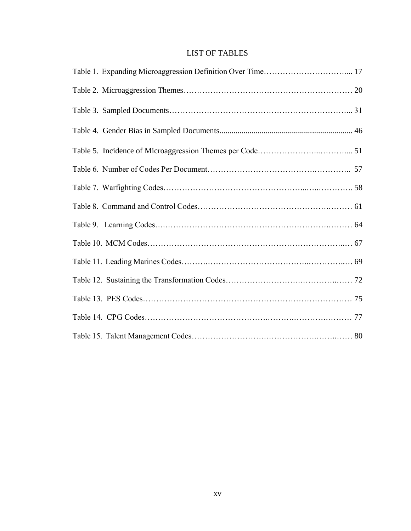### LIST OF TABLES

<span id="page-15-0"></span>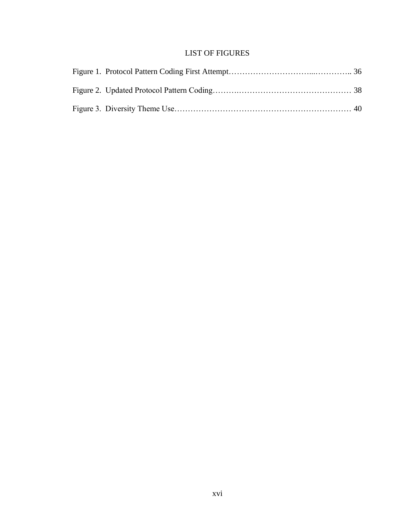### LIST OF FIGURES

<span id="page-16-0"></span>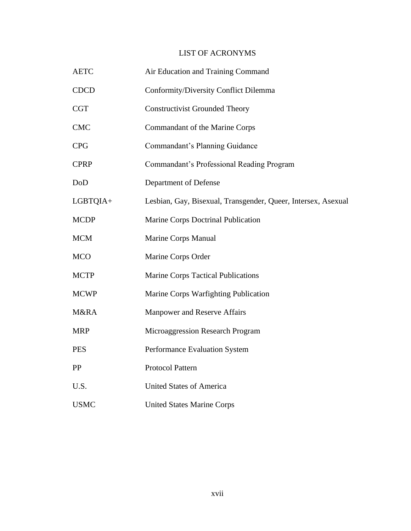## LIST OF ACRONYMS

<span id="page-17-0"></span>

| <b>AETC</b> | Air Education and Training Command                            |  |
|-------------|---------------------------------------------------------------|--|
| <b>CDCD</b> | Conformity/Diversity Conflict Dilemma                         |  |
| <b>CGT</b>  | <b>Constructivist Grounded Theory</b>                         |  |
| <b>CMC</b>  | Commandant of the Marine Corps                                |  |
| <b>CPG</b>  | Commandant's Planning Guidance                                |  |
| <b>CPRP</b> | Commandant's Professional Reading Program                     |  |
| DoD         | Department of Defense                                         |  |
| LGBTQIA+    | Lesbian, Gay, Bisexual, Transgender, Queer, Intersex, Asexual |  |
| <b>MCDP</b> | Marine Corps Doctrinal Publication                            |  |
| <b>MCM</b>  | Marine Corps Manual                                           |  |
| <b>MCO</b>  | Marine Corps Order                                            |  |
| <b>MCTP</b> | <b>Marine Corps Tactical Publications</b>                     |  |
| <b>MCWP</b> | Marine Corps Warfighting Publication                          |  |
| M&RA        | Manpower and Reserve Affairs                                  |  |
| <b>MRP</b>  | Microaggression Research Program                              |  |
| <b>PES</b>  | Performance Evaluation System                                 |  |
| PP          | <b>Protocol Pattern</b>                                       |  |
| U.S.        | <b>United States of America</b>                               |  |
| <b>USMC</b> | <b>United States Marine Corps</b>                             |  |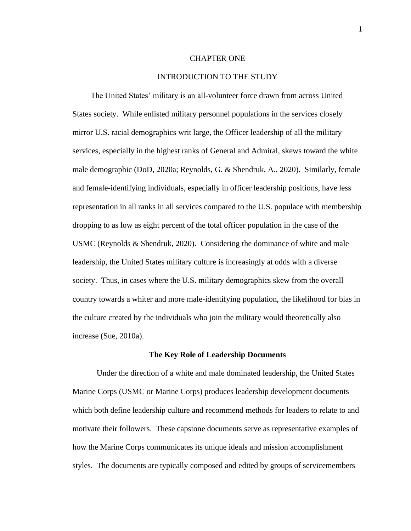#### CHAPTER ONE

#### INTRODUCTION TO THE STUDY

<span id="page-18-0"></span> The United States' military is an all-volunteer force drawn from across United States society. While enlisted military personnel populations in the services closely mirror U.S. racial demographics writ large, the Officer leadership of all the military services, especially in the highest ranks of General and Admiral, skews toward the white male demographic (DoD, 2020a; Reynolds, G. & Shendruk, A., 2020). Similarly, female and female-identifying individuals, especially in officer leadership positions, have less representation in all ranks in all services compared to the U.S. populace with membership dropping to as low as eight percent of the total officer population in the case of the USMC (Reynolds & Shendruk, 2020). Considering the dominance of white and male leadership, the United States military culture is increasingly at odds with a diverse society. Thus, in cases where the U.S. military demographics skew from the overall country towards a whiter and more male-identifying population, the likelihood for bias in the culture created by the individuals who join the military would theoretically also increase (Sue, 2010a).

#### **The Key Role of Leadership Documents**

<span id="page-18-1"></span>Under the direction of a white and male dominated leadership, the United States Marine Corps (USMC or Marine Corps) produces leadership development documents which both define leadership culture and recommend methods for leaders to relate to and motivate their followers. These capstone documents serve as representative examples of how the Marine Corps communicates its unique ideals and mission accomplishment styles. The documents are typically composed and edited by groups of servicemembers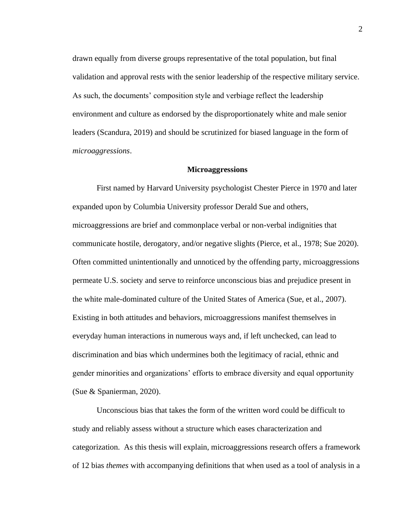drawn equally from diverse groups representative of the total population, but final validation and approval rests with the senior leadership of the respective military service. As such, the documents' composition style and verbiage reflect the leadership environment and culture as endorsed by the disproportionately white and male senior leaders (Scandura, 2019) and should be scrutinized for biased language in the form of *microaggressions*.

#### **Microaggressions**

<span id="page-19-0"></span>First named by Harvard University psychologist Chester Pierce in 1970 and later expanded upon by Columbia University professor Derald Sue and others, microaggressions are brief and commonplace verbal or non-verbal indignities that communicate hostile, derogatory, and/or negative slights (Pierce, et al., 1978; Sue 2020). Often committed unintentionally and unnoticed by the offending party, microaggressions permeate U.S. society and serve to reinforce unconscious bias and prejudice present in the white male-dominated culture of the United States of America (Sue, et al., 2007). Existing in both attitudes and behaviors, microaggressions manifest themselves in everyday human interactions in numerous ways and, if left unchecked, can lead to discrimination and bias which undermines both the legitimacy of racial, ethnic and gender minorities and organizations' efforts to embrace diversity and equal opportunity (Sue & Spanierman, 2020).

Unconscious bias that takes the form of the written word could be difficult to study and reliably assess without a structure which eases characterization and categorization. As this thesis will explain, microaggressions research offers a framework of 12 bias *themes* with accompanying definitions that when used as a tool of analysis in a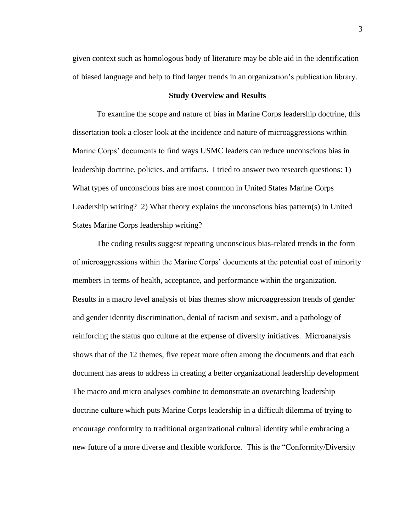given context such as homologous body of literature may be able aid in the identification of biased language and help to find larger trends in an organization's publication library.

#### **Study Overview and Results**

<span id="page-20-0"></span>To examine the scope and nature of bias in Marine Corps leadership doctrine, this dissertation took a closer look at the incidence and nature of microaggressions within Marine Corps' documents to find ways USMC leaders can reduce unconscious bias in leadership doctrine, policies, and artifacts. I tried to answer two research questions: 1) What types of unconscious bias are most common in United States Marine Corps Leadership writing? 2) What theory explains the unconscious bias pattern(s) in United States Marine Corps leadership writing?

The coding results suggest repeating unconscious bias-related trends in the form of microaggressions within the Marine Corps' documents at the potential cost of minority members in terms of health, acceptance, and performance within the organization. Results in a macro level analysis of bias themes show microaggression trends of gender and gender identity discrimination, denial of racism and sexism, and a pathology of reinforcing the status quo culture at the expense of diversity initiatives. Microanalysis shows that of the 12 themes, five repeat more often among the documents and that each document has areas to address in creating a better organizational leadership development The macro and micro analyses combine to demonstrate an overarching leadership doctrine culture which puts Marine Corps leadership in a difficult dilemma of trying to encourage conformity to traditional organizational cultural identity while embracing a new future of a more diverse and flexible workforce. This is the "Conformity/Diversity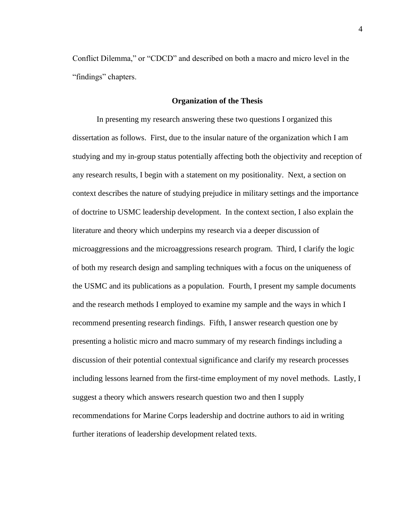Conflict Dilemma," or "CDCD" and described on both a macro and micro level in the "findings" chapters.

#### **Organization of the Thesis**

<span id="page-21-0"></span>In presenting my research answering these two questions I organized this dissertation as follows. First, due to the insular nature of the organization which I am studying and my in-group status potentially affecting both the objectivity and reception of any research results, I begin with a statement on my positionality. Next, a section on context describes the nature of studying prejudice in military settings and the importance of doctrine to USMC leadership development. In the context section, I also explain the literature and theory which underpins my research via a deeper discussion of microaggressions and the microaggressions research program. Third, I clarify the logic of both my research design and sampling techniques with a focus on the uniqueness of the USMC and its publications as a population. Fourth, I present my sample documents and the research methods I employed to examine my sample and the ways in which I recommend presenting research findings. Fifth, I answer research question one by presenting a holistic micro and macro summary of my research findings including a discussion of their potential contextual significance and clarify my research processes including lessons learned from the first-time employment of my novel methods. Lastly, I suggest a theory which answers research question two and then I supply recommendations for Marine Corps leadership and doctrine authors to aid in writing further iterations of leadership development related texts.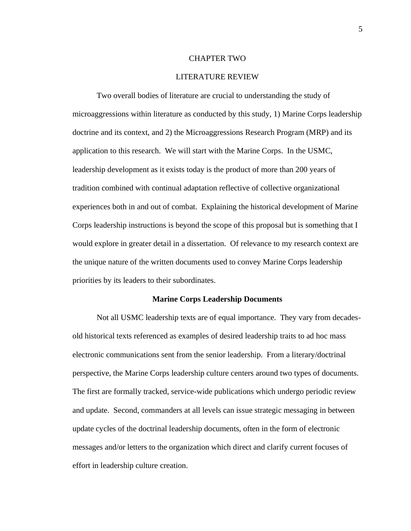#### CHAPTER TWO

#### LITERATURE REVIEW

<span id="page-22-0"></span>Two overall bodies of literature are crucial to understanding the study of microaggressions within literature as conducted by this study, 1) Marine Corps leadership doctrine and its context, and 2) the Microaggressions Research Program (MRP) and its application to this research. We will start with the Marine Corps. In the USMC, leadership development as it exists today is the product of more than 200 years of tradition combined with continual adaptation reflective of collective organizational experiences both in and out of combat. Explaining the historical development of Marine Corps leadership instructions is beyond the scope of this proposal but is something that I would explore in greater detail in a dissertation. Of relevance to my research context are the unique nature of the written documents used to convey Marine Corps leadership priorities by its leaders to their subordinates.

#### **Marine Corps Leadership Documents**

Not all USMC leadership texts are of equal importance. They vary from decadesold historical texts referenced as examples of desired leadership traits to ad hoc mass electronic communications sent from the senior leadership. From a literary/doctrinal perspective, the Marine Corps leadership culture centers around two types of documents. The first are formally tracked, service-wide publications which undergo periodic review and update. Second, commanders at all levels can issue strategic messaging in between update cycles of the doctrinal leadership documents, often in the form of electronic messages and/or letters to the organization which direct and clarify current focuses of effort in leadership culture creation.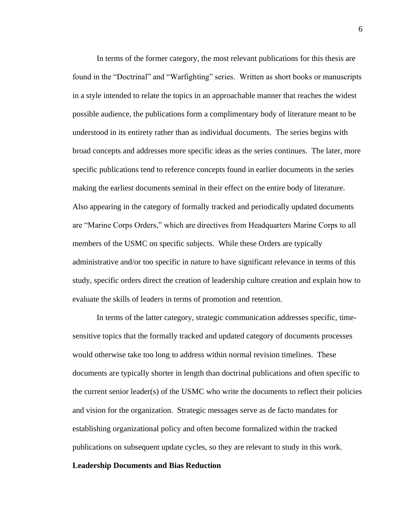In terms of the former category, the most relevant publications for this thesis are found in the "Doctrinal" and "Warfighting" series. Written as short books or manuscripts in a style intended to relate the topics in an approachable manner that reaches the widest possible audience, the publications form a complimentary body of literature meant to be understood in its entirety rather than as individual documents. The series begins with broad concepts and addresses more specific ideas as the series continues. The later, more specific publications tend to reference concepts found in earlier documents in the series making the earliest documents seminal in their effect on the entire body of literature. Also appearing in the category of formally tracked and periodically updated documents are "Marine Corps Orders," which are directives from Headquarters Marine Corps to all members of the USMC on specific subjects. While these Orders are typically administrative and/or too specific in nature to have significant relevance in terms of this study, specific orders direct the creation of leadership culture creation and explain how to evaluate the skills of leaders in terms of promotion and retention.

In terms of the latter category, strategic communication addresses specific, timesensitive topics that the formally tracked and updated category of documents processes would otherwise take too long to address within normal revision timelines. These documents are typically shorter in length than doctrinal publications and often specific to the current senior leader(s) of the USMC who write the documents to reflect their policies and vision for the organization. Strategic messages serve as de facto mandates for establishing organizational policy and often become formalized within the tracked publications on subsequent update cycles, so they are relevant to study in this work.

#### <span id="page-23-0"></span>**Leadership Documents and Bias Reduction**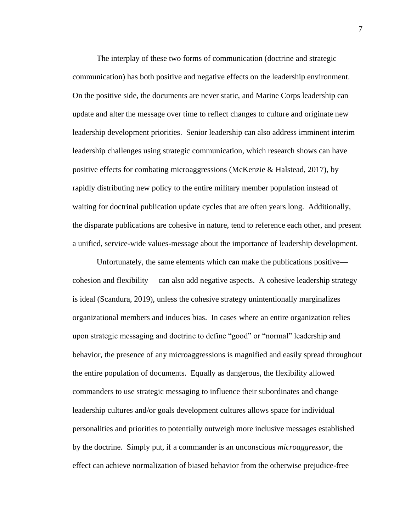The interplay of these two forms of communication (doctrine and strategic communication) has both positive and negative effects on the leadership environment. On the positive side, the documents are never static, and Marine Corps leadership can update and alter the message over time to reflect changes to culture and originate new leadership development priorities. Senior leadership can also address imminent interim leadership challenges using strategic communication, which research shows can have positive effects for combating microaggressions (McKenzie & Halstead, 2017), by rapidly distributing new policy to the entire military member population instead of waiting for doctrinal publication update cycles that are often years long. Additionally, the disparate publications are cohesive in nature, tend to reference each other, and present a unified, service-wide values-message about the importance of leadership development.

Unfortunately, the same elements which can make the publications positive cohesion and flexibility— can also add negative aspects. A cohesive leadership strategy is ideal (Scandura, 2019), unless the cohesive strategy unintentionally marginalizes organizational members and induces bias. In cases where an entire organization relies upon strategic messaging and doctrine to define "good" or "normal" leadership and behavior, the presence of any microaggressions is magnified and easily spread throughout the entire population of documents. Equally as dangerous, the flexibility allowed commanders to use strategic messaging to influence their subordinates and change leadership cultures and/or goals development cultures allows space for individual personalities and priorities to potentially outweigh more inclusive messages established by the doctrine. Simply put, if a commander is an unconscious *microaggressor*, the effect can achieve normalization of biased behavior from the otherwise prejudice-free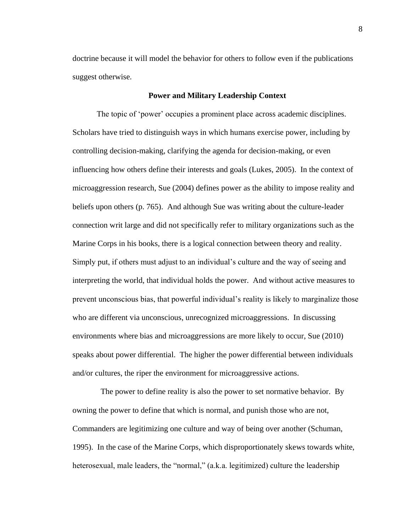doctrine because it will model the behavior for others to follow even if the publications suggest otherwise.

#### **Power and Military Leadership Context**

<span id="page-25-0"></span>The topic of 'power' occupies a prominent place across academic disciplines. Scholars have tried to distinguish ways in which humans exercise power, including by controlling decision-making, clarifying the agenda for decision-making, or even influencing how others define their interests and goals (Lukes, 2005). In the context of microaggression research, Sue (2004) defines power as the ability to impose reality and beliefs upon others (p. 765). And although Sue was writing about the culture-leader connection writ large and did not specifically refer to military organizations such as the Marine Corps in his books, there is a logical connection between theory and reality. Simply put, if others must adjust to an individual's culture and the way of seeing and interpreting the world, that individual holds the power. And without active measures to prevent unconscious bias, that powerful individual's reality is likely to marginalize those who are different via unconscious, unrecognized microaggressions. In discussing environments where bias and microaggressions are more likely to occur, Sue (2010) speaks about power differential. The higher the power differential between individuals and/or cultures, the riper the environment for microaggressive actions.

 The power to define reality is also the power to set normative behavior. By owning the power to define that which is normal, and punish those who are not, Commanders are legitimizing one culture and way of being over another (Schuman, 1995). In the case of the Marine Corps, which disproportionately skews towards white, heterosexual, male leaders, the "normal," (a.k.a. legitimized) culture the leadership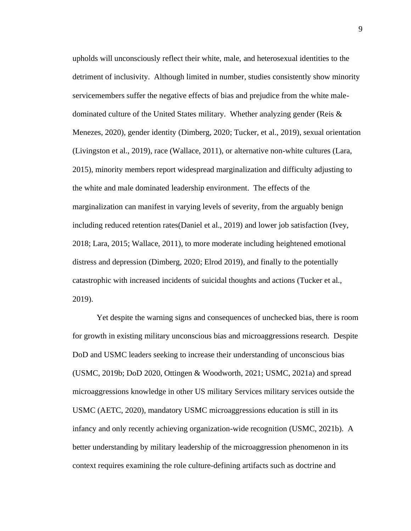upholds will unconsciously reflect their white, male, and heterosexual identities to the detriment of inclusivity. Although limited in number, studies consistently show minority servicemembers suffer the negative effects of bias and prejudice from the white maledominated culture of the United States military. Whether analyzing gender (Reis & Menezes, 2020), gender identity (Dimberg, 2020; Tucker, et al., 2019), sexual orientation (Livingston et al., 2019), race (Wallace, 2011), or alternative non-white cultures (Lara, 2015), minority members report widespread marginalization and difficulty adjusting to the white and male dominated leadership environment. The effects of the marginalization can manifest in varying levels of severity, from the arguably benign including reduced retention rates(Daniel et al., 2019) and lower job satisfaction (Ivey, 2018; Lara, 2015; Wallace, 2011), to more moderate including heightened emotional distress and depression (Dimberg, 2020; Elrod 2019), and finally to the potentially catastrophic with increased incidents of suicidal thoughts and actions (Tucker et al., 2019).

Yet despite the warning signs and consequences of unchecked bias, there is room for growth in existing military unconscious bias and microaggressions research. Despite DoD and USMC leaders seeking to increase their understanding of unconscious bias (USMC, 2019b; DoD 2020, Ottingen & Woodworth, 2021; USMC, 2021a) and spread microaggressions knowledge in other US military Services military services outside the USMC (AETC, 2020), mandatory USMC microaggressions education is still in its infancy and only recently achieving organization-wide recognition (USMC, 2021b). A better understanding by military leadership of the microaggression phenomenon in its context requires examining the role culture-defining artifacts such as doctrine and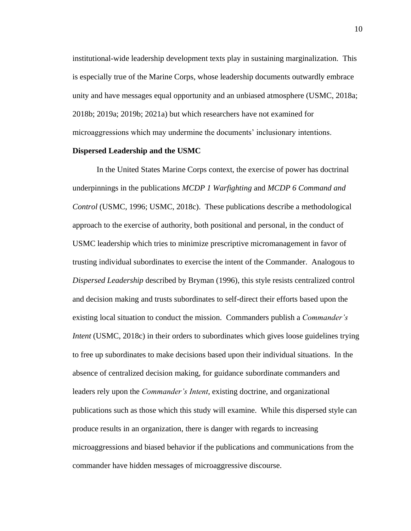institutional-wide leadership development texts play in sustaining marginalization. This is especially true of the Marine Corps, whose leadership documents outwardly embrace unity and have messages equal opportunity and an unbiased atmosphere (USMC, 2018a; 2018b; 2019a; 2019b; 2021a) but which researchers have not examined for microaggressions which may undermine the documents' inclusionary intentions.

#### <span id="page-27-0"></span>**Dispersed Leadership and the USMC**

In the United States Marine Corps context, the exercise of power has doctrinal underpinnings in the publications *MCDP 1 Warfighting* and *MCDP 6 Command and Control* (USMC, 1996; USMC, 2018c). These publications describe a methodological approach to the exercise of authority, both positional and personal, in the conduct of USMC leadership which tries to minimize prescriptive micromanagement in favor of trusting individual subordinates to exercise the intent of the Commander. Analogous to *Dispersed Leadership* described by Bryman (1996), this style resists centralized control and decision making and trusts subordinates to self-direct their efforts based upon the existing local situation to conduct the mission. Commanders publish a *Commander's Intent* (USMC, 2018c) in their orders to subordinates which gives loose guidelines trying to free up subordinates to make decisions based upon their individual situations. In the absence of centralized decision making, for guidance subordinate commanders and leaders rely upon the *Commander's Intent*, existing doctrine, and organizational publications such as those which this study will examine. While this dispersed style can produce results in an organization, there is danger with regards to increasing microaggressions and biased behavior if the publications and communications from the commander have hidden messages of microaggressive discourse.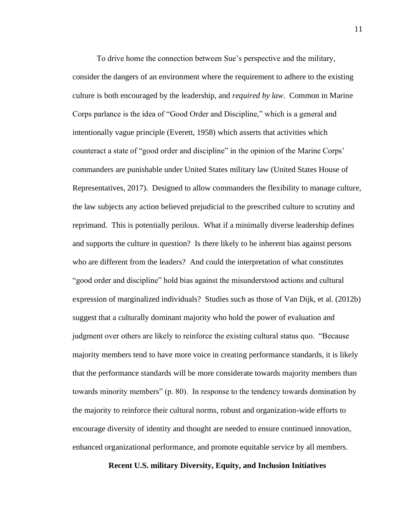To drive home the connection between Sue's perspective and the military, consider the dangers of an environment where the requirement to adhere to the existing culture is both encouraged by the leadership, and *required by law*. Common in Marine Corps parlance is the idea of "Good Order and Discipline," which is a general and intentionally vague principle (Everett, 1958) which asserts that activities which counteract a state of "good order and discipline" in the opinion of the Marine Corps' commanders are punishable under United States military law (United States House of Representatives, 2017). Designed to allow commanders the flexibility to manage culture, the law subjects any action believed prejudicial to the prescribed culture to scrutiny and reprimand. This is potentially perilous. What if a minimally diverse leadership defines and supports the culture in question? Is there likely to be inherent bias against persons who are different from the leaders? And could the interpretation of what constitutes "good order and discipline" hold bias against the misunderstood actions and cultural expression of marginalized individuals? Studies such as those of Van Dijk, et al. (2012b) suggest that a culturally dominant majority who hold the power of evaluation and judgment over others are likely to reinforce the existing cultural status quo. "Because majority members tend to have more voice in creating performance standards, it is likely that the performance standards will be more considerate towards majority members than towards minority members" (p. 80). In response to the tendency towards domination by the majority to reinforce their cultural norms, robust and organization-wide efforts to encourage diversity of identity and thought are needed to ensure continued innovation, enhanced organizational performance, and promote equitable service by all members.

#### <span id="page-28-0"></span>**Recent U.S. military Diversity, Equity, and Inclusion Initiatives**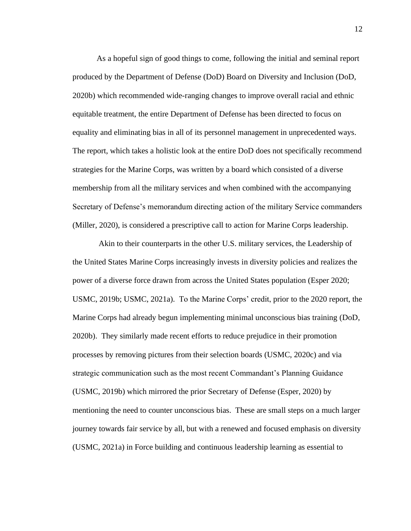As a hopeful sign of good things to come, following the initial and seminal report produced by the Department of Defense (DoD) Board on Diversity and Inclusion (DoD, 2020b) which recommended wide-ranging changes to improve overall racial and ethnic equitable treatment, the entire Department of Defense has been directed to focus on equality and eliminating bias in all of its personnel management in unprecedented ways. The report, which takes a holistic look at the entire DoD does not specifically recommend strategies for the Marine Corps, was written by a board which consisted of a diverse membership from all the military services and when combined with the accompanying Secretary of Defense's memorandum directing action of the military Service commanders (Miller, 2020), is considered a prescriptive call to action for Marine Corps leadership.

Akin to their counterparts in the other U.S. military services, the Leadership of the United States Marine Corps increasingly invests in diversity policies and realizes the power of a diverse force drawn from across the United States population (Esper 2020; USMC, 2019b; USMC, 2021a). To the Marine Corps' credit, prior to the 2020 report, the Marine Corps had already begun implementing minimal unconscious bias training (DoD, 2020b). They similarly made recent efforts to reduce prejudice in their promotion processes by removing pictures from their selection boards (USMC, 2020c) and via strategic communication such as the most recent Commandant's Planning Guidance (USMC, 2019b) which mirrored the prior Secretary of Defense (Esper, 2020) by mentioning the need to counter unconscious bias. These are small steps on a much larger journey towards fair service by all, but with a renewed and focused emphasis on diversity (USMC, 2021a) in Force building and continuous leadership learning as essential to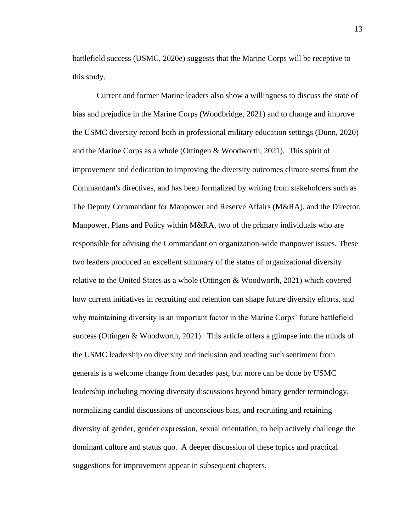battlefield success (USMC, 2020e) suggests that the Marine Corps will be receptive to this study.

Current and former Marine leaders also show a willingness to discuss the state of bias and prejudice in the Marine Corps (Woodbridge, 2021) and to change and improve the USMC diversity record both in professional military education settings (Dunn, 2020) and the Marine Corps as a whole (Ottingen & Woodworth, 2021). This spirit of improvement and dedication to improving the diversity outcomes climate stems from the Commandant's directives, and has been formalized by writing from stakeholders such as The Deputy Commandant for Manpower and Reserve Affairs (M&RA), and the Director, Manpower, Plans and Policy within M&RA, two of the primary individuals who are responsible for advising the Commandant on organization-wide manpower issues. These two leaders produced an excellent summary of the status of organizational diversity relative to the United States as a whole (Ottingen & Woodworth, 2021) which covered how current initiatives in recruiting and retention can shape future diversity efforts, and why maintaining diversity is an important factor in the Marine Corps' future battlefield success (Ottingen & Woodworth, 2021). This article offers a glimpse into the minds of the USMC leadership on diversity and inclusion and reading such sentiment from generals is a welcome change from decades past, but more can be done by USMC leadership including moving diversity discussions beyond binary gender terminology, normalizing candid discussions of unconscious bias, and recruiting and retaining diversity of gender, gender expression, sexual orientation, to help actively challenge the dominant culture and status quo. A deeper discussion of these topics and practical suggestions for improvement appear in subsequent chapters.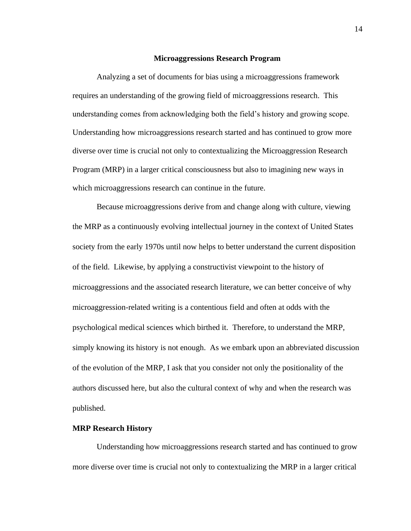#### **Microaggressions Research Program**

<span id="page-31-0"></span>Analyzing a set of documents for bias using a microaggressions framework requires an understanding of the growing field of microaggressions research. This understanding comes from acknowledging both the field's history and growing scope. Understanding how microaggressions research started and has continued to grow more diverse over time is crucial not only to contextualizing the Microaggression Research Program (MRP) in a larger critical consciousness but also to imagining new ways in which microaggressions research can continue in the future.

Because microaggressions derive from and change along with culture, viewing the MRP as a continuously evolving intellectual journey in the context of United States society from the early 1970s until now helps to better understand the current disposition of the field. Likewise, by applying a constructivist viewpoint to the history of microaggressions and the associated research literature, we can better conceive of why microaggression-related writing is a contentious field and often at odds with the psychological medical sciences which birthed it. Therefore, to understand the MRP, simply knowing its history is not enough. As we embark upon an abbreviated discussion of the evolution of the MRP, I ask that you consider not only the positionality of the authors discussed here, but also the cultural context of why and when the research was published.

#### <span id="page-31-1"></span>**MRP Research History**

Understanding how microaggressions research started and has continued to grow more diverse over time is crucial not only to contextualizing the MRP in a larger critical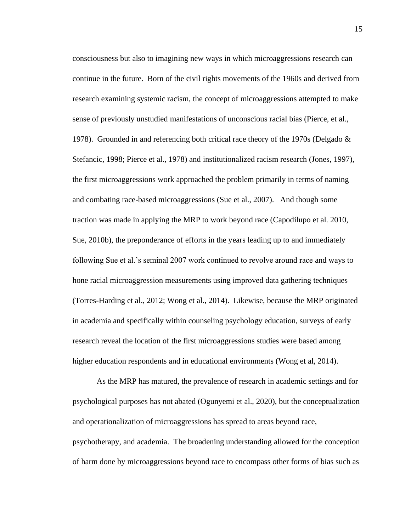consciousness but also to imagining new ways in which microaggressions research can continue in the future. Born of the civil rights movements of the 1960s and derived from research examining systemic racism, the concept of microaggressions attempted to make sense of previously unstudied manifestations of unconscious racial bias (Pierce, et al., 1978). Grounded in and referencing both critical race theory of the 1970s (Delgado & Stefancic, 1998; Pierce et al., 1978) and institutionalized racism research (Jones, 1997), the first microaggressions work approached the problem primarily in terms of naming and combating race-based microaggressions (Sue et al., 2007). And though some traction was made in applying the MRP to work beyond race (Capodilupo et al. 2010, Sue, 2010b), the preponderance of efforts in the years leading up to and immediately following Sue et al.'s seminal 2007 work continued to revolve around race and ways to hone racial microaggression measurements using improved data gathering techniques (Torres-Harding et al., 2012; Wong et al., 2014). Likewise, because the MRP originated in academia and specifically within counseling psychology education, surveys of early research reveal the location of the first microaggressions studies were based among higher education respondents and in educational environments (Wong et al, 2014).

As the MRP has matured, the prevalence of research in academic settings and for psychological purposes has not abated (Ogunyemi et al., 2020), but the conceptualization and operationalization of microaggressions has spread to areas beyond race, psychotherapy, and academia. The broadening understanding allowed for the conception of harm done by microaggressions beyond race to encompass other forms of bias such as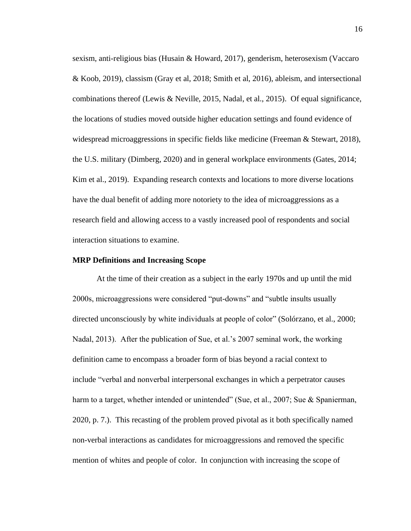sexism, anti-religious bias (Husain & Howard, 2017), genderism, heterosexism (Vaccaro & Koob, 2019), classism (Gray et al, 2018; Smith et al, 2016), ableism, and intersectional combinations thereof (Lewis & Neville, 2015, Nadal, et al., 2015). Of equal significance, the locations of studies moved outside higher education settings and found evidence of widespread microaggressions in specific fields like medicine (Freeman & Stewart, 2018), the U.S. military (Dimberg, 2020) and in general workplace environments (Gates, 2014; Kim et al., 2019). Expanding research contexts and locations to more diverse locations have the dual benefit of adding more notoriety to the idea of microaggressions as a research field and allowing access to a vastly increased pool of respondents and social interaction situations to examine.

#### <span id="page-33-0"></span>**MRP Definitions and Increasing Scope**

At the time of their creation as a subject in the early 1970s and up until the mid 2000s, microaggressions were considered "put-downs" and "subtle insults usually directed unconsciously by white individuals at people of color" (Solórzano, et al., 2000; Nadal, 2013). After the publication of Sue, et al.'s 2007 seminal work, the working definition came to encompass a broader form of bias beyond a racial context to include "verbal and nonverbal interpersonal exchanges in which a perpetrator causes harm to a target, whether intended or unintended" (Sue, et al., 2007; Sue & Spanierman, 2020, p. 7.). This recasting of the problem proved pivotal as it both specifically named non-verbal interactions as candidates for microaggressions and removed the specific mention of whites and people of color. In conjunction with increasing the scope of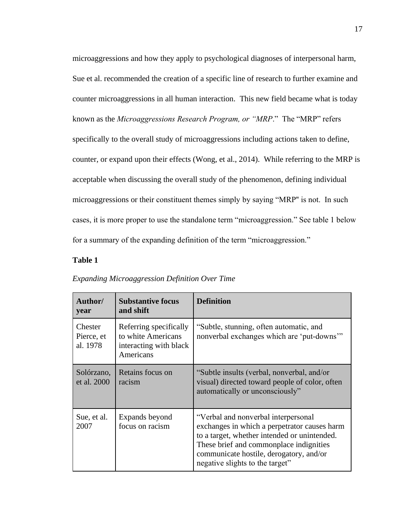microaggressions and how they apply to psychological diagnoses of interpersonal harm, Sue et al. recommended the creation of a specific line of research to further examine and counter microaggressions in all human interaction. This new field became what is today known as the *Microaggressions Research Program, or "MRP*." The "MRP" refers specifically to the overall study of microaggressions including actions taken to define, counter, or expand upon their effects (Wong, et al., 2014). While referring to the MRP is acceptable when discussing the overall study of the phenomenon, defining individual microaggressions or their constituent themes simply by saying "MRP'' is not. In such cases, it is more proper to use the standalone term "microaggression." See table 1 below for a summary of the expanding definition of the term "microaggression."

### **Table 1**

| Author/<br>vear                   | <b>Substantive focus</b><br>and shift                                               | <b>Definition</b>                                                                                                                                                                                                                                            |
|-----------------------------------|-------------------------------------------------------------------------------------|--------------------------------------------------------------------------------------------------------------------------------------------------------------------------------------------------------------------------------------------------------------|
| Chester<br>Pierce, et<br>al. 1978 | Referring specifically<br>to white Americans<br>interacting with black<br>Americans | "Subtle, stunning, often automatic, and<br>nonverbal exchanges which are 'put-downs'"                                                                                                                                                                        |
| Solórzano,<br>et al. 2000         | Retains focus on<br>racism                                                          | "Subtle insults (verbal, nonverbal, and/or<br>visual) directed toward people of color, often<br>automatically or unconsciously"                                                                                                                              |
| Sue, et al.<br>2007               | Expands beyond<br>focus on racism                                                   | "Verbal and nonverbal interpersonal<br>exchanges in which a perpetrator causes harm<br>to a target, whether intended or unintended.<br>These brief and commonplace indignities<br>communicate hostile, derogatory, and/or<br>negative slights to the target" |

#### *Expanding Microaggression Definition Over Time*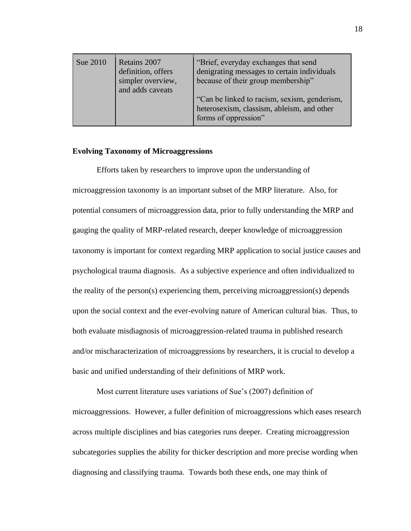| Sue 2010 | Retains 2007<br>definition, offers<br>simpler overview,<br>and adds caveats | "Brief, everyday exchanges that send<br>denigrating messages to certain individuals<br>because of their group membership"<br>"Can be linked to racism, sexism, genderism,<br>heterosexism, classism, ableism, and other |
|----------|-----------------------------------------------------------------------------|-------------------------------------------------------------------------------------------------------------------------------------------------------------------------------------------------------------------------|
|          |                                                                             | forms of oppression"                                                                                                                                                                                                    |

### <span id="page-35-0"></span>**Evolving Taxonomy of Microaggressions**

Efforts taken by researchers to improve upon the understanding of microaggression taxonomy is an important subset of the MRP literature. Also, for potential consumers of microaggression data, prior to fully understanding the MRP and gauging the quality of MRP-related research, deeper knowledge of microaggression taxonomy is important for context regarding MRP application to social justice causes and psychological trauma diagnosis. As a subjective experience and often individualized to the reality of the person(s) experiencing them, perceiving microaggression(s) depends upon the social context and the ever-evolving nature of American cultural bias. Thus, to both evaluate misdiagnosis of microaggression-related trauma in published research and/or mischaracterization of microaggressions by researchers, it is crucial to develop a basic and unified understanding of their definitions of MRP work.

Most current literature uses variations of Sue's (2007) definition of microaggressions. However, a fuller definition of microaggressions which eases research across multiple disciplines and bias categories runs deeper. Creating microaggression subcategories supplies the ability for thicker description and more precise wording when diagnosing and classifying trauma. Towards both these ends, one may think of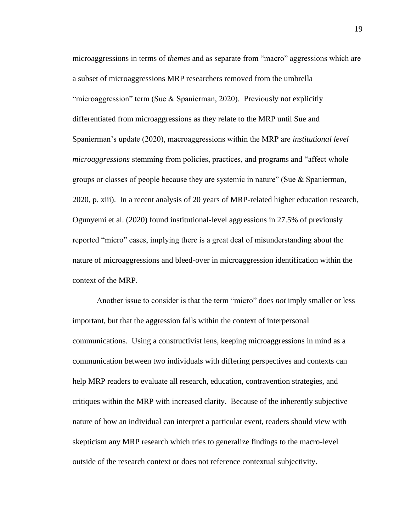microaggressions in terms of *themes* and as separate from "macro" aggressions which are a subset of microaggressions MRP researchers removed from the umbrella "microaggression" term (Sue & Spanierman, 2020). Previously not explicitly differentiated from microaggressions as they relate to the MRP until Sue and Spanierman's update (2020), macroaggressions within the MRP are *institutional level microaggressions* stemming from policies, practices, and programs and "affect whole groups or classes of people because they are systemic in nature" (Sue & Spanierman, 2020, p. xiii). In a recent analysis of 20 years of MRP-related higher education research, Ogunyemi et al. (2020) found institutional-level aggressions in 27.5% of previously reported "micro" cases, implying there is a great deal of misunderstanding about the nature of microaggressions and bleed-over in microaggression identification within the context of the MRP.

Another issue to consider is that the term "micro" does *not* imply smaller or less important, but that the aggression falls within the context of interpersonal communications. Using a constructivist lens, keeping microaggressions in mind as a communication between two individuals with differing perspectives and contexts can help MRP readers to evaluate all research, education, contravention strategies, and critiques within the MRP with increased clarity. Because of the inherently subjective nature of how an individual can interpret a particular event, readers should view with skepticism any MRP research which tries to generalize findings to the macro-level outside of the research context or does not reference contextual subjectivity.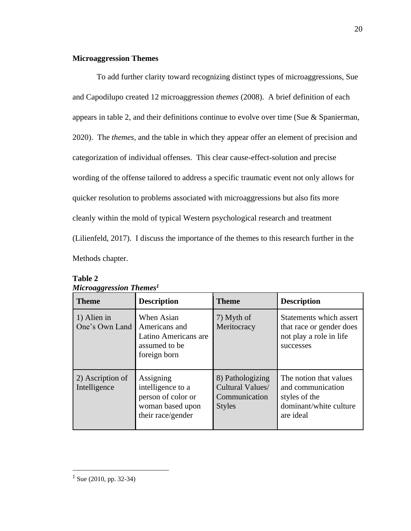# **Microaggression Themes**

 To add further clarity toward recognizing distinct types of microaggressions, Sue and Capodilupo created 12 microaggression *themes* (2008). A brief definition of each appears in table 2, and their definitions continue to evolve over time (Sue & Spanierman, 2020). The *themes,* and the table in which they appear offer an element of precision and categorization of individual offenses. This clear cause-effect-solution and precise wording of the offense tailored to address a specific traumatic event not only allows for quicker resolution to problems associated with microaggressions but also fits more cleanly within the mold of typical Western psychological research and treatment (Lilienfeld, 2017). I discuss the importance of the themes to this research further in the Methods chapter.

| <b>Theme</b>                     | <b>Description</b>                                                                            | <b>Theme</b>                                                           | <b>Description</b>                                                                                  |
|----------------------------------|-----------------------------------------------------------------------------------------------|------------------------------------------------------------------------|-----------------------------------------------------------------------------------------------------|
| 1) Alien in<br>One's Own Land    | When Asian<br>Americans and<br>Latino Americans are<br>assumed to be<br>foreign born          | 7) Myth of<br>Meritocracy                                              | Statements which assert<br>that race or gender does<br>not play a role in life<br>successes         |
| 2) Ascription of<br>Intelligence | Assigning<br>intelligence to a<br>person of color or<br>woman based upon<br>their race/gender | 8) Pathologizing<br>Cultural Values/<br>Communication<br><b>Styles</b> | The notion that values<br>and communication<br>styles of the<br>dominant/white culture<br>are ideal |

| <b>Table 2</b>                      |  |
|-------------------------------------|--|
| Microagoression Themes <sup>1</sup> |  |

 $1$  Sue (2010, pp. 32-34)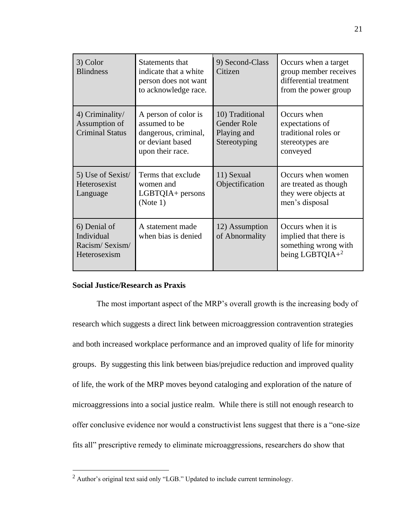| 3) Color<br><b>Blindness</b>                                 | Statements that<br>indicate that a white<br>person does not want<br>to acknowledge race.              | 9) Second-Class<br>Citizen                                    | Occurs when a target<br>group member receives<br>differential treatment<br>from the power group |
|--------------------------------------------------------------|-------------------------------------------------------------------------------------------------------|---------------------------------------------------------------|-------------------------------------------------------------------------------------------------|
| 4) Criminality/<br>Assumption of<br><b>Criminal Status</b>   | A person of color is<br>assumed to be<br>dangerous, criminal,<br>or deviant based<br>upon their race. | 10) Traditional<br>Gender Role<br>Playing and<br>Stereotyping | Occurs when<br>expectations of<br>traditional roles or<br>stereotypes are<br>conveyed           |
| 5) Use of Sexist/<br>Heterosexist<br>Language                | Terms that exclude<br>women and<br>$LGBTQIA +$ persons<br>(Note 1)                                    | 11) Sexual<br>Objectification                                 | Occurs when women<br>are treated as though<br>they were objects at<br>men's disposal            |
| 6) Denial of<br>Individual<br>Racism/Sexism/<br>Heterosexism | A statement made<br>when bias is denied                                                               | 12) Assumption<br>of Abnormality                              | Occurs when it is<br>implied that there is<br>something wrong with<br>being LGBTQIA+ $2$        |

# **Social Justice/Research as Praxis**

The most important aspect of the MRP's overall growth is the increasing body of research which suggests a direct link between microaggression contravention strategies and both increased workplace performance and an improved quality of life for minority groups. By suggesting this link between bias/prejudice reduction and improved quality of life, the work of the MRP moves beyond cataloging and exploration of the nature of microaggressions into a social justice realm. While there is still not enough research to offer conclusive evidence nor would a constructivist lens suggest that there is a "one-size fits all" prescriptive remedy to eliminate microaggressions, researchers do show that

<sup>2</sup> Author's original text said only "LGB." Updated to include current terminology.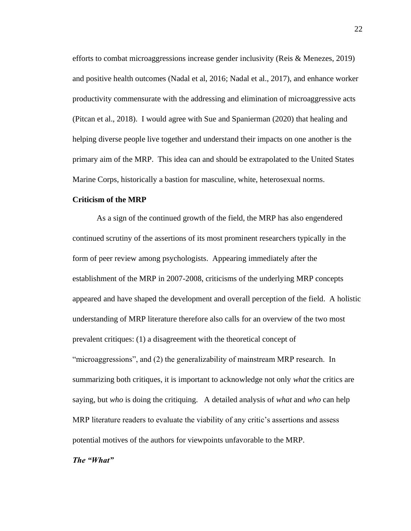efforts to combat microaggressions increase gender inclusivity (Reis & Menezes, 2019) and positive health outcomes (Nadal et al, 2016; Nadal et al., 2017), and enhance worker productivity commensurate with the addressing and elimination of microaggressive acts (Pitcan et al., 2018). I would agree with Sue and Spanierman (2020) that healing and helping diverse people live together and understand their impacts on one another is the primary aim of the MRP. This idea can and should be extrapolated to the United States Marine Corps, historically a bastion for masculine, white, heterosexual norms.

# **Criticism of the MRP**

As a sign of the continued growth of the field, the MRP has also engendered continued scrutiny of the assertions of its most prominent researchers typically in the form of peer review among psychologists. Appearing immediately after the establishment of the MRP in 2007-2008, criticisms of the underlying MRP concepts appeared and have shaped the development and overall perception of the field. A holistic understanding of MRP literature therefore also calls for an overview of the two most prevalent critiques: (1) a disagreement with the theoretical concept of "microaggressions", and (2) the generalizability of mainstream MRP research. In summarizing both critiques, it is important to acknowledge not only *what* the critics are saying, but *who* is doing the critiquing. A detailed analysis of *what* and *who* can help MRP literature readers to evaluate the viability of any critic's assertions and assess potential motives of the authors for viewpoints unfavorable to the MRP.

# *The "What"*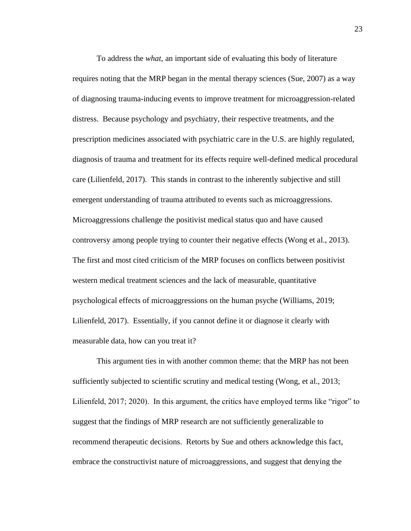To address the *what*, an important side of evaluating this body of literature requires noting that the MRP began in the mental therapy sciences (Sue, 2007) as a way of diagnosing trauma-inducing events to improve treatment for microaggression-related distress. Because psychology and psychiatry, their respective treatments, and the prescription medicines associated with psychiatric care in the U.S. are highly regulated, diagnosis of trauma and treatment for its effects require well-defined medical procedural care (Lilienfeld, 2017). This stands in contrast to the inherently subjective and still emergent understanding of trauma attributed to events such as microaggressions. Microaggressions challenge the positivist medical status quo and have caused controversy among people trying to counter their negative effects (Wong et al., 2013). The first and most cited criticism of the MRP focuses on conflicts between positivist western medical treatment sciences and the lack of measurable, quantitative psychological effects of microaggressions on the human psyche (Williams, 2019; Lilienfeld, 2017).Essentially, if you cannot define it or diagnose it clearly with measurable data, how can you treat it?

This argument ties in with another common theme: that the MRP has not been sufficiently subjected to scientific scrutiny and medical testing (Wong, et al., 2013; Lilienfeld, 2017; 2020). In this argument, the critics have employed terms like "rigor" to suggest that the findings of MRP research are not sufficiently generalizable to recommend therapeutic decisions. Retorts by Sue and others acknowledge this fact, embrace the constructivist nature of microaggressions, and suggest that denying the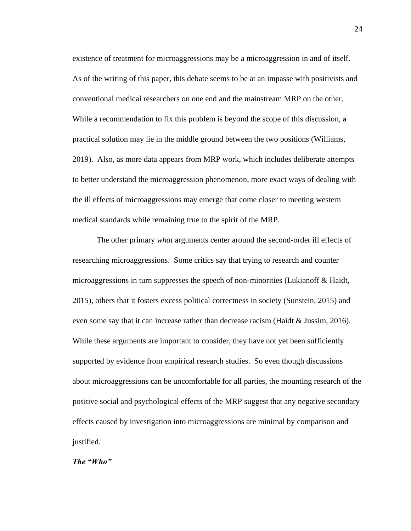existence of treatment for microaggressions may be a microaggression in and of itself. As of the writing of this paper, this debate seems to be at an impasse with positivists and conventional medical researchers on one end and the mainstream MRP on the other. While a recommendation to fix this problem is beyond the scope of this discussion, a practical solution may lie in the middle ground between the two positions (Williams, 2019). Also, as more data appears from MRP work, which includes deliberate attempts to better understand the microaggression phenomenon, more exact ways of dealing with the ill effects of microaggressions may emerge that come closer to meeting western medical standards while remaining true to the spirit of the MRP.

The other primary *what* arguments center around the second-order ill effects of researching microaggressions. Some critics say that trying to research and counter microaggressions in turn suppresses the speech of non-minorities (Lukianoff & Haidt, 2015), others that it fosters excess political correctness in society (Sunstein, 2015) and even some say that it can increase rather than decrease racism (Haidt & Jussim, 2016). While these arguments are important to consider, they have not yet been sufficiently supported by evidence from empirical research studies. So even though discussions about microaggressions can be uncomfortable for all parties, the mounting research of the positive social and psychological effects of the MRP suggest that any negative secondary effects caused by investigation into microaggressions are minimal by comparison and justified.

# *The "Who"*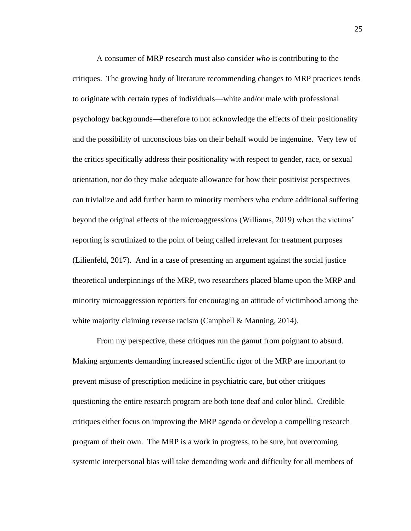A consumer of MRP research must also consider *who* is contributing to the critiques. The growing body of literature recommending changes to MRP practices tends to originate with certain types of individuals—white and/or male with professional psychology backgrounds—therefore to not acknowledge the effects of their positionality and the possibility of unconscious bias on their behalf would be ingenuine. Very few of the critics specifically address their positionality with respect to gender, race, or sexual orientation, nor do they make adequate allowance for how their positivist perspectives can trivialize and add further harm to minority members who endure additional suffering beyond the original effects of the microaggressions (Williams, 2019) when the victims' reporting is scrutinized to the point of being called irrelevant for treatment purposes (Lilienfeld, 2017). And in a case of presenting an argument against the social justice theoretical underpinnings of the MRP, two researchers placed blame upon the MRP and minority microaggression reporters for encouraging an attitude of victimhood among the white majority claiming reverse racism (Campbell & Manning, 2014).

From my perspective, these critiques run the gamut from poignant to absurd. Making arguments demanding increased scientific rigor of the MRP are important to prevent misuse of prescription medicine in psychiatric care, but other critiques questioning the entire research program are both tone deaf and color blind. Credible critiques either focus on improving the MRP agenda or develop a compelling research program of their own. The MRP is a work in progress, to be sure, but overcoming systemic interpersonal bias will take demanding work and difficulty for all members of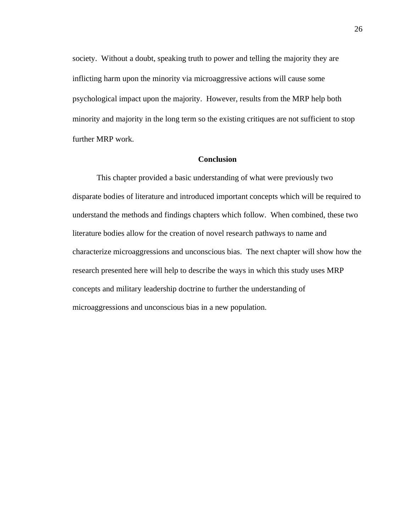society. Without a doubt, speaking truth to power and telling the majority they are inflicting harm upon the minority via microaggressive actions will cause some psychological impact upon the majority. However, results from the MRP help both minority and majority in the long term so the existing critiques are not sufficient to stop further MRP work.

### **Conclusion**

This chapter provided a basic understanding of what were previously two disparate bodies of literature and introduced important concepts which will be required to understand the methods and findings chapters which follow. When combined, these two literature bodies allow for the creation of novel research pathways to name and characterize microaggressions and unconscious bias. The next chapter will show how the research presented here will help to describe the ways in which this study uses MRP concepts and military leadership doctrine to further the understanding of microaggressions and unconscious bias in a new population.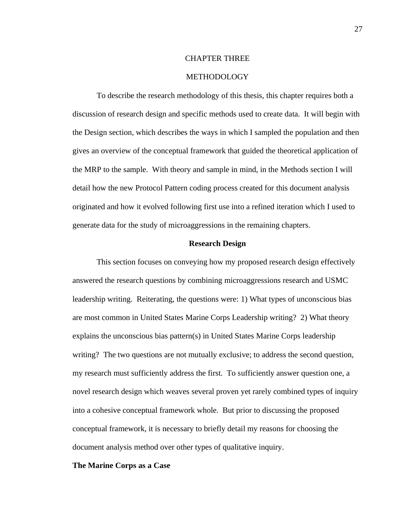#### CHAPTER THREE

### **METHODOLOGY**

To describe the research methodology of this thesis, this chapter requires both a discussion of research design and specific methods used to create data. It will begin with the Design section, which describes the ways in which I sampled the population and then gives an overview of the conceptual framework that guided the theoretical application of the MRP to the sample. With theory and sample in mind, in the Methods section I will detail how the new Protocol Pattern coding process created for this document analysis originated and how it evolved following first use into a refined iteration which I used to generate data for the study of microaggressions in the remaining chapters.

# **Research Design**

 This section focuses on conveying how my proposed research design effectively answered the research questions by combining microaggressions research and USMC leadership writing. Reiterating, the questions were: 1) What types of unconscious bias are most common in United States Marine Corps Leadership writing? 2) What theory explains the unconscious bias pattern(s) in United States Marine Corps leadership writing? The two questions are not mutually exclusive; to address the second question, my research must sufficiently address the first. To sufficiently answer question one, a novel research design which weaves several proven yet rarely combined types of inquiry into a cohesive conceptual framework whole. But prior to discussing the proposed conceptual framework, it is necessary to briefly detail my reasons for choosing the document analysis method over other types of qualitative inquiry.

#### **The Marine Corps as a Case**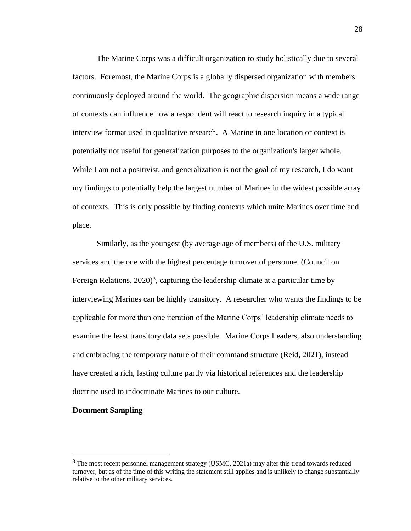The Marine Corps was a difficult organization to study holistically due to several factors. Foremost, the Marine Corps is a globally dispersed organization with members continuously deployed around the world. The geographic dispersion means a wide range of contexts can influence how a respondent will react to research inquiry in a typical interview format used in qualitative research. A Marine in one location or context is potentially not useful for generalization purposes to the organization's larger whole. While I am not a positivist, and generalization is not the goal of my research, I do want my findings to potentially help the largest number of Marines in the widest possible array of contexts. This is only possible by finding contexts which unite Marines over time and place.

Similarly, as the youngest (by average age of members) of the U.S. military services and the one with the highest percentage turnover of personnel (Council on Foreign Relations, 2020)<sup>3</sup>, capturing the leadership climate at a particular time by interviewing Marines can be highly transitory. A researcher who wants the findings to be applicable for more than one iteration of the Marine Corps' leadership climate needs to examine the least transitory data sets possible. Marine Corps Leaders, also understanding and embracing the temporary nature of their command structure (Reid, 2021), instead have created a rich, lasting culture partly via historical references and the leadership doctrine used to indoctrinate Marines to our culture.

### **Document Sampling**

 $3$  The most recent personnel management strategy (USMC, 2021a) may alter this trend towards reduced turnover, but as of the time of this writing the statement still applies and is unlikely to change substantially relative to the other military services.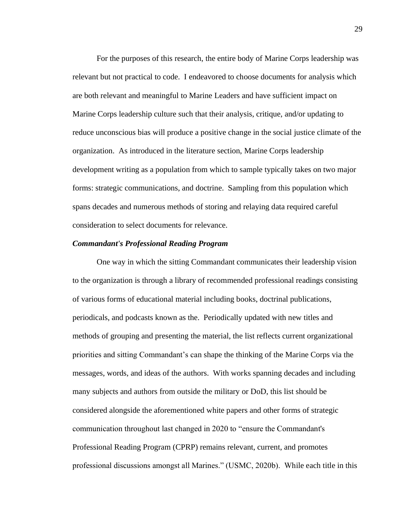For the purposes of this research, the entire body of Marine Corps leadership was relevant but not practical to code. I endeavored to choose documents for analysis which are both relevant and meaningful to Marine Leaders and have sufficient impact on Marine Corps leadership culture such that their analysis, critique, and/or updating to reduce unconscious bias will produce a positive change in the social justice climate of the organization. As introduced in the literature section, Marine Corps leadership development writing as a population from which to sample typically takes on two major forms: strategic communications, and doctrine. Sampling from this population which spans decades and numerous methods of storing and relaying data required careful consideration to select documents for relevance.

# *Commandant's Professional Reading Program*

One way in which the sitting Commandant communicates their leadership vision to the organization is through a library of recommended professional readings consisting of various forms of educational material including books, doctrinal publications, periodicals, and podcasts known as the. Periodically updated with new titles and methods of grouping and presenting the material, the list reflects current organizational priorities and sitting Commandant's can shape the thinking of the Marine Corps via the messages, words, and ideas of the authors. With works spanning decades and including many subjects and authors from outside the military or DoD, this list should be considered alongside the aforementioned white papers and other forms of strategic communication throughout last changed in 2020 to "ensure the Commandant's Professional Reading Program (CPRP) remains relevant, current, and promotes professional discussions amongst all Marines." (USMC, 2020b). While each title in this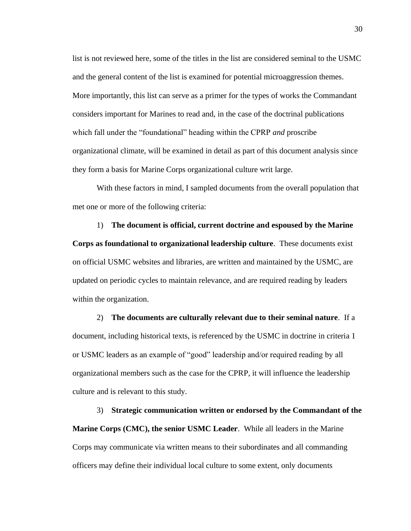list is not reviewed here, some of the titles in the list are considered seminal to the USMC and the general content of the list is examined for potential microaggression themes. More importantly, this list can serve as a primer for the types of works the Commandant considers important for Marines to read and, in the case of the doctrinal publications which fall under the "foundational" heading within the CPRP *and* proscribe organizational climate, will be examined in detail as part of this document analysis since they form a basis for Marine Corps organizational culture writ large.

With these factors in mind, I sampled documents from the overall population that met one or more of the following criteria:

1) **The document is official, current doctrine and espoused by the Marine Corps as foundational to organizational leadership culture**. These documents exist on official USMC websites and libraries, are written and maintained by the USMC, are updated on periodic cycles to maintain relevance, and are required reading by leaders within the organization.

2) **The documents are culturally relevant due to their seminal nature**. If a document, including historical texts, is referenced by the USMC in doctrine in criteria 1 or USMC leaders as an example of "good" leadership and/or required reading by all organizational members such as the case for the CPRP, it will influence the leadership culture and is relevant to this study.

3) **Strategic communication written or endorsed by the Commandant of the Marine Corps (CMC), the senior USMC Leader**. While all leaders in the Marine Corps may communicate via written means to their subordinates and all commanding officers may define their individual local culture to some extent, only documents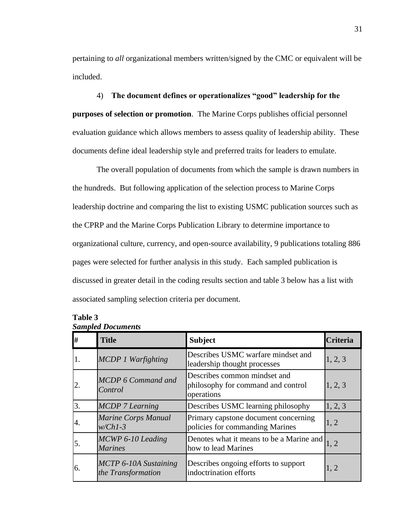pertaining to *all* organizational members written/signed by the CMC or equivalent will be included.

# 4) **The document defines or operationalizes "good" leadership for the**

**purposes of selection or promotion**. The Marine Corps publishes official personnel evaluation guidance which allows members to assess quality of leadership ability. These documents define ideal leadership style and preferred traits for leaders to emulate.

The overall population of documents from which the sample is drawn numbers in the hundreds. But following application of the selection process to Marine Corps leadership doctrine and comparing the list to existing USMC publication sources such as the CPRP and the Marine Corps Publication Library to determine importance to organizational culture, currency, and open-source availability, 9 publications totaling 886 pages were selected for further analysis in this study. Each sampled publication is discussed in greater detail in the coding results section and table 3 below has a list with associated sampling selection criteria per document.

| #  | <b>Title</b>                                       | <b>Subject</b>                                                                   | <b>Criteria</b> |
|----|----------------------------------------------------|----------------------------------------------------------------------------------|-----------------|
|    | <b>MCDP 1 Warfighting</b>                          | Describes USMC warfare mindset and<br>leadership thought processes               | 1, 2, 3         |
| 2. | <b>MCDP 6 Command and</b><br>Control               | Describes common mindset and<br>philosophy for command and control<br>operations | 1, 2, 3         |
| 3. | <b>MCDP</b> 7 Learning                             | Describes USMC learning philosophy                                               | 1, 2, 3         |
| 4. | <b>Marine Corps Manual</b><br>$w/Ch1-3$            | Primary capstone document concerning<br>policies for commanding Marines          | 1, 2            |
| 5. | MCWP 6-10 Leading<br><b>Marines</b>                | Denotes what it means to be a Marine and<br>how to lead Marines                  | 1, 2            |
| 6. | <b>MCTP 6-10A Sustaining</b><br>the Transformation | Describes ongoing efforts to support<br>indoctrination efforts                   | 1, 2            |

# **Table 3**  *Sampled Documents*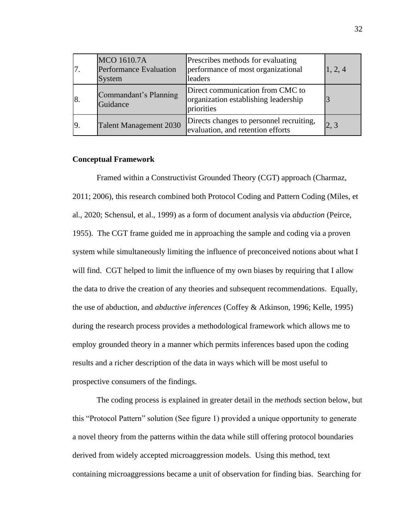|     | <b>MCO 1610.7A</b><br>Performance Evaluation<br>System | Prescribes methods for evaluating<br>performance of most organizational<br>leaders     | 1, 2, 4 |
|-----|--------------------------------------------------------|----------------------------------------------------------------------------------------|---------|
| 8.  | Commandant's Planning<br>Guidance                      | Direct communication from CMC to<br>organization establishing leadership<br>priorities |         |
| 19. | <b>Talent Management 2030</b>                          | Directs changes to personnel recruiting,<br>evaluation, and retention efforts          |         |

### **Conceptual Framework**

Framed within a Constructivist Grounded Theory (CGT) approach (Charmaz, 2011; 2006), this research combined both Protocol Coding and Pattern Coding (Miles, et al., 2020; Schensul, et al., 1999) as a form of document analysis via *abduction* (Peirce, 1955). The CGT frame guided me in approaching the sample and coding via a proven system while simultaneously limiting the influence of preconceived notions about what I will find. CGT helped to limit the influence of my own biases by requiring that I allow the data to drive the creation of any theories and subsequent recommendations. Equally, the use of abduction, and *abductive inferences* (Coffey & Atkinson, 1996; Kelle, 1995) during the research process provides a methodological framework which allows me to employ grounded theory in a manner which permits inferences based upon the coding results and a richer description of the data in ways which will be most useful to prospective consumers of the findings.

The coding process is explained in greater detail in the *methods* section below, but this "Protocol Pattern" solution (See figure 1) provided a unique opportunity to generate a novel theory from the patterns within the data while still offering protocol boundaries derived from widely accepted microaggression models. Using this method, text containing microaggressions became a unit of observation for finding bias. Searching for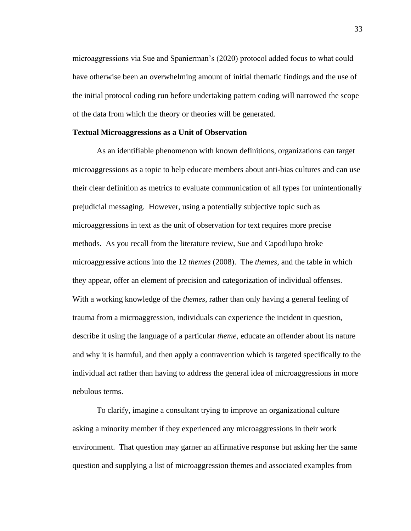microaggressions via Sue and Spanierman's (2020) protocol added focus to what could have otherwise been an overwhelming amount of initial thematic findings and the use of the initial protocol coding run before undertaking pattern coding will narrowed the scope of the data from which the theory or theories will be generated.

### **Textual Microaggressions as a Unit of Observation**

As an identifiable phenomenon with known definitions, organizations can target microaggressions as a topic to help educate members about anti-bias cultures and can use their clear definition as metrics to evaluate communication of all types for unintentionally prejudicial messaging. However, using a potentially subjective topic such as microaggressions in text as the unit of observation for text requires more precise methods. As you recall from the literature review, Sue and Capodilupo broke microaggressive actions into the 12 *themes* (2008). The *themes,* and the table in which they appear, offer an element of precision and categorization of individual offenses. With a working knowledge of the *themes*, rather than only having a general feeling of trauma from a microaggression, individuals can experience the incident in question, describe it using the language of a particular *theme*, educate an offender about its nature and why it is harmful, and then apply a contravention which is targeted specifically to the individual act rather than having to address the general idea of microaggressions in more nebulous terms.

To clarify, imagine a consultant trying to improve an organizational culture asking a minority member if they experienced any microaggressions in their work environment. That question may garner an affirmative response but asking her the same question and supplying a list of microaggression themes and associated examples from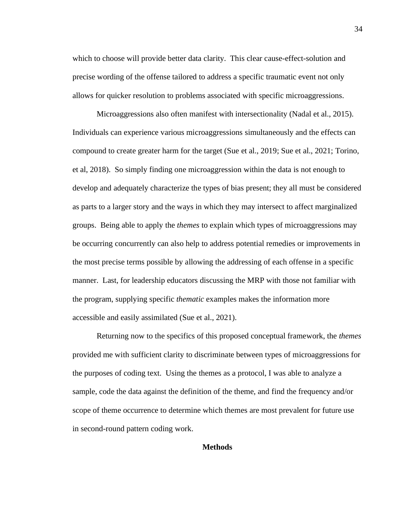which to choose will provide better data clarity. This clear cause-effect-solution and precise wording of the offense tailored to address a specific traumatic event not only allows for quicker resolution to problems associated with specific microaggressions.

Microaggressions also often manifest with intersectionality (Nadal et al., 2015). Individuals can experience various microaggressions simultaneously and the effects can compound to create greater harm for the target (Sue et al., 2019; Sue et al., 2021; Torino, et al, 2018). So simply finding one microaggression within the data is not enough to develop and adequately characterize the types of bias present; they all must be considered as parts to a larger story and the ways in which they may intersect to affect marginalized groups. Being able to apply the *themes* to explain which types of microaggressions may be occurring concurrently can also help to address potential remedies or improvements in the most precise terms possible by allowing the addressing of each offense in a specific manner. Last, for leadership educators discussing the MRP with those not familiar with the program, supplying specific *thematic* examples makes the information more accessible and easily assimilated (Sue et al., 2021).

Returning now to the specifics of this proposed conceptual framework, the *themes*  provided me with sufficient clarity to discriminate between types of microaggressions for the purposes of coding text. Using the themes as a protocol, I was able to analyze a sample, code the data against the definition of the theme, and find the frequency and/or scope of theme occurrence to determine which themes are most prevalent for future use in second-round pattern coding work.

### **Methods**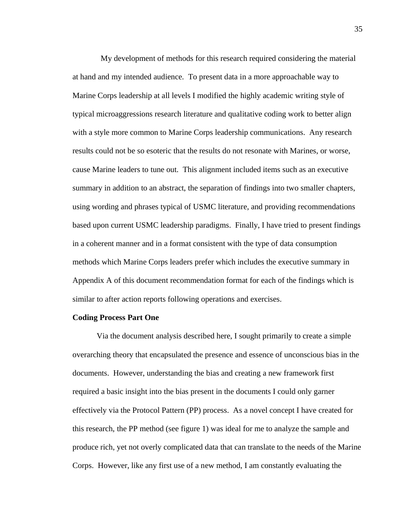My development of methods for this research required considering the material at hand and my intended audience. To present data in a more approachable way to Marine Corps leadership at all levels I modified the highly academic writing style of typical microaggressions research literature and qualitative coding work to better align with a style more common to Marine Corps leadership communications. Any research results could not be so esoteric that the results do not resonate with Marines, or worse, cause Marine leaders to tune out. This alignment included items such as an executive summary in addition to an abstract, the separation of findings into two smaller chapters, using wording and phrases typical of USMC literature, and providing recommendations based upon current USMC leadership paradigms. Finally, I have tried to present findings in a coherent manner and in a format consistent with the type of data consumption methods which Marine Corps leaders prefer which includes the executive summary in Appendix A of this document recommendation format for each of the findings which is similar to after action reports following operations and exercises.

### **Coding Process Part One**

Via the document analysis described here, I sought primarily to create a simple overarching theory that encapsulated the presence and essence of unconscious bias in the documents. However, understanding the bias and creating a new framework first required a basic insight into the bias present in the documents I could only garner effectively via the Protocol Pattern (PP) process. As a novel concept I have created for this research, the PP method (see figure 1) was ideal for me to analyze the sample and produce rich, yet not overly complicated data that can translate to the needs of the Marine Corps. However, like any first use of a new method, I am constantly evaluating the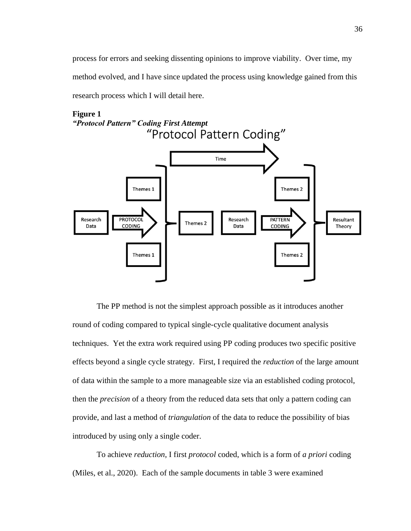process for errors and seeking dissenting opinions to improve viability. Over time, my method evolved, and I have since updated the process using knowledge gained from this research process which I will detail here.



**Figure 1**

The PP method is not the simplest approach possible as it introduces another round of coding compared to typical single-cycle qualitative document analysis techniques. Yet the extra work required using PP coding produces two specific positive effects beyond a single cycle strategy. First, I required the *reduction* of the large amount of data within the sample to a more manageable size via an established coding protocol, then the *precision* of a theory from the reduced data sets that only a pattern coding can provide, and last a method of *triangulation* of the data to reduce the possibility of bias introduced by using only a single coder.

To achieve *reduction*, I first *protocol* coded, which is a form of *a priori* coding (Miles, et al., 2020). Each of the sample documents in table 3 were examined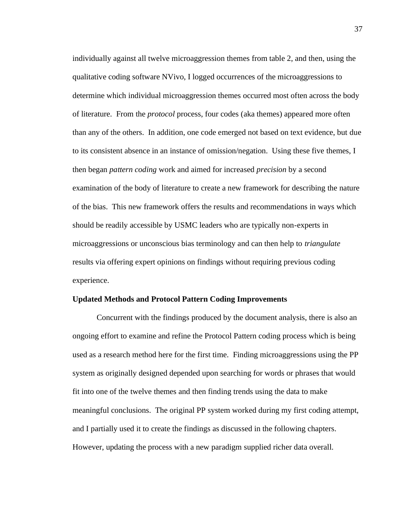individually against all twelve microaggression themes from table 2, and then, using the qualitative coding software NVivo, I logged occurrences of the microaggressions to determine which individual microaggression themes occurred most often across the body of literature. From the *protocol* process, four codes (aka themes) appeared more often than any of the others. In addition, one code emerged not based on text evidence, but due to its consistent absence in an instance of omission/negation. Using these five themes, I then began *pattern coding* work and aimed for increased *precision* by a second examination of the body of literature to create a new framework for describing the nature of the bias. This new framework offers the results and recommendations in ways which should be readily accessible by USMC leaders who are typically non-experts in microaggressions or unconscious bias terminology and can then help to *triangulate* results via offering expert opinions on findings without requiring previous coding experience.

### **Updated Methods and Protocol Pattern Coding Improvements**

Concurrent with the findings produced by the document analysis, there is also an ongoing effort to examine and refine the Protocol Pattern coding process which is being used as a research method here for the first time. Finding microaggressions using the PP system as originally designed depended upon searching for words or phrases that would fit into one of the twelve themes and then finding trends using the data to make meaningful conclusions. The original PP system worked during my first coding attempt, and I partially used it to create the findings as discussed in the following chapters. However, updating the process with a new paradigm supplied richer data overall.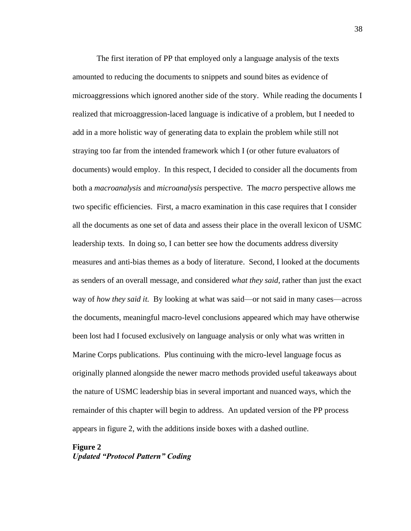The first iteration of PP that employed only a language analysis of the texts amounted to reducing the documents to snippets and sound bites as evidence of microaggressions which ignored another side of the story. While reading the documents I realized that microaggression-laced language is indicative of a problem, but I needed to add in a more holistic way of generating data to explain the problem while still not straying too far from the intended framework which I (or other future evaluators of documents) would employ. In this respect, I decided to consider all the documents from both a *macroanalysis* and *microanalysis* perspective. The *macro* perspective allows me two specific efficiencies. First, a macro examination in this case requires that I consider all the documents as one set of data and assess their place in the overall lexicon of USMC leadership texts. In doing so, I can better see how the documents address diversity measures and anti-bias themes as a body of literature. Second, I looked at the documents as senders of an overall message, and considered *what they said*, rather than just the exact way of *how they said it.* By looking at what was said—or not said in many cases—across the documents, meaningful macro-level conclusions appeared which may have otherwise been lost had I focused exclusively on language analysis or only what was written in Marine Corps publications. Plus continuing with the micro-level language focus as originally planned alongside the newer macro methods provided useful takeaways about the nature of USMC leadership bias in several important and nuanced ways, which the remainder of this chapter will begin to address. An updated version of the PP process appears in figure 2, with the additions inside boxes with a dashed outline.

# **Figure 2** *Updated "Protocol Pattern" Coding*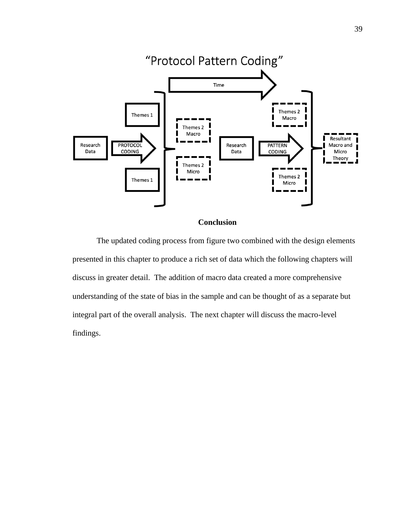



The updated coding process from figure two combined with the design elements presented in this chapter to produce a rich set of data which the following chapters will discuss in greater detail. The addition of macro data created a more comprehensive understanding of the state of bias in the sample and can be thought of as a separate but integral part of the overall analysis. The next chapter will discuss the macro-level findings.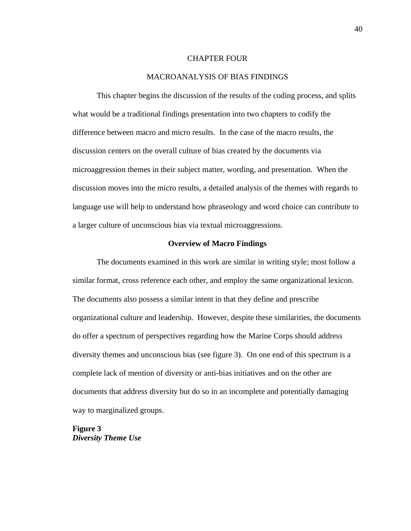### CHAPTER FOUR

### MACROANALYSIS OF BIAS FINDINGS

This chapter begins the discussion of the results of the coding process, and splits what would be a traditional findings presentation into two chapters to codify the difference between macro and micro results. In the case of the macro results, the discussion centers on the overall culture of bias created by the documents via microaggression themes in their subject matter, wording, and presentation. When the discussion moves into the micro results, a detailed analysis of the themes with regards to language use will help to understand how phraseology and word choice can contribute to a larger culture of unconscious bias via textual microaggressions.

# **Overview of Macro Findings**

The documents examined in this work are similar in writing style; most follow a similar format, cross reference each other, and employ the same organizational lexicon. The documents also possess a similar intent in that they define and prescribe organizational culture and leadership. However, despite these similarities, the documents do offer a spectrum of perspectives regarding how the Marine Corps should address diversity themes and unconscious bias (see figure 3). On one end of this spectrum is a complete lack of mention of diversity or anti-bias initiatives and on the other are documents that address diversity but do so in an incomplete and potentially damaging way to marginalized groups.

**Figure 3** *Diversity Theme Use*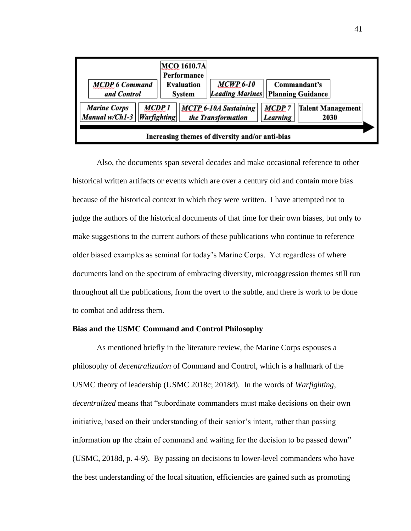| <b>MCDP 6 Command</b><br>and Control                                                                                                                                                                                                    | <b>MCO 1610.7A</b><br>Performance<br>Evaluation<br>System | <b>MCWP 6-10</b><br><b>Leading Marines</b> | Commandant's<br><b>Planning Guidance</b> |  |
|-----------------------------------------------------------------------------------------------------------------------------------------------------------------------------------------------------------------------------------------|-----------------------------------------------------------|--------------------------------------------|------------------------------------------|--|
| MCDP 1<br><b>Marine Corps</b><br><b>MCDP7</b><br>Talent Management<br><b>MCTP 6-10A Sustaining</b><br>Manual w/Ch1-3<br><b>Warfighting</b><br>the Transformation<br>Learning<br>2030<br>Increasing themes of diversity and/or anti-bias |                                                           |                                            |                                          |  |

Also, the documents span several decades and make occasional reference to other historical written artifacts or events which are over a century old and contain more bias because of the historical context in which they were written. I have attempted not to judge the authors of the historical documents of that time for their own biases, but only to make suggestions to the current authors of these publications who continue to reference older biased examples as seminal for today's Marine Corps. Yet regardless of where documents land on the spectrum of embracing diversity, microaggression themes still run throughout all the publications, from the overt to the subtle, and there is work to be done to combat and address them.

### **Bias and the USMC Command and Control Philosophy**

As mentioned briefly in the literature review, the Marine Corps espouses a philosophy of *decentralization* of Command and Control, which is a hallmark of the USMC theory of leadership (USMC 2018c; 2018d). In the words of *Warfighting, decentralized* means that "subordinate commanders must make decisions on their own initiative, based on their understanding of their senior's intent, rather than passing information up the chain of command and waiting for the decision to be passed down" (USMC, 2018d, p. 4-9). By passing on decisions to lower-level commanders who have the best understanding of the local situation, efficiencies are gained such as promoting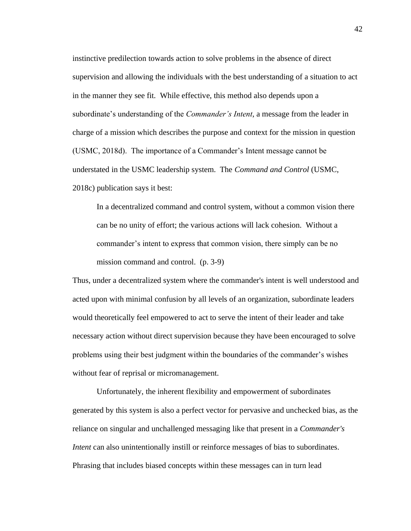instinctive predilection towards action to solve problems in the absence of direct supervision and allowing the individuals with the best understanding of a situation to act in the manner they see fit. While effective, this method also depends upon a subordinate's understanding of the *Commander's Intent*, a message from the leader in charge of a mission which describes the purpose and context for the mission in question (USMC, 2018d). The importance of a Commander's Intent message cannot be understated in the USMC leadership system. The *Command and Control* (USMC, 2018c) publication says it best:

In a decentralized command and control system, without a common vision there can be no unity of effort; the various actions will lack cohesion. Without a commander's intent to express that common vision, there simply can be no mission command and control. (p. 3-9)

Thus, under a decentralized system where the commander's intent is well understood and acted upon with minimal confusion by all levels of an organization, subordinate leaders would theoretically feel empowered to act to serve the intent of their leader and take necessary action without direct supervision because they have been encouraged to solve problems using their best judgment within the boundaries of the commander's wishes without fear of reprisal or micromanagement.

Unfortunately, the inherent flexibility and empowerment of subordinates generated by this system is also a perfect vector for pervasive and unchecked bias, as the reliance on singular and unchallenged messaging like that present in a *Commander's Intent* can also unintentionally instill or reinforce messages of bias to subordinates. Phrasing that includes biased concepts within these messages can in turn lead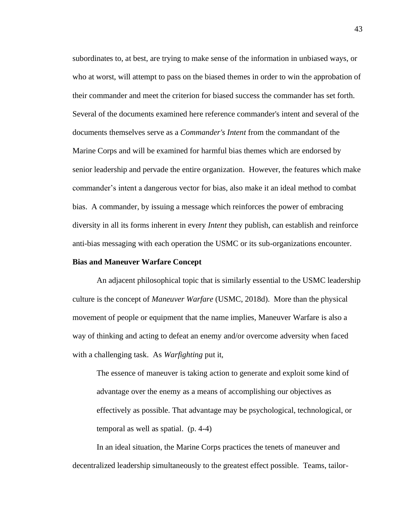subordinates to, at best, are trying to make sense of the information in unbiased ways, or who at worst, will attempt to pass on the biased themes in order to win the approbation of their commander and meet the criterion for biased success the commander has set forth. Several of the documents examined here reference commander's intent and several of the documents themselves serve as a *Commander's Intent* from the commandant of the Marine Corps and will be examined for harmful bias themes which are endorsed by senior leadership and pervade the entire organization. However, the features which make commander's intent a dangerous vector for bias, also make it an ideal method to combat bias. A commander, by issuing a message which reinforces the power of embracing diversity in all its forms inherent in every *Intent* they publish, can establish and reinforce anti-bias messaging with each operation the USMC or its sub-organizations encounter.

### **Bias and Maneuver Warfare Concept**

An adjacent philosophical topic that is similarly essential to the USMC leadership culture is the concept of *Maneuver Warfare* (USMC, 2018d). More than the physical movement of people or equipment that the name implies, Maneuver Warfare is also a way of thinking and acting to defeat an enemy and/or overcome adversity when faced with a challenging task. As *Warfighting* put it,

The essence of maneuver is taking action to generate and exploit some kind of advantage over the enemy as a means of accomplishing our objectives as effectively as possible. That advantage may be psychological, technological, or temporal as well as spatial. (p. 4-4)

In an ideal situation, the Marine Corps practices the tenets of maneuver and decentralized leadership simultaneously to the greatest effect possible. Teams, tailor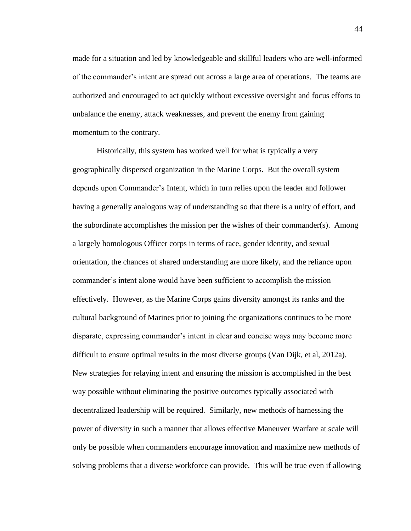made for a situation and led by knowledgeable and skillful leaders who are well-informed of the commander's intent are spread out across a large area of operations. The teams are authorized and encouraged to act quickly without excessive oversight and focus efforts to unbalance the enemy, attack weaknesses, and prevent the enemy from gaining momentum to the contrary.

Historically, this system has worked well for what is typically a very geographically dispersed organization in the Marine Corps. But the overall system depends upon Commander's Intent, which in turn relies upon the leader and follower having a generally analogous way of understanding so that there is a unity of effort, and the subordinate accomplishes the mission per the wishes of their commander(s). Among a largely homologous Officer corps in terms of race, gender identity, and sexual orientation, the chances of shared understanding are more likely, and the reliance upon commander's intent alone would have been sufficient to accomplish the mission effectively. However, as the Marine Corps gains diversity amongst its ranks and the cultural background of Marines prior to joining the organizations continues to be more disparate, expressing commander's intent in clear and concise ways may become more difficult to ensure optimal results in the most diverse groups (Van Dijk, et al, 2012a). New strategies for relaying intent and ensuring the mission is accomplished in the best way possible without eliminating the positive outcomes typically associated with decentralized leadership will be required. Similarly, new methods of harnessing the power of diversity in such a manner that allows effective Maneuver Warfare at scale will only be possible when commanders encourage innovation and maximize new methods of solving problems that a diverse workforce can provide. This will be true even if allowing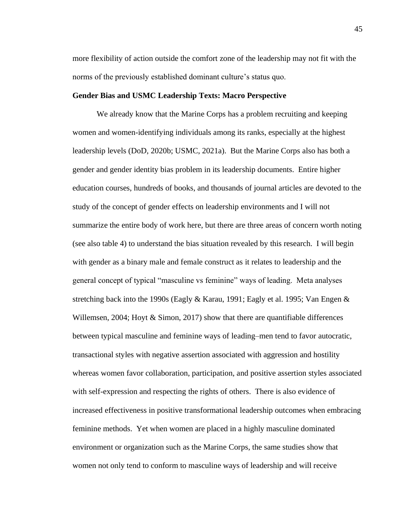more flexibility of action outside the comfort zone of the leadership may not fit with the norms of the previously established dominant culture's status quo.

### **Gender Bias and USMC Leadership Texts: Macro Perspective**

We already know that the Marine Corps has a problem recruiting and keeping women and women-identifying individuals among its ranks, especially at the highest leadership levels (DoD, 2020b; USMC, 2021a). But the Marine Corps also has both a gender and gender identity bias problem in its leadership documents. Entire higher education courses, hundreds of books, and thousands of journal articles are devoted to the study of the concept of gender effects on leadership environments and I will not summarize the entire body of work here, but there are three areas of concern worth noting (see also table 4) to understand the bias situation revealed by this research. I will begin with gender as a binary male and female construct as it relates to leadership and the general concept of typical "masculine vs feminine" ways of leading. Meta analyses stretching back into the 1990s (Eagly  $\&$  Karau, 1991; Eagly et al. 1995; Van Engen  $\&$ Willemsen, 2004; Hoyt  $\&$  Simon, 2017) show that there are quantifiable differences between typical masculine and feminine ways of leading–men tend to favor autocratic, transactional styles with negative assertion associated with aggression and hostility whereas women favor collaboration, participation, and positive assertion styles associated with self-expression and respecting the rights of others. There is also evidence of increased effectiveness in positive transformational leadership outcomes when embracing feminine methods. Yet when women are placed in a highly masculine dominated environment or organization such as the Marine Corps, the same studies show that women not only tend to conform to masculine ways of leadership and will receive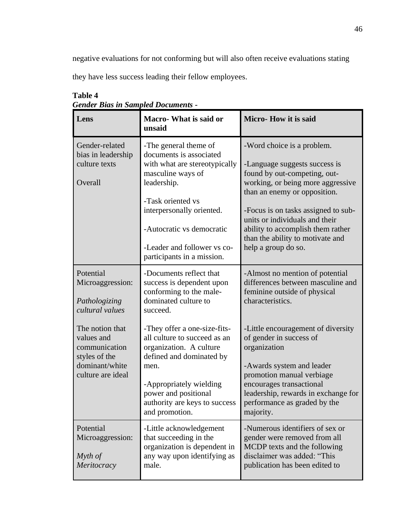negative evaluations for not conforming but will also often receive evaluations stating

they have less success leading their fellow employees.

| Lens                                                                                                   | Macro- What is said or<br>unsaid                                                                                                                                                                                                                                  | Micro-How it is said                                                                                                                                                                                                                                                                                                                      |
|--------------------------------------------------------------------------------------------------------|-------------------------------------------------------------------------------------------------------------------------------------------------------------------------------------------------------------------------------------------------------------------|-------------------------------------------------------------------------------------------------------------------------------------------------------------------------------------------------------------------------------------------------------------------------------------------------------------------------------------------|
| Gender-related<br>bias in leadership<br>culture texts<br>Overall                                       | -The general theme of<br>documents is associated<br>with what are stereotypically<br>masculine ways of<br>leadership.<br>-Task oriented vs<br>interpersonally oriented.<br>-Autocratic vs democratic<br>-Leader and follower vs co-<br>participants in a mission. | -Word choice is a problem.<br>-Language suggests success is<br>found by out-competing, out-<br>working, or being more aggressive<br>than an enemy or opposition.<br>-Focus is on tasks assigned to sub-<br>units or individuals and their<br>ability to accomplish them rather<br>than the ability to motivate and<br>help a group do so. |
| Potential<br>Microaggression:<br>Pathologizing<br>cultural values                                      | -Documents reflect that<br>success is dependent upon<br>conforming to the male-<br>dominated culture to<br>succeed.                                                                                                                                               | -Almost no mention of potential<br>differences between masculine and<br>feminine outside of physical<br>characteristics.                                                                                                                                                                                                                  |
| The notion that<br>values and<br>communication<br>styles of the<br>dominant/white<br>culture are ideal | -They offer a one-size-fits-<br>all culture to succeed as an<br>organization. A culture<br>defined and dominated by<br>men.<br>-Appropriately wielding<br>power and positional<br>authority are keys to success<br>and promotion.                                 | -Little encouragement of diversity<br>of gender in success of<br>organization<br>-Awards system and leader<br>promotion manual verbiage<br>encourages transactional<br>leadership, rewards in exchange for<br>performance as graded by the<br>majority.                                                                                   |
| Potential<br>Microaggression:<br>Myth of<br>Meritocracy                                                | -Little acknowledgement<br>that succeeding in the<br>organization is dependent in<br>any way upon identifying as<br>male.                                                                                                                                         | -Numerous identifiers of sex or<br>gender were removed from all<br>MCDP texts and the following<br>disclaimer was added: "This<br>publication has been edited to                                                                                                                                                                          |

# **Table 4** *Gender Bias in Sampled Documents -*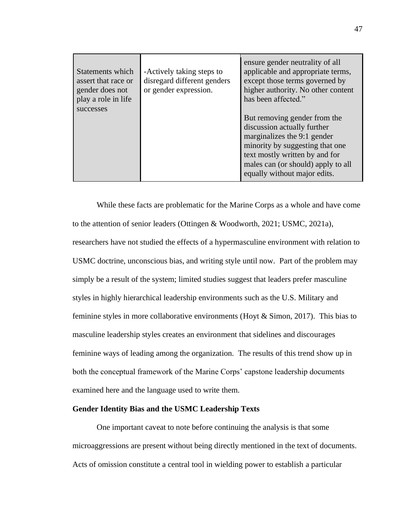| Statements which<br>assert that race or<br>gender does not<br>play a role in life<br>successes | -Actively taking steps to<br>disregard different genders<br>or gender expression. | ensure gender neutrality of all<br>applicable and appropriate terms,<br>except those terms governed by<br>higher authority. No other content<br>has been affected."                                                                   |
|------------------------------------------------------------------------------------------------|-----------------------------------------------------------------------------------|---------------------------------------------------------------------------------------------------------------------------------------------------------------------------------------------------------------------------------------|
|                                                                                                |                                                                                   | But removing gender from the<br>discussion actually further<br>marginalizes the 9:1 gender<br>minority by suggesting that one<br>text mostly written by and for<br>males can (or should) apply to all<br>equally without major edits. |

While these facts are problematic for the Marine Corps as a whole and have come to the attention of senior leaders (Ottingen & Woodworth, 2021; USMC, 2021a), researchers have not studied the effects of a hypermasculine environment with relation to USMC doctrine, unconscious bias, and writing style until now. Part of the problem may simply be a result of the system; limited studies suggest that leaders prefer masculine styles in highly hierarchical leadership environments such as the U.S. Military and feminine styles in more collaborative environments (Hoyt & Simon, 2017). This bias to masculine leadership styles creates an environment that sidelines and discourages feminine ways of leading among the organization. The results of this trend show up in both the conceptual framework of the Marine Corps' capstone leadership documents examined here and the language used to write them.

### **Gender Identity Bias and the USMC Leadership Texts**

One important caveat to note before continuing the analysis is that some microaggressions are present without being directly mentioned in the text of documents. Acts of omission constitute a central tool in wielding power to establish a particular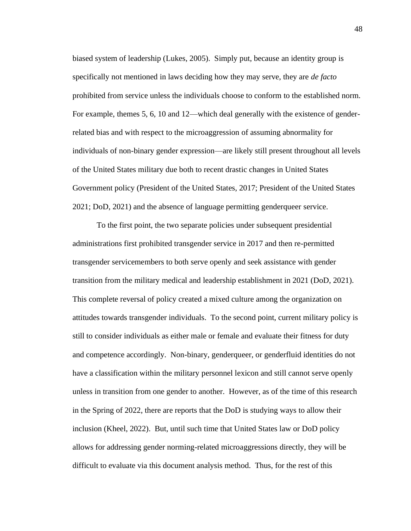biased system of leadership (Lukes, 2005). Simply put, because an identity group is specifically not mentioned in laws deciding how they may serve, they are *de facto* prohibited from service unless the individuals choose to conform to the established norm. For example, themes 5, 6, 10 and 12—which deal generally with the existence of genderrelated bias and with respect to the microaggression of assuming abnormality for individuals of non-binary gender expression—are likely still present throughout all levels of the United States military due both to recent drastic changes in United States Government policy (President of the United States, 2017; President of the United States 2021; DoD, 2021) and the absence of language permitting genderqueer service.

To the first point, the two separate policies under subsequent presidential administrations first prohibited transgender service in 2017 and then re-permitted transgender servicemembers to both serve openly and seek assistance with gender transition from the military medical and leadership establishment in 2021 (DoD, 2021). This complete reversal of policy created a mixed culture among the organization on attitudes towards transgender individuals. To the second point, current military policy is still to consider individuals as either male or female and evaluate their fitness for duty and competence accordingly. Non-binary, genderqueer, or genderfluid identities do not have a classification within the military personnel lexicon and still cannot serve openly unless in transition from one gender to another. However, as of the time of this research in the Spring of 2022, there are reports that the DoD is studying ways to allow their inclusion (Kheel, 2022). But, until such time that United States law or DoD policy allows for addressing gender norming-related microaggressions directly, they will be difficult to evaluate via this document analysis method. Thus, for the rest of this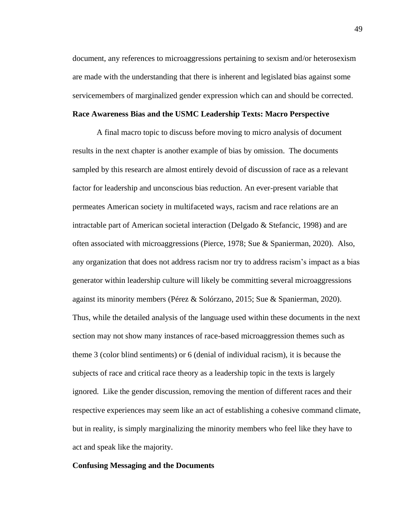document, any references to microaggressions pertaining to sexism and/or heterosexism are made with the understanding that there is inherent and legislated bias against some servicemembers of marginalized gender expression which can and should be corrected.

### **Race Awareness Bias and the USMC Leadership Texts: Macro Perspective**

A final macro topic to discuss before moving to micro analysis of document results in the next chapter is another example of bias by omission. The documents sampled by this research are almost entirely devoid of discussion of race as a relevant factor for leadership and unconscious bias reduction. An ever-present variable that permeates American society in multifaceted ways, racism and race relations are an intractable part of American societal interaction (Delgado & Stefancic, 1998) and are often associated with microaggressions (Pierce, 1978; Sue & Spanierman, 2020). Also, any organization that does not address racism nor try to address racism's impact as a bias generator within leadership culture will likely be committing several microaggressions against its minority members (Pérez & Solórzano, 2015; Sue & Spanierman, 2020). Thus, while the detailed analysis of the language used within these documents in the next section may not show many instances of race-based microaggression themes such as theme 3 (color blind sentiments) or 6 (denial of individual racism), it is because the subjects of race and critical race theory as a leadership topic in the texts is largely ignored*.* Like the gender discussion, removing the mention of different races and their respective experiences may seem like an act of establishing a cohesive command climate, but in reality, is simply marginalizing the minority members who feel like they have to act and speak like the majority.

### **Confusing Messaging and the Documents**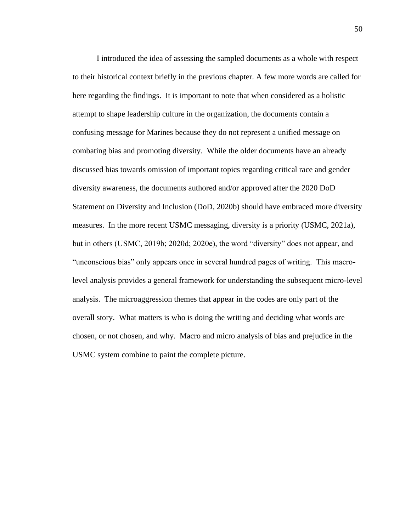I introduced the idea of assessing the sampled documents as a whole with respect to their historical context briefly in the previous chapter. A few more words are called for here regarding the findings. It is important to note that when considered as a holistic attempt to shape leadership culture in the organization, the documents contain a confusing message for Marines because they do not represent a unified message on combating bias and promoting diversity. While the older documents have an already discussed bias towards omission of important topics regarding critical race and gender diversity awareness, the documents authored and/or approved after the 2020 DoD Statement on Diversity and Inclusion (DoD, 2020b) should have embraced more diversity measures. In the more recent USMC messaging, diversity is a priority (USMC, 2021a), but in others (USMC, 2019b; 2020d; 2020e), the word "diversity" does not appear, and "unconscious bias" only appears once in several hundred pages of writing. This macrolevel analysis provides a general framework for understanding the subsequent micro-level analysis. The microaggression themes that appear in the codes are only part of the overall story. What matters is who is doing the writing and deciding what words are chosen, or not chosen, and why. Macro and micro analysis of bias and prejudice in the USMC system combine to paint the complete picture.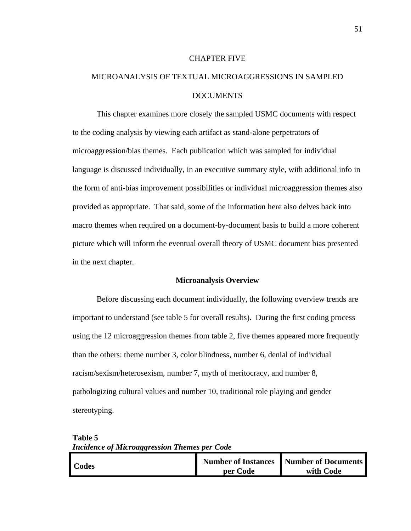#### CHAPTER FIVE

# MICROANALYSIS OF TEXTUAL MICROAGGRESSIONS IN SAMPLED DOCUMENTS

This chapter examines more closely the sampled USMC documents with respect to the coding analysis by viewing each artifact as stand-alone perpetrators of microaggression/bias themes. Each publication which was sampled for individual language is discussed individually, in an executive summary style, with additional info in the form of anti-bias improvement possibilities or individual microaggression themes also provided as appropriate. That said, some of the information here also delves back into macro themes when required on a document-by-document basis to build a more coherent picture which will inform the eventual overall theory of USMC document bias presented in the next chapter.

### **Microanalysis Overview**

Before discussing each document individually, the following overview trends are important to understand (see table 5 for overall results). During the first coding process using the 12 microaggression themes from table 2, five themes appeared more frequently than the others: theme number 3, color blindness, number 6, denial of individual racism/sexism/heterosexism, number 7, myth of meritocracy, and number 8, pathologizing cultural values and number 10, traditional role playing and gender stereotyping.

| <b>Codes</b> |          | Number of Instances Number of Documents |
|--------------|----------|-----------------------------------------|
|              | per Code | with Code                               |

**Table 5** *Incidence of Microaggression Themes per Code*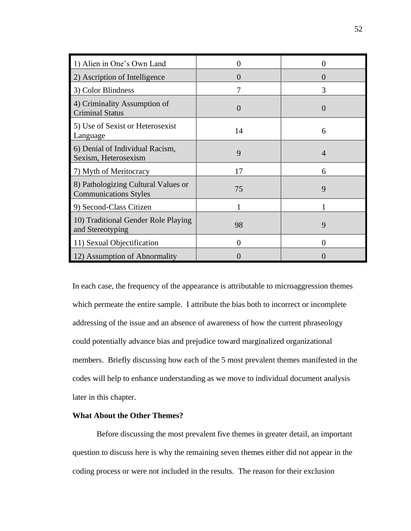| 1) Alien in One's Own Land                                          | 0             | 0 |
|---------------------------------------------------------------------|---------------|---|
| 2) Ascription of Intelligence                                       | $\mathcal{L}$ | 0 |
| 3) Color Blindness                                                  | 7             | 3 |
| 4) Criminality Assumption of<br><b>Criminal Status</b>              | $\Omega$      |   |
| 5) Use of Sexist or Heterosexist<br>Language                        | 14            | 6 |
| 6) Denial of Individual Racism,<br>Sexism, Heterosexism             | 9             | 4 |
| 7) Myth of Meritocracy                                              | 17            | 6 |
| 8) Pathologizing Cultural Values or<br><b>Communications Styles</b> | 75            | 9 |
| 9) Second-Class Citizen                                             |               |   |
| 10) Traditional Gender Role Playing<br>and Stereotyping             | 98            | 9 |
| 11) Sexual Objectification                                          | 0             | 0 |
| 12) Assumption of Abnormality                                       |               |   |

In each case, the frequency of the appearance is attributable to microaggression themes which permeate the entire sample. I attribute the bias both to incorrect or incomplete addressing of the issue and an absence of awareness of how the current phraseology could potentially advance bias and prejudice toward marginalized organizational members. Briefly discussing how each of the 5 most prevalent themes manifested in the codes will help to enhance understanding as we move to individual document analysis later in this chapter.

# **What About the Other Themes?**

Before discussing the most prevalent five themes in greater detail, an important question to discuss here is why the remaining seven themes either did not appear in the coding process or were not included in the results. The reason for their exclusion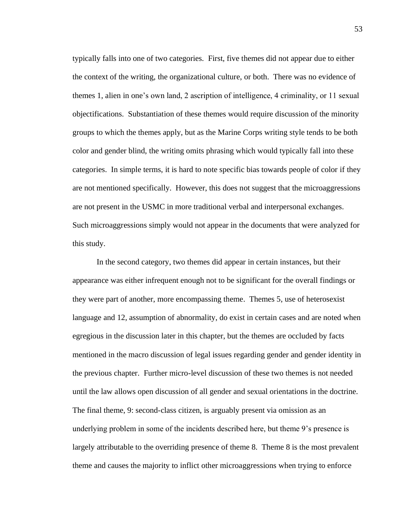typically falls into one of two categories. First, five themes did not appear due to either the context of the writing, the organizational culture, or both. There was no evidence of themes 1, alien in one's own land, 2 ascription of intelligence, 4 criminality, or 11 sexual objectifications. Substantiation of these themes would require discussion of the minority groups to which the themes apply, but as the Marine Corps writing style tends to be both color and gender blind, the writing omits phrasing which would typically fall into these categories. In simple terms, it is hard to note specific bias towards people of color if they are not mentioned specifically. However, this does not suggest that the microaggressions are not present in the USMC in more traditional verbal and interpersonal exchanges. Such microaggressions simply would not appear in the documents that were analyzed for this study.

In the second category, two themes did appear in certain instances, but their appearance was either infrequent enough not to be significant for the overall findings or they were part of another, more encompassing theme. Themes 5, use of heterosexist language and 12, assumption of abnormality, do exist in certain cases and are noted when egregious in the discussion later in this chapter, but the themes are occluded by facts mentioned in the macro discussion of legal issues regarding gender and gender identity in the previous chapter. Further micro-level discussion of these two themes is not needed until the law allows open discussion of all gender and sexual orientations in the doctrine. The final theme, 9: second-class citizen, is arguably present via omission as an underlying problem in some of the incidents described here, but theme 9's presence is largely attributable to the overriding presence of theme 8. Theme 8 is the most prevalent theme and causes the majority to inflict other microaggressions when trying to enforce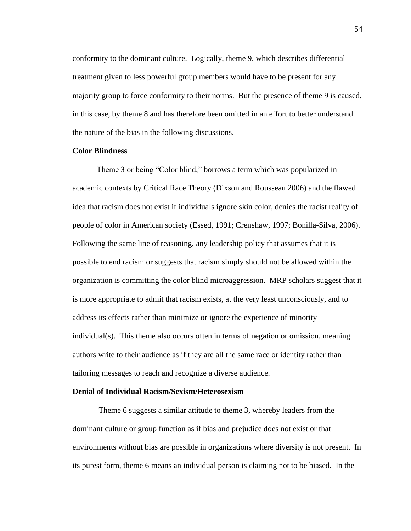conformity to the dominant culture. Logically, theme 9, which describes differential treatment given to less powerful group members would have to be present for any majority group to force conformity to their norms. But the presence of theme 9 is caused, in this case, by theme 8 and has therefore been omitted in an effort to better understand the nature of the bias in the following discussions.

# **Color Blindness**

Theme 3 or being "Color blind," borrows a term which was popularized in academic contexts by Critical Race Theory (Dixson and Rousseau 2006) and the flawed idea that racism does not exist if individuals ignore skin color, denies the racist reality of people of color in American society (Essed, 1991; Crenshaw, 1997; Bonilla-Silva, 2006). Following the same line of reasoning, any leadership policy that assumes that it is possible to end racism or suggests that racism simply should not be allowed within the organization is committing the color blind microaggression. MRP scholars suggest that it is more appropriate to admit that racism exists, at the very least unconsciously, and to address its effects rather than minimize or ignore the experience of minority individual(s). This theme also occurs often in terms of negation or omission, meaning authors write to their audience as if they are all the same race or identity rather than tailoring messages to reach and recognize a diverse audience.

### **Denial of Individual Racism/Sexism/Heterosexism**

Theme 6 suggests a similar attitude to theme 3, whereby leaders from the dominant culture or group function as if bias and prejudice does not exist or that environments without bias are possible in organizations where diversity is not present. In its purest form, theme 6 means an individual person is claiming not to be biased. In the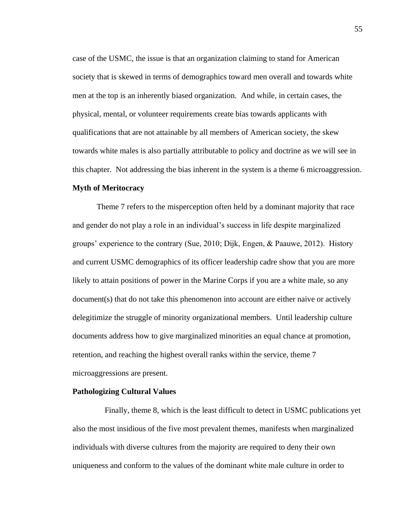case of the USMC, the issue is that an organization claiming to stand for American society that is skewed in terms of demographics toward men overall and towards white men at the top is an inherently biased organization. And while, in certain cases, the physical, mental, or volunteer requirements create bias towards applicants with qualifications that are not attainable by all members of American society, the skew towards white males is also partially attributable to policy and doctrine as we will see in this chapter. Not addressing the bias inherent in the system is a theme 6 microaggression. **Myth of Meritocracy** 

Theme 7 refers to the misperception often held by a dominant majority that race and gender do not play a role in an individual's success in life despite marginalized groups' experience to the contrary (Sue, 2010; Dijk, Engen, & Paauwe, 2012). History and current USMC demographics of its officer leadership cadre show that you are more likely to attain positions of power in the Marine Corps if you are a white male, so any document(s) that do not take this phenomenon into account are either naive or actively delegitimize the struggle of minority organizational members. Until leadership culture documents address how to give marginalized minorities an equal chance at promotion, retention, and reaching the highest overall ranks within the service, theme 7 microaggressions are present.

## **Pathologizing Cultural Values**

 Finally, theme 8, which is the least difficult to detect in USMC publications yet also the most insidious of the five most prevalent themes, manifests when marginalized individuals with diverse cultures from the majority are required to deny their own uniqueness and conform to the values of the dominant white male culture in order to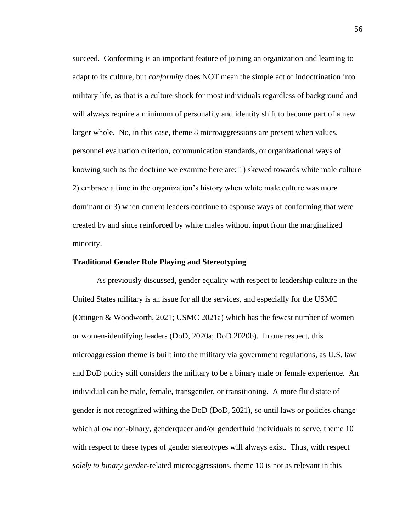succeed. Conforming is an important feature of joining an organization and learning to adapt to its culture, but *conformity* does NOT mean the simple act of indoctrination into military life, as that is a culture shock for most individuals regardless of background and will always require a minimum of personality and identity shift to become part of a new larger whole. No, in this case, theme 8 microaggressions are present when values, personnel evaluation criterion, communication standards, or organizational ways of knowing such as the doctrine we examine here are: 1) skewed towards white male culture 2) embrace a time in the organization's history when white male culture was more dominant or 3) when current leaders continue to espouse ways of conforming that were created by and since reinforced by white males without input from the marginalized minority.

## **Traditional Gender Role Playing and Stereotyping**

As previously discussed, gender equality with respect to leadership culture in the United States military is an issue for all the services, and especially for the USMC (Ottingen & Woodworth, 2021; USMC 2021a) which has the fewest number of women or women-identifying leaders (DoD, 2020a; DoD 2020b). In one respect, this microaggression theme is built into the military via government regulations, as U.S. law and DoD policy still considers the military to be a binary male or female experience. An individual can be male, female, transgender, or transitioning. A more fluid state of gender is not recognized withing the DoD (DoD, 2021), so until laws or policies change which allow non-binary, genderqueer and/or genderfluid individuals to serve, theme 10 with respect to these types of gender stereotypes will always exist. Thus, with respect *solely to binary gender*-related microaggressions, theme 10 is not as relevant in this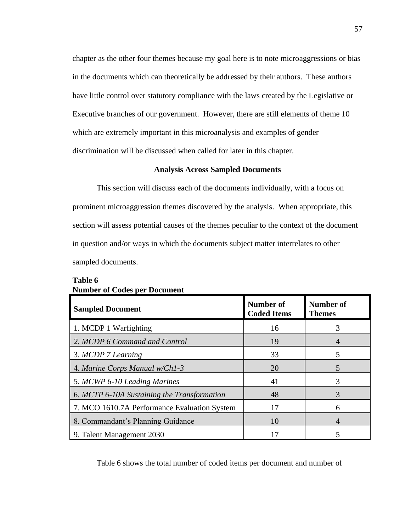chapter as the other four themes because my goal here is to note microaggressions or bias in the documents which can theoretically be addressed by their authors. These authors have little control over statutory compliance with the laws created by the Legislative or Executive branches of our government. However, there are still elements of theme 10 which are extremely important in this microanalysis and examples of gender discrimination will be discussed when called for later in this chapter.

## **Analysis Across Sampled Documents**

This section will discuss each of the documents individually, with a focus on prominent microaggression themes discovered by the analysis. When appropriate, this section will assess potential causes of the themes peculiar to the context of the document in question and/or ways in which the documents subject matter interrelates to other sampled documents.

| <b>Sampled Document</b>                      | Number of<br><b>Coded Items</b> | <b>Number of</b><br><b>Themes</b> |
|----------------------------------------------|---------------------------------|-----------------------------------|
| 1. MCDP 1 Warfighting                        | 16                              | 3                                 |
| 2. MCDP 6 Command and Control                | 19                              | $\overline{4}$                    |
| 3. MCDP 7 Learning                           | 33                              | 5                                 |
| 4. Marine Corps Manual w/Ch1-3               | 20                              | 5                                 |
| 5. MCWP 6-10 Leading Marines                 | 41                              | 3                                 |
| 6. MCTP 6-10A Sustaining the Transformation  | 48                              | 3                                 |
| 7. MCO 1610.7A Performance Evaluation System | 17                              | 6                                 |
| 8. Commandant's Planning Guidance            | 10                              | 4                                 |
| 9. Talent Management 2030                    |                                 |                                   |

# **Table 6 Number of Codes per Document**

Table 6 shows the total number of coded items per document and number of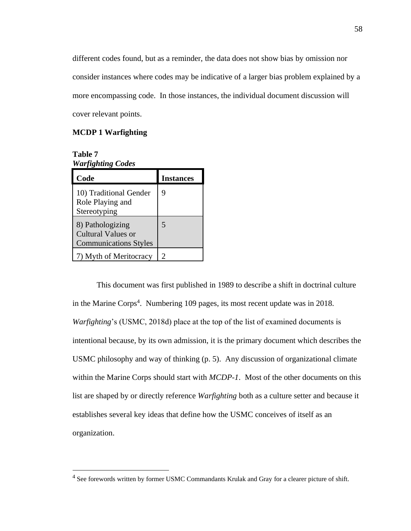different codes found, but as a reminder, the data does not show bias by omission nor consider instances where codes may be indicative of a larger bias problem explained by a more encompassing code. In those instances, the individual document discussion will cover relevant points.

# **MCDP 1 Warfighting**

**Table 7** *Warfighting Codes*

| Code                                                                   | <b>Instances</b> |
|------------------------------------------------------------------------|------------------|
| 10) Traditional Gender<br>Role Playing and<br>Stereotyping             | 9                |
| 8) Pathologizing<br>Cultural Values or<br><b>Communications Styles</b> | 5                |
| 7) Myth of Meritocracy                                                 | 2                |

This document was first published in 1989 to describe a shift in doctrinal culture in the Marine Corps<sup>4</sup>. Numbering 109 pages, its most recent update was in 2018. *Warfighting*'s (USMC, 2018d) place at the top of the list of examined documents is intentional because, by its own admission, it is the primary document which describes the USMC philosophy and way of thinking (p. 5). Any discussion of organizational climate within the Marine Corps should start with *MCDP-1*. Most of the other documents on this list are shaped by or directly reference *Warfighting* both as a culture setter and because it establishes several key ideas that define how the USMC conceives of itself as an organization.

<sup>&</sup>lt;sup>4</sup> See forewords written by former USMC Commandants Krulak and Gray for a clearer picture of shift.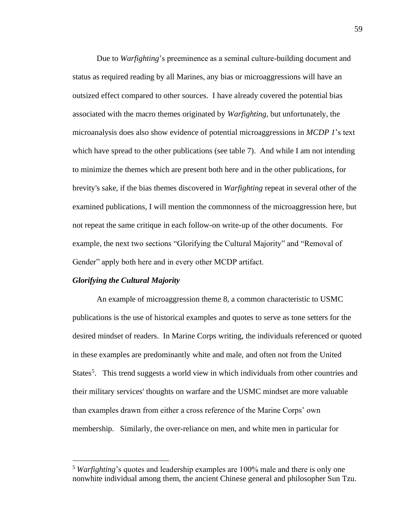Due to *Warfighting*'s preeminence as a seminal culture-building document and status as required reading by all Marines, any bias or microaggressions will have an outsized effect compared to other sources. I have already covered the potential bias associated with the macro themes originated by *Warfighting,* but unfortunately, the microanalysis does also show evidence of potential microaggressions in *MCDP 1*'s text which have spread to the other publications (see table 7). And while I am not intending to minimize the themes which are present both here and in the other publications, for brevity's sake, if the bias themes discovered in *Warfighting* repeat in several other of the examined publications, I will mention the commonness of the microaggression here, but not repeat the same critique in each follow-on write-up of the other documents. For example, the next two sections "Glorifying the Cultural Majority" and "Removal of Gender" apply both here and in every other MCDP artifact.

## *Glorifying the Cultural Majority*

An example of microaggression theme 8, a common characteristic to USMC publications is the use of historical examples and quotes to serve as tone setters for the desired mindset of readers. In Marine Corps writing, the individuals referenced or quoted in these examples are predominantly white and male, and often not from the United States<sup>5</sup>. This trend suggests a world view in which individuals from other countries and their military services' thoughts on warfare and the USMC mindset are more valuable than examples drawn from either a cross reference of the Marine Corps' own membership. Similarly, the over-reliance on men, and white men in particular for

<sup>5</sup> *Warfighting*'s quotes and leadership examples are 100% male and there is only one nonwhite individual among them, the ancient Chinese general and philosopher Sun Tzu.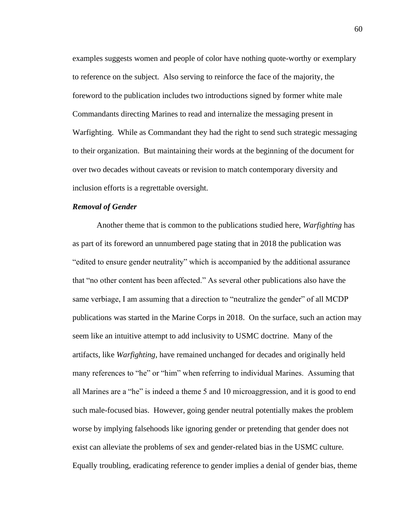examples suggests women and people of color have nothing quote-worthy or exemplary to reference on the subject. Also serving to reinforce the face of the majority, the foreword to the publication includes two introductions signed by former white male Commandants directing Marines to read and internalize the messaging present in Warfighting. While as Commandant they had the right to send such strategic messaging to their organization. But maintaining their words at the beginning of the document for over two decades without caveats or revision to match contemporary diversity and inclusion efforts is a regrettable oversight.

## *Removal of Gender*

Another theme that is common to the publications studied here, *Warfighting* has as part of its foreword an unnumbered page stating that in 2018 the publication was "edited to ensure gender neutrality" which is accompanied by the additional assurance that "no other content has been affected." As several other publications also have the same verbiage, I am assuming that a direction to "neutralize the gender" of all MCDP publications was started in the Marine Corps in 2018. On the surface, such an action may seem like an intuitive attempt to add inclusivity to USMC doctrine. Many of the artifacts, like *Warfighting*, have remained unchanged for decades and originally held many references to "he" or "him" when referring to individual Marines. Assuming that all Marines are a "he" is indeed a theme 5 and 10 microaggression, and it is good to end such male-focused bias. However, going gender neutral potentially makes the problem worse by implying falsehoods like ignoring gender or pretending that gender does not exist can alleviate the problems of sex and gender-related bias in the USMC culture. Equally troubling, eradicating reference to gender implies a denial of gender bias, theme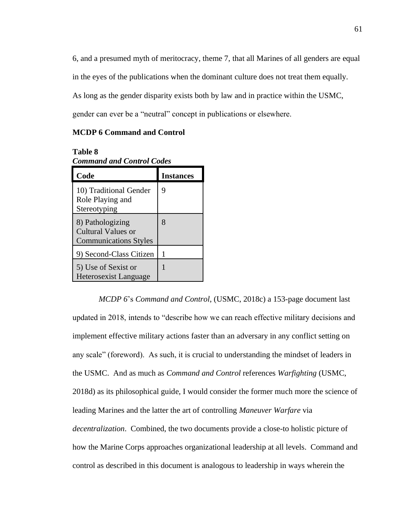6, and a presumed myth of meritocracy, theme 7, that all Marines of all genders are equal in the eyes of the publications when the dominant culture does not treat them equally. As long as the gender disparity exists both by law and in practice within the USMC, gender can ever be a "neutral" concept in publications or elsewhere.

## **MCDP 6 Command and Control**

## **Table 8**

| Code                                                                   | <b>Instances</b> |
|------------------------------------------------------------------------|------------------|
| 10) Traditional Gender<br>Role Playing and<br>Stereotyping             | 9                |
| 8) Pathologizing<br>Cultural Values or<br><b>Communications Styles</b> | 8                |
| 9) Second-Class Citizen                                                |                  |
| 5) Use of Sexist or<br><b>Heterosexist Language</b>                    |                  |

*Command and Control Codes*

*MCDP 6*'s *Command and Control*, (USMC, 2018c) a 153-page document last updated in 2018, intends to "describe how we can reach effective military decisions and implement effective military actions faster than an adversary in any conflict setting on any scale" (foreword). As such, it is crucial to understanding the mindset of leaders in the USMC. And as much as *Command and Control* references *Warfighting* (USMC, 2018d) as its philosophical guide, I would consider the former much more the science of leading Marines and the latter the art of controlling *Maneuver Warfare* via *decentralization*. Combined, the two documents provide a close-to holistic picture of how the Marine Corps approaches organizational leadership at all levels. Command and control as described in this document is analogous to leadership in ways wherein the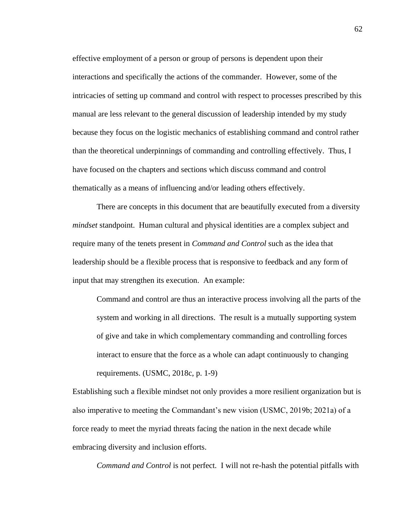effective employment of a person or group of persons is dependent upon their interactions and specifically the actions of the commander. However, some of the intricacies of setting up command and control with respect to processes prescribed by this manual are less relevant to the general discussion of leadership intended by my study because they focus on the logistic mechanics of establishing command and control rather than the theoretical underpinnings of commanding and controlling effectively. Thus, I have focused on the chapters and sections which discuss command and control thematically as a means of influencing and/or leading others effectively.

There are concepts in this document that are beautifully executed from a diversity *mindset* standpoint. Human cultural and physical identities are a complex subject and require many of the tenets present in *Command and Control* such as the idea that leadership should be a flexible process that is responsive to feedback and any form of input that may strengthen its execution. An example:

Command and control are thus an interactive process involving all the parts of the system and working in all directions. The result is a mutually supporting system of give and take in which complementary commanding and controlling forces interact to ensure that the force as a whole can adapt continuously to changing requirements. (USMC, 2018c, p. 1-9)

Establishing such a flexible mindset not only provides a more resilient organization but is also imperative to meeting the Commandant's new vision (USMC, 2019b; 2021a) of a force ready to meet the myriad threats facing the nation in the next decade while embracing diversity and inclusion efforts.

*Command and Control* is not perfect. I will not re-hash the potential pitfalls with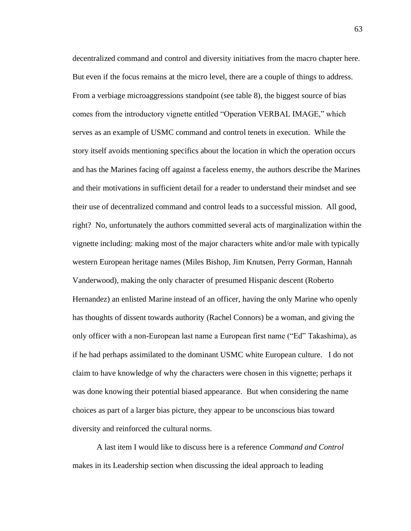decentralized command and control and diversity initiatives from the macro chapter here. But even if the focus remains at the micro level, there are a couple of things to address. From a verbiage microaggressions standpoint (see table 8), the biggest source of bias comes from the introductory vignette entitled "Operation VERBAL IMAGE," which serves as an example of USMC command and control tenets in execution. While the story itself avoids mentioning specifics about the location in which the operation occurs and has the Marines facing off against a faceless enemy, the authors describe the Marines and their motivations in sufficient detail for a reader to understand their mindset and see their use of decentralized command and control leads to a successful mission. All good, right? No, unfortunately the authors committed several acts of marginalization within the vignette including: making most of the major characters white and/or male with typically western European heritage names (Miles Bishop, Jim Knutsen, Perry Gorman, Hannah Vanderwood), making the only character of presumed Hispanic descent (Roberto Hernandez) an enlisted Marine instead of an officer, having the only Marine who openly has thoughts of dissent towards authority (Rachel Connors) be a woman, and giving the only officer with a non-European last name a European first name ("Ed" Takashima), as if he had perhaps assimilated to the dominant USMC white European culture. I do not claim to have knowledge of why the characters were chosen in this vignette; perhaps it was done knowing their potential biased appearance. But when considering the name choices as part of a larger bias picture, they appear to be unconscious bias toward diversity and reinforced the cultural norms.

A last item I would like to discuss here is a reference *Command and Control* makes in its Leadership section when discussing the ideal approach to leading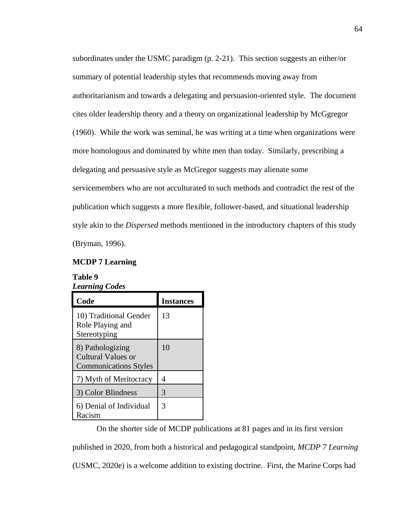subordinates under the USMC paradigm (p. 2-21). This section suggests an either/or summary of potential leadership styles that recommends moving away from authoritarianism and towards a delegating and persuasion-oriented style. The document cites older leadership theory and a theory on organizational leadership by McGgregor (1960). While the work was seminal, he was writing at a time when organizations were more homologous and dominated by white men than today. Similarly, prescribing a delegating and persuasive style as McGregor suggests may alienate some servicemembers who are not acculturated to such methods and contradict the rest of the publication which suggests a more flexible, follower-based, and situational leadership style akin to the *Dispersed* methods mentioned in the introductory chapters of this study (Bryman, 1996).

## **MCDP 7 Learning**

# **Table 9** *Learning Codes*

| Code                                                                   | <b>Instances</b> |
|------------------------------------------------------------------------|------------------|
| 10) Traditional Gender<br>Role Playing and<br>Stereotyping             | 13               |
| 8) Pathologizing<br>Cultural Values or<br><b>Communications Styles</b> | 10               |
| 7) Myth of Meritocracy                                                 | 4                |
| 3) Color Blindness                                                     | 3                |
| 6) Denial of Individual<br>Racism                                      | 3                |

On the shorter side of MCDP publications at 81 pages and in its first version published in 2020, from both a historical and pedagogical standpoint, *MCDP 7 Learning* (USMC, 2020e) is a welcome addition to existing doctrine. First, the Marine Corps had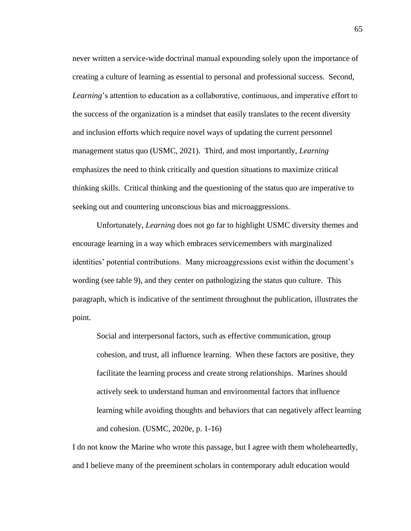never written a service-wide doctrinal manual expounding solely upon the importance of creating a culture of learning as essential to personal and professional success. Second, *Learning*'s attention to education as a collaborative, continuous, and imperative effort to the success of the organization is a mindset that easily translates to the recent diversity and inclusion efforts which require novel ways of updating the current personnel management status quo (USMC, 2021). Third, and most importantly, *Learning* emphasizes the need to think critically and question situations to maximize critical thinking skills. Critical thinking and the questioning of the status quo are imperative to seeking out and countering unconscious bias and microaggressions.

Unfortunately, *Learning* does not go far to highlight USMC diversity themes and encourage learning in a way which embraces servicemembers with marginalized identities' potential contributions. Many microaggressions exist within the document's wording (see table 9), and they center on pathologizing the status quo culture. This paragraph, which is indicative of the sentiment throughout the publication, illustrates the point.

Social and interpersonal factors, such as effective communication, group cohesion, and trust, all influence learning. When these factors are positive, they facilitate the learning process and create strong relationships. Marines should actively seek to understand human and environmental factors that influence learning while avoiding thoughts and behaviors that can negatively affect learning and cohesion. (USMC, 2020e, p. 1-16)

I do not know the Marine who wrote this passage, but I agree with them wholeheartedly, and I believe many of the preeminent scholars in contemporary adult education would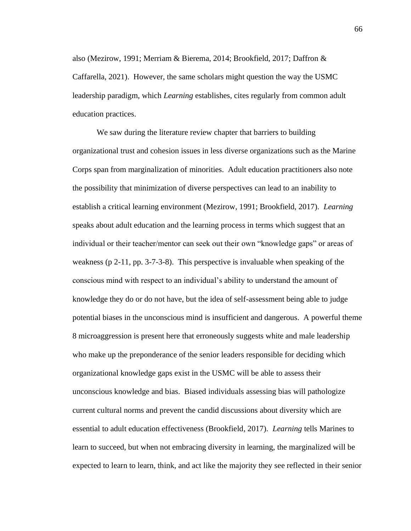also (Mezirow, 1991; Merriam & Bierema, 2014; Brookfield, 2017; Daffron & Caffarella, 2021). However, the same scholars might question the way the USMC leadership paradigm, which *Learning* establishes, cites regularly from common adult education practices.

We saw during the literature review chapter that barriers to building organizational trust and cohesion issues in less diverse organizations such as the Marine Corps span from marginalization of minorities. Adult education practitioners also note the possibility that minimization of diverse perspectives can lead to an inability to establish a critical learning environment (Mezirow, 1991; Brookfield, 2017). *Learning*  speaks about adult education and the learning process in terms which suggest that an individual or their teacher/mentor can seek out their own "knowledge gaps" or areas of weakness (p 2-11, pp. 3-7-3-8). This perspective is invaluable when speaking of the conscious mind with respect to an individual's ability to understand the amount of knowledge they do or do not have, but the idea of self-assessment being able to judge potential biases in the unconscious mind is insufficient and dangerous. A powerful theme 8 microaggression is present here that erroneously suggests white and male leadership who make up the preponderance of the senior leaders responsible for deciding which organizational knowledge gaps exist in the USMC will be able to assess their unconscious knowledge and bias. Biased individuals assessing bias will pathologize current cultural norms and prevent the candid discussions about diversity which are essential to adult education effectiveness (Brookfield, 2017). *Learning* tells Marines to learn to succeed, but when not embracing diversity in learning, the marginalized will be expected to learn to learn, think, and act like the majority they see reflected in their senior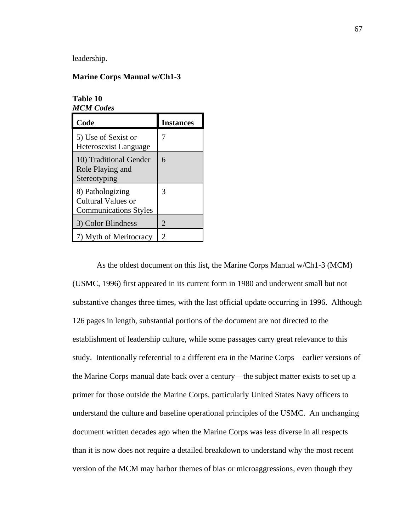leadership.

## **Marine Corps Manual w/Ch1-3**

**Table 10** *MCM Codes*

| Code                                                                   | <b>Instances</b> |
|------------------------------------------------------------------------|------------------|
| 5) Use of Sexist or<br>Heterosexist Language                           |                  |
| 10) Traditional Gender<br>Role Playing and<br>Stereotyping             | 6                |
| 8) Pathologizing<br>Cultural Values or<br><b>Communications Styles</b> | 3                |
| 3) Color Blindness                                                     | $\overline{2}$   |
| 7) Myth of Meritocracy                                                 | 2                |

As the oldest document on this list, the Marine Corps Manual w/Ch1-3 (MCM) (USMC, 1996) first appeared in its current form in 1980 and underwent small but not substantive changes three times, with the last official update occurring in 1996. Although 126 pages in length, substantial portions of the document are not directed to the establishment of leadership culture, while some passages carry great relevance to this study. Intentionally referential to a different era in the Marine Corps—earlier versions of the Marine Corps manual date back over a century—the subject matter exists to set up a primer for those outside the Marine Corps, particularly United States Navy officers to understand the culture and baseline operational principles of the USMC. An unchanging document written decades ago when the Marine Corps was less diverse in all respects than it is now does not require a detailed breakdown to understand why the most recent version of the MCM may harbor themes of bias or microaggressions, even though they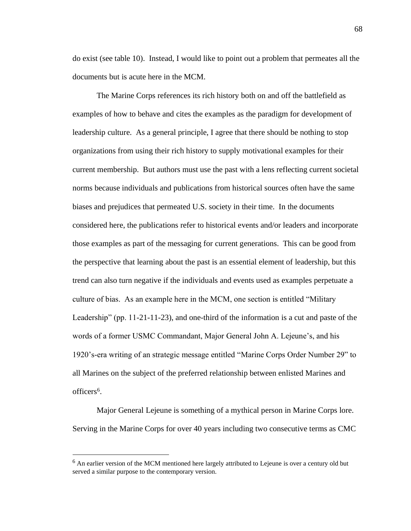do exist (see table 10). Instead, I would like to point out a problem that permeates all the documents but is acute here in the MCM.

The Marine Corps references its rich history both on and off the battlefield as examples of how to behave and cites the examples as the paradigm for development of leadership culture. As a general principle, I agree that there should be nothing to stop organizations from using their rich history to supply motivational examples for their current membership. But authors must use the past with a lens reflecting current societal norms because individuals and publications from historical sources often have the same biases and prejudices that permeated U.S. society in their time. In the documents considered here, the publications refer to historical events and/or leaders and incorporate those examples as part of the messaging for current generations. This can be good from the perspective that learning about the past is an essential element of leadership, but this trend can also turn negative if the individuals and events used as examples perpetuate a culture of bias. As an example here in the MCM, one section is entitled "Military Leadership" (pp. 11-21-11-23), and one-third of the information is a cut and paste of the words of a former USMC Commandant, Major General John A. Lejeune's, and his 1920's-era writing of an strategic message entitled "Marine Corps Order Number 29" to all Marines on the subject of the preferred relationship between enlisted Marines and officers<sup>6</sup>.

Major General Lejeune is something of a mythical person in Marine Corps lore. Serving in the Marine Corps for over 40 years including two consecutive terms as CMC

 $<sup>6</sup>$  An earlier version of the MCM mentioned here largely attributed to Lejeune is over a century old but</sup> served a similar purpose to the contemporary version.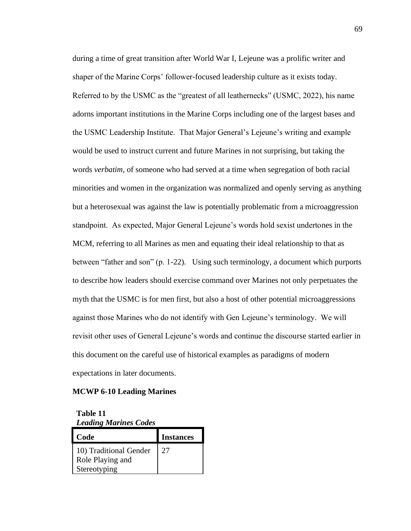during a time of great transition after World War I, Lejeune was a prolific writer and shaper of the Marine Corps' follower-focused leadership culture as it exists today. Referred to by the USMC as the "greatest of all leathernecks" (USMC, 2022), his name adorns important institutions in the Marine Corps including one of the largest bases and the USMC Leadership Institute. That Major General's Lejeune's writing and example would be used to instruct current and future Marines in not surprising, but taking the words *verbatim*, of someone who had served at a time when segregation of both racial minorities and women in the organization was normalized and openly serving as anything but a heterosexual was against the law is potentially problematic from a microaggression standpoint. As expected, Major General Lejeune's words hold sexist undertones in the MCM, referring to all Marines as men and equating their ideal relationship to that as between "father and son" (p. 1-22). Using such terminology, a document which purports to describe how leaders should exercise command over Marines not only perpetuates the myth that the USMC is for men first, but also a host of other potential microaggressions against those Marines who do not identify with Gen Lejeune's terminology. We will revisit other uses of General Lejeune's words and continue the discourse started earlier in this document on the careful use of historical examples as paradigms of modern expectations in later documents.

## **MCWP 6-10 Leading Marines**

**Table 11** *Leading Marines Codes*

| Code                                                       | <b>Instances</b> |
|------------------------------------------------------------|------------------|
| 10) Traditional Gender<br>Role Playing and<br>Stereotyping | 27               |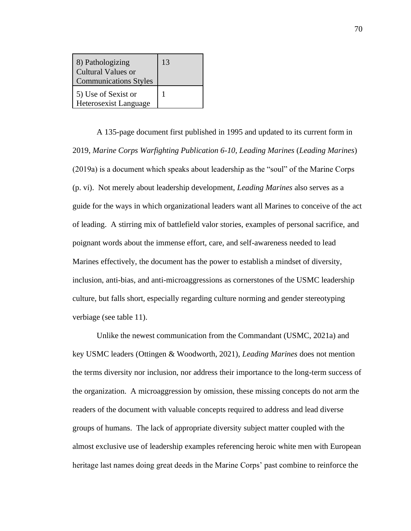| 8) Pathologizing<br><b>Cultural Values or</b><br><b>Communications Styles</b> | 13 |
|-------------------------------------------------------------------------------|----|
| 5) Use of Sexist or<br>Heterosexist Language                                  |    |

A 135-page document first published in 1995 and updated to its current form in 2019, *Marine Corps Warfighting Publication 6-10, Leading Marines* (*Leading Marines*) (2019a) is a document which speaks about leadership as the "soul" of the Marine Corps (p. vi). Not merely about leadership development, *Leading Marines* also serves as a guide for the ways in which organizational leaders want all Marines to conceive of the act of leading. A stirring mix of battlefield valor stories, examples of personal sacrifice, and poignant words about the immense effort, care, and self-awareness needed to lead Marines effectively, the document has the power to establish a mindset of diversity, inclusion, anti-bias, and anti-microaggressions as cornerstones of the USMC leadership culture, but falls short, especially regarding culture norming and gender stereotyping verbiage (see table 11).

Unlike the newest communication from the Commandant (USMC, 2021a) and key USMC leaders (Ottingen & Woodworth, 2021), *Leading Marines* does not mention the terms diversity nor inclusion, nor address their importance to the long-term success of the organization. A microaggression by omission, these missing concepts do not arm the readers of the document with valuable concepts required to address and lead diverse groups of humans. The lack of appropriate diversity subject matter coupled with the almost exclusive use of leadership examples referencing heroic white men with European heritage last names doing great deeds in the Marine Corps' past combine to reinforce the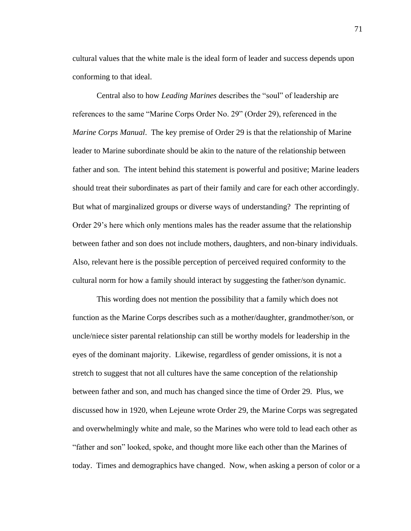cultural values that the white male is the ideal form of leader and success depends upon conforming to that ideal.

Central also to how *Leading Marines* describes the "soul" of leadership are references to the same "Marine Corps Order No. 29" (Order 29), referenced in the *Marine Corps Manual*. The key premise of Order 29 is that the relationship of Marine leader to Marine subordinate should be akin to the nature of the relationship between father and son. The intent behind this statement is powerful and positive; Marine leaders should treat their subordinates as part of their family and care for each other accordingly. But what of marginalized groups or diverse ways of understanding? The reprinting of Order 29's here which only mentions males has the reader assume that the relationship between father and son does not include mothers, daughters, and non-binary individuals. Also, relevant here is the possible perception of perceived required conformity to the cultural norm for how a family should interact by suggesting the father/son dynamic.

This wording does not mention the possibility that a family which does not function as the Marine Corps describes such as a mother/daughter, grandmother/son, or uncle/niece sister parental relationship can still be worthy models for leadership in the eyes of the dominant majority. Likewise, regardless of gender omissions, it is not a stretch to suggest that not all cultures have the same conception of the relationship between father and son, and much has changed since the time of Order 29. Plus, we discussed how in 1920, when Lejeune wrote Order 29, the Marine Corps was segregated and overwhelmingly white and male, so the Marines who were told to lead each other as "father and son" looked, spoke, and thought more like each other than the Marines of today. Times and demographics have changed. Now, when asking a person of color or a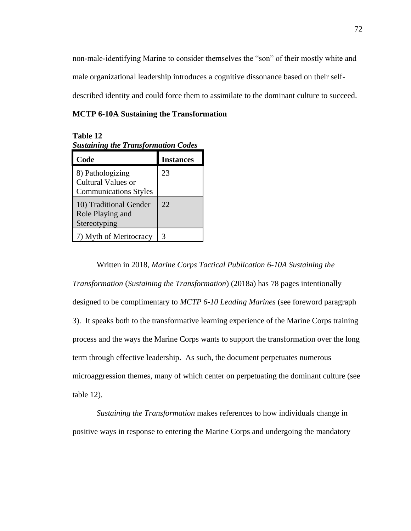non-male-identifying Marine to consider themselves the "son" of their mostly white and male organizational leadership introduces a cognitive dissonance based on their selfdescribed identity and could force them to assimilate to the dominant culture to succeed.

## **MCTP 6-10A Sustaining the Transformation**

**Table 12** *Sustaining the Transformation Codes*

| Code                                                                   | <b>Instances</b> |
|------------------------------------------------------------------------|------------------|
| 8) Pathologizing<br>Cultural Values or<br><b>Communications Styles</b> | 23               |
| 10) Traditional Gender<br>Role Playing and<br>Stereotyping             | 22               |
| 7) Myth of Meritocracy                                                 | 3                |

Written in 2018, *Marine Corps Tactical Publication 6-10A Sustaining the Transformation* (*Sustaining the Transformation*) (2018a) has 78 pages intentionally designed to be complimentary to *MCTP 6-10 Leading Marines* (see foreword paragraph 3). It speaks both to the transformative learning experience of the Marine Corps training process and the ways the Marine Corps wants to support the transformation over the long term through effective leadership. As such, the document perpetuates numerous microaggression themes, many of which center on perpetuating the dominant culture (see table 12).

*Sustaining the Transformation* makes references to how individuals change in positive ways in response to entering the Marine Corps and undergoing the mandatory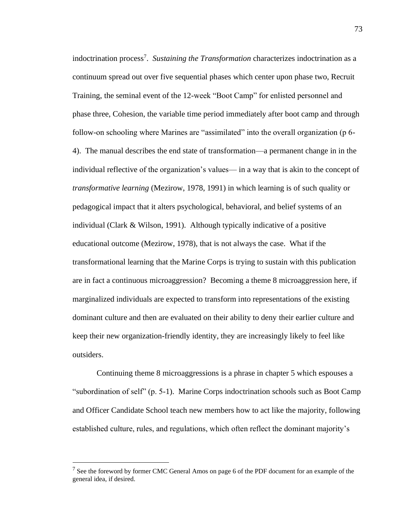indoctrination process<sup>7</sup>. Sustaining the Transformation characterizes indoctrination as a continuum spread out over five sequential phases which center upon phase two, Recruit Training, the seminal event of the 12-week "Boot Camp" for enlisted personnel and phase three, Cohesion, the variable time period immediately after boot camp and through follow-on schooling where Marines are "assimilated" into the overall organization (p 6- 4). The manual describes the end state of transformation—a permanent change in in the individual reflective of the organization's values— in a way that is akin to the concept of *transformative learning* (Mezirow, 1978, 1991) in which learning is of such quality or pedagogical impact that it alters psychological, behavioral, and belief systems of an individual (Clark & Wilson, 1991). Although typically indicative of a positive educational outcome (Mezirow, 1978), that is not always the case. What if the transformational learning that the Marine Corps is trying to sustain with this publication are in fact a continuous microaggression? Becoming a theme 8 microaggression here, if marginalized individuals are expected to transform into representations of the existing dominant culture and then are evaluated on their ability to deny their earlier culture and keep their new organization-friendly identity, they are increasingly likely to feel like outsiders.

Continuing theme 8 microaggressions is a phrase in chapter 5 which espouses a "subordination of self" (p. 5-1). Marine Corps indoctrination schools such as Boot Camp and Officer Candidate School teach new members how to act like the majority, following established culture, rules, and regulations, which often reflect the dominant majority's

 $<sup>7</sup>$  See the foreword by former CMC General Amos on page 6 of the PDF document for an example of the</sup> general idea, if desired.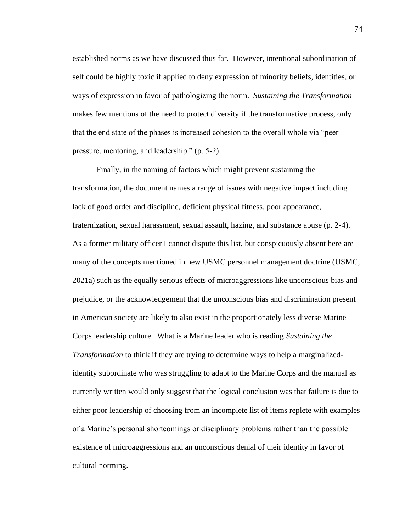established norms as we have discussed thus far. However, intentional subordination of self could be highly toxic if applied to deny expression of minority beliefs, identities, or ways of expression in favor of pathologizing the norm. *Sustaining the Transformation* makes few mentions of the need to protect diversity if the transformative process, only that the end state of the phases is increased cohesion to the overall whole via "peer pressure, mentoring, and leadership." (p. 5-2)

Finally, in the naming of factors which might prevent sustaining the transformation, the document names a range of issues with negative impact including lack of good order and discipline, deficient physical fitness, poor appearance, fraternization, sexual harassment, sexual assault, hazing, and substance abuse (p. 2-4). As a former military officer I cannot dispute this list, but conspicuously absent here are many of the concepts mentioned in new USMC personnel management doctrine (USMC, 2021a) such as the equally serious effects of microaggressions like unconscious bias and prejudice, or the acknowledgement that the unconscious bias and discrimination present in American society are likely to also exist in the proportionately less diverse Marine Corps leadership culture. What is a Marine leader who is reading *Sustaining the Transformation* to think if they are trying to determine ways to help a marginalizedidentity subordinate who was struggling to adapt to the Marine Corps and the manual as currently written would only suggest that the logical conclusion was that failure is due to either poor leadership of choosing from an incomplete list of items replete with examples of a Marine's personal shortcomings or disciplinary problems rather than the possible existence of microaggressions and an unconscious denial of their identity in favor of cultural norming.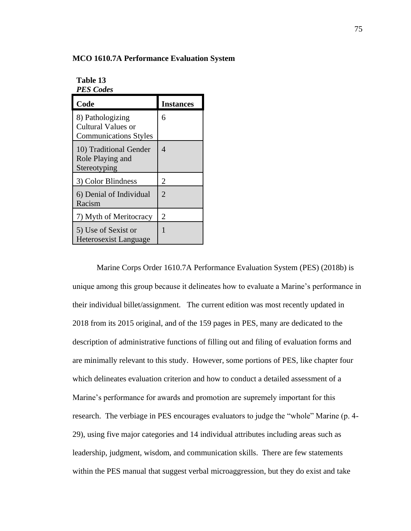#### **MCO 1610.7A Performance Evaluation System**

**Table 13** *PES Codes*

| Code                                                                   | <b>Instances</b>            |
|------------------------------------------------------------------------|-----------------------------|
| 8) Pathologizing<br>Cultural Values or<br><b>Communications Styles</b> | 6                           |
| 10) Traditional Gender<br>Role Playing and<br>Stereotyping             | $\Delta$                    |
| 3) Color Blindness                                                     | 2                           |
| 6) Denial of Individual<br>Racism                                      | $\mathcal{D}_{\mathcal{A}}$ |
| 7) Myth of Meritocracy                                                 | 2                           |
| 5) Use of Sexist or<br><b>Heterosexist Language</b>                    |                             |

Marine Corps Order 1610.7A Performance Evaluation System (PES) (2018b) is unique among this group because it delineates how to evaluate a Marine's performance in their individual billet/assignment. The current edition was most recently updated in 2018 from its 2015 original, and of the 159 pages in PES, many are dedicated to the description of administrative functions of filling out and filing of evaluation forms and are minimally relevant to this study. However, some portions of PES, like chapter four which delineates evaluation criterion and how to conduct a detailed assessment of a Marine's performance for awards and promotion are supremely important for this research. The verbiage in PES encourages evaluators to judge the "whole" Marine (p. 4- 29), using five major categories and 14 individual attributes including areas such as leadership, judgment, wisdom, and communication skills. There are few statements within the PES manual that suggest verbal microaggression, but they do exist and take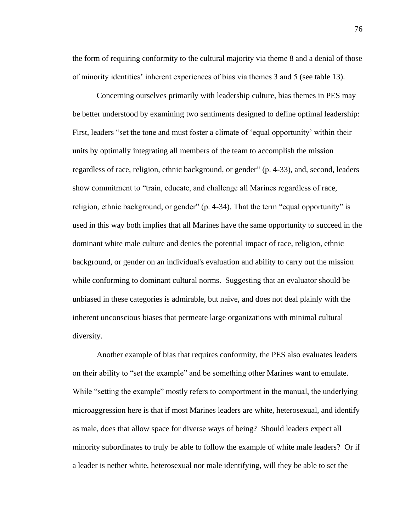the form of requiring conformity to the cultural majority via theme 8 and a denial of those of minority identities' inherent experiences of bias via themes 3 and 5 (see table 13).

Concerning ourselves primarily with leadership culture, bias themes in PES may be better understood by examining two sentiments designed to define optimal leadership: First, leaders "set the tone and must foster a climate of 'equal opportunity' within their units by optimally integrating all members of the team to accomplish the mission regardless of race, religion, ethnic background, or gender" (p. 4-33), and, second, leaders show commitment to "train, educate, and challenge all Marines regardless of race, religion, ethnic background, or gender" (p. 4-34). That the term "equal opportunity" is used in this way both implies that all Marines have the same opportunity to succeed in the dominant white male culture and denies the potential impact of race, religion, ethnic background, or gender on an individual's evaluation and ability to carry out the mission while conforming to dominant cultural norms. Suggesting that an evaluator should be unbiased in these categories is admirable, but naive, and does not deal plainly with the inherent unconscious biases that permeate large organizations with minimal cultural diversity.

Another example of bias that requires conformity, the PES also evaluates leaders on their ability to "set the example" and be something other Marines want to emulate. While "setting the example" mostly refers to comportment in the manual, the underlying microaggression here is that if most Marines leaders are white, heterosexual, and identify as male, does that allow space for diverse ways of being? Should leaders expect all minority subordinates to truly be able to follow the example of white male leaders? Or if a leader is nether white, heterosexual nor male identifying, will they be able to set the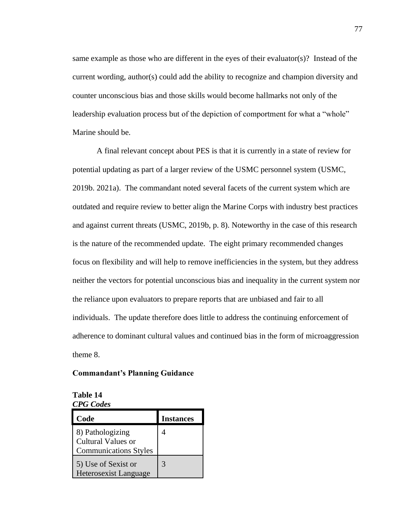same example as those who are different in the eyes of their evaluator(s)? Instead of the current wording, author(s) could add the ability to recognize and champion diversity and counter unconscious bias and those skills would become hallmarks not only of the leadership evaluation process but of the depiction of comportment for what a "whole" Marine should be.

A final relevant concept about PES is that it is currently in a state of review for potential updating as part of a larger review of the USMC personnel system (USMC, 2019b. 2021a). The commandant noted several facets of the current system which are outdated and require review to better align the Marine Corps with industry best practices and against current threats (USMC, 2019b, p. 8). Noteworthy in the case of this research is the nature of the recommended update. The eight primary recommended changes focus on flexibility and will help to remove inefficiencies in the system, but they address neither the vectors for potential unconscious bias and inequality in the current system nor the reliance upon evaluators to prepare reports that are unbiased and fair to all individuals. The update therefore does little to address the continuing enforcement of adherence to dominant cultural values and continued bias in the form of microaggression theme 8.

## **Commandant's Planning Guidance**

| Table 14         |
|------------------|
| <b>CPG</b> Codes |

| Code                                                                   | <b>Instances</b> |
|------------------------------------------------------------------------|------------------|
| 8) Pathologizing<br>Cultural Values or<br><b>Communications Styles</b> |                  |
| 5) Use of Sexist or<br><b>Heterosexist Language</b>                    | 3                |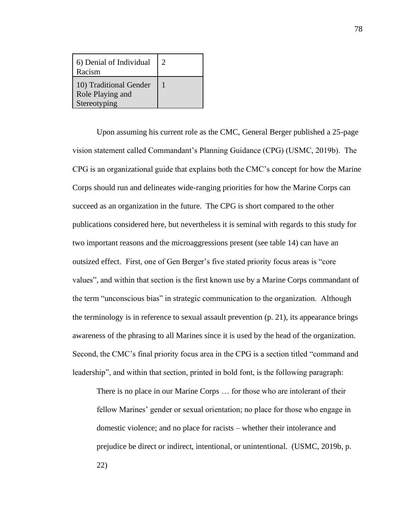| 6) Denial of Individual<br>Racism                          | $\mathcal{D}$ |
|------------------------------------------------------------|---------------|
| 10) Traditional Gender<br>Role Playing and<br>Stereotyping |               |

Upon assuming his current role as the CMC, General Berger published a 25-page vision statement called Commandant's Planning Guidance (CPG) (USMC, 2019b). The CPG is an organizational guide that explains both the CMC's concept for how the Marine Corps should run and delineates wide-ranging priorities for how the Marine Corps can succeed as an organization in the future. The CPG is short compared to the other publications considered here, but nevertheless it is seminal with regards to this study for two important reasons and the microaggressions present (see table 14) can have an outsized effect. First, one of Gen Berger's five stated priority focus areas is "core values", and within that section is the first known use by a Marine Corps commandant of the term "unconscious bias" in strategic communication to the organization. Although the terminology is in reference to sexual assault prevention (p. 21), its appearance brings awareness of the phrasing to all Marines since it is used by the head of the organization. Second, the CMC's final priority focus area in the CPG is a section titled "command and leadership", and within that section, printed in bold font, is the following paragraph:

There is no place in our Marine Corps … for those who are intolerant of their fellow Marines' gender or sexual orientation; no place for those who engage in domestic violence; and no place for racists – whether their intolerance and prejudice be direct or indirect, intentional, or unintentional. (USMC, 2019b, p. 22)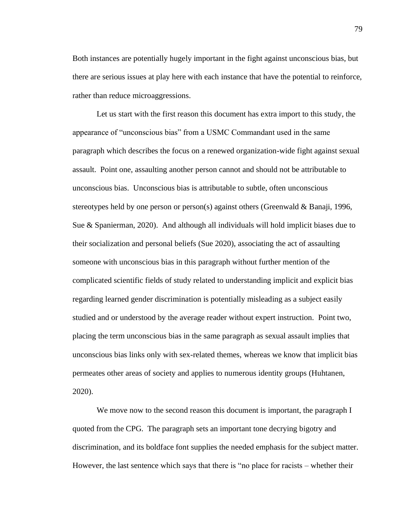Both instances are potentially hugely important in the fight against unconscious bias, but there are serious issues at play here with each instance that have the potential to reinforce, rather than reduce microaggressions.

Let us start with the first reason this document has extra import to this study, the appearance of "unconscious bias" from a USMC Commandant used in the same paragraph which describes the focus on a renewed organization-wide fight against sexual assault. Point one, assaulting another person cannot and should not be attributable to unconscious bias. Unconscious bias is attributable to subtle, often unconscious stereotypes held by one person or person(s) against others (Greenwald & Banaji, 1996, Sue & Spanierman, 2020). And although all individuals will hold implicit biases due to their socialization and personal beliefs (Sue 2020), associating the act of assaulting someone with unconscious bias in this paragraph without further mention of the complicated scientific fields of study related to understanding implicit and explicit bias regarding learned gender discrimination is potentially misleading as a subject easily studied and or understood by the average reader without expert instruction. Point two, placing the term unconscious bias in the same paragraph as sexual assault implies that unconscious bias links only with sex-related themes, whereas we know that implicit bias permeates other areas of society and applies to numerous identity groups (Huhtanen, 2020).

We move now to the second reason this document is important, the paragraph I quoted from the CPG. The paragraph sets an important tone decrying bigotry and discrimination, and its boldface font supplies the needed emphasis for the subject matter. However, the last sentence which says that there is "no place for racists – whether their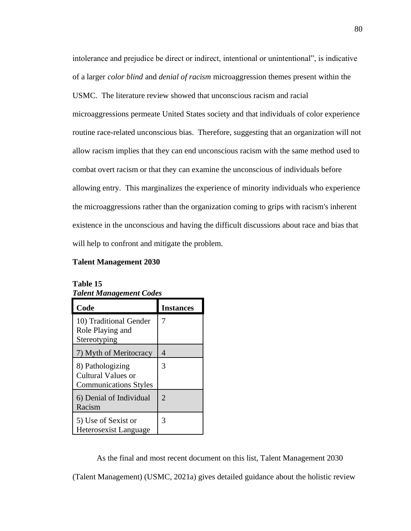intolerance and prejudice be direct or indirect, intentional or unintentional", is indicative of a larger *color blind* and *denial of racism* microaggression themes present within the USMC. The literature review showed that unconscious racism and racial microaggressions permeate United States society and that individuals of color experience routine race-related unconscious bias. Therefore, suggesting that an organization will not allow racism implies that they can end unconscious racism with the same method used to combat overt racism or that they can examine the unconscious of individuals before allowing entry. This marginalizes the experience of minority individuals who experience the microaggressions rather than the organization coming to grips with racism's inherent existence in the unconscious and having the difficult discussions about race and bias that will help to confront and mitigate the problem.

## **Talent Management 2030**

| Tuleni munugemeni Coues                                                |                  |
|------------------------------------------------------------------------|------------------|
| Code                                                                   | <b>Instances</b> |
| 10) Traditional Gender<br>Role Playing and<br>Stereotyping             | 7                |
| 7) Myth of Meritocracy                                                 | 4                |
| 8) Pathologizing<br>Cultural Values or<br><b>Communications Styles</b> | 3                |
| 6) Denial of Individual<br>Racism                                      | $\overline{2}$   |
| 5) Use of Sexist or<br><b>Heterosexist Language</b>                    | 3                |

# **Table 15** *Talent Management Codes*

As the final and most recent document on this list, Talent Management 2030

(Talent Management) (USMC, 2021a) gives detailed guidance about the holistic review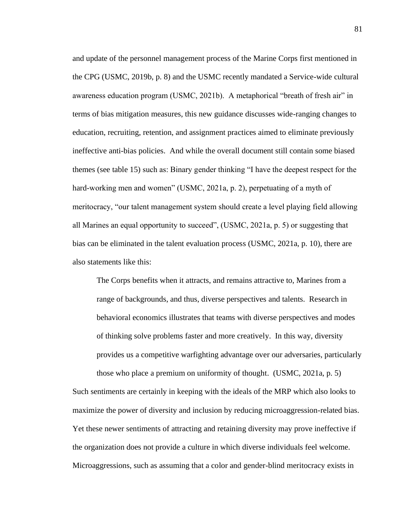and update of the personnel management process of the Marine Corps first mentioned in the CPG (USMC, 2019b, p. 8) and the USMC recently mandated a Service-wide cultural awareness education program (USMC, 2021b). A metaphorical "breath of fresh air" in terms of bias mitigation measures, this new guidance discusses wide-ranging changes to education, recruiting, retention, and assignment practices aimed to eliminate previously ineffective anti-bias policies. And while the overall document still contain some biased themes (see table 15) such as: Binary gender thinking "I have the deepest respect for the hard-working men and women" (USMC, 2021a, p. 2), perpetuating of a myth of meritocracy, "our talent management system should create a level playing field allowing all Marines an equal opportunity to succeed", (USMC, 2021a, p. 5) or suggesting that bias can be eliminated in the talent evaluation process (USMC, 2021a, p. 10), there are also statements like this:

The Corps benefits when it attracts, and remains attractive to, Marines from a range of backgrounds, and thus, diverse perspectives and talents. Research in behavioral economics illustrates that teams with diverse perspectives and modes of thinking solve problems faster and more creatively. In this way, diversity provides us a competitive warfighting advantage over our adversaries, particularly those who place a premium on uniformity of thought. (USMC, 2021a, p. 5)

Such sentiments are certainly in keeping with the ideals of the MRP which also looks to maximize the power of diversity and inclusion by reducing microaggression-related bias. Yet these newer sentiments of attracting and retaining diversity may prove ineffective if the organization does not provide a culture in which diverse individuals feel welcome. Microaggressions, such as assuming that a color and gender-blind meritocracy exists in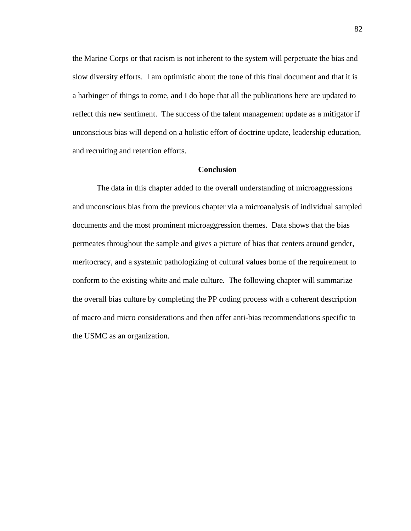the Marine Corps or that racism is not inherent to the system will perpetuate the bias and slow diversity efforts. I am optimistic about the tone of this final document and that it is a harbinger of things to come, and I do hope that all the publications here are updated to reflect this new sentiment. The success of the talent management update as a mitigator if unconscious bias will depend on a holistic effort of doctrine update, leadership education, and recruiting and retention efforts.

## **Conclusion**

The data in this chapter added to the overall understanding of microaggressions and unconscious bias from the previous chapter via a microanalysis of individual sampled documents and the most prominent microaggression themes. Data shows that the bias permeates throughout the sample and gives a picture of bias that centers around gender, meritocracy, and a systemic pathologizing of cultural values borne of the requirement to conform to the existing white and male culture. The following chapter will summarize the overall bias culture by completing the PP coding process with a coherent description of macro and micro considerations and then offer anti-bias recommendations specific to the USMC as an organization.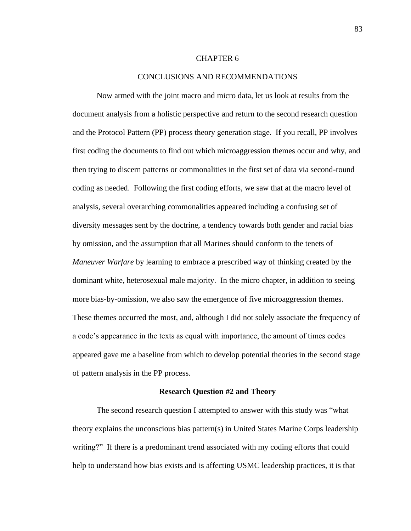### CHAPTER 6

## CONCLUSIONS AND RECOMMENDATIONS

Now armed with the joint macro and micro data, let us look at results from the document analysis from a holistic perspective and return to the second research question and the Protocol Pattern (PP) process theory generation stage. If you recall, PP involves first coding the documents to find out which microaggression themes occur and why, and then trying to discern patterns or commonalities in the first set of data via second-round coding as needed. Following the first coding efforts, we saw that at the macro level of analysis, several overarching commonalities appeared including a confusing set of diversity messages sent by the doctrine, a tendency towards both gender and racial bias by omission, and the assumption that all Marines should conform to the tenets of *Maneuver Warfare* by learning to embrace a prescribed way of thinking created by the dominant white, heterosexual male majority. In the micro chapter, in addition to seeing more bias-by-omission, we also saw the emergence of five microaggression themes. These themes occurred the most, and, although I did not solely associate the frequency of a code's appearance in the texts as equal with importance, the amount of times codes appeared gave me a baseline from which to develop potential theories in the second stage of pattern analysis in the PP process.

#### **Research Question #2 and Theory**

The second research question I attempted to answer with this study was "what theory explains the unconscious bias pattern(s) in United States Marine Corps leadership writing?" If there is a predominant trend associated with my coding efforts that could help to understand how bias exists and is affecting USMC leadership practices, it is that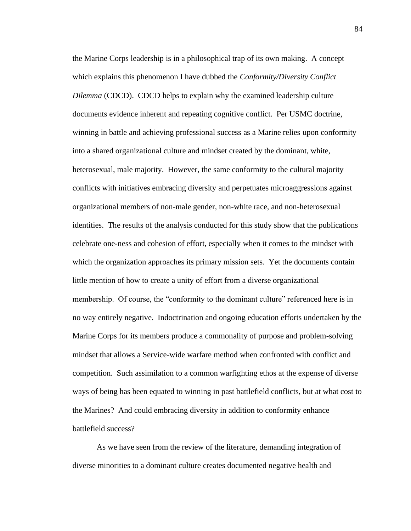the Marine Corps leadership is in a philosophical trap of its own making. A concept which explains this phenomenon I have dubbed the *Conformity/Diversity Conflict Dilemma* (CDCD). CDCD helps to explain why the examined leadership culture documents evidence inherent and repeating cognitive conflict. Per USMC doctrine, winning in battle and achieving professional success as a Marine relies upon conformity into a shared organizational culture and mindset created by the dominant, white, heterosexual, male majority. However, the same conformity to the cultural majority conflicts with initiatives embracing diversity and perpetuates microaggressions against organizational members of non-male gender, non-white race, and non-heterosexual identities. The results of the analysis conducted for this study show that the publications celebrate one-ness and cohesion of effort, especially when it comes to the mindset with which the organization approaches its primary mission sets. Yet the documents contain little mention of how to create a unity of effort from a diverse organizational membership. Of course, the "conformity to the dominant culture" referenced here is in no way entirely negative. Indoctrination and ongoing education efforts undertaken by the Marine Corps for its members produce a commonality of purpose and problem-solving mindset that allows a Service-wide warfare method when confronted with conflict and competition. Such assimilation to a common warfighting ethos at the expense of diverse ways of being has been equated to winning in past battlefield conflicts, but at what cost to the Marines? And could embracing diversity in addition to conformity enhance battlefield success?

As we have seen from the review of the literature, demanding integration of diverse minorities to a dominant culture creates documented negative health and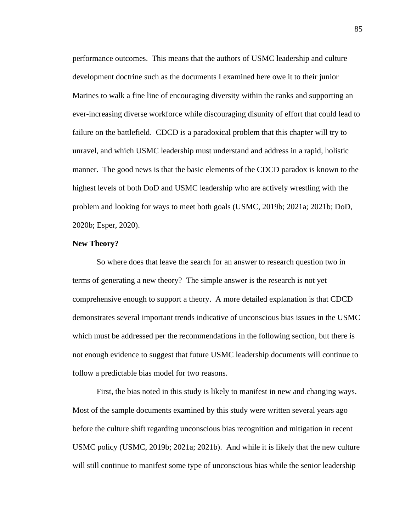performance outcomes. This means that the authors of USMC leadership and culture development doctrine such as the documents I examined here owe it to their junior Marines to walk a fine line of encouraging diversity within the ranks and supporting an ever-increasing diverse workforce while discouraging disunity of effort that could lead to failure on the battlefield. CDCD is a paradoxical problem that this chapter will try to unravel, and which USMC leadership must understand and address in a rapid, holistic manner. The good news is that the basic elements of the CDCD paradox is known to the highest levels of both DoD and USMC leadership who are actively wrestling with the problem and looking for ways to meet both goals (USMC, 2019b; 2021a; 2021b; DoD, 2020b; Esper, 2020).

## **New Theory?**

So where does that leave the search for an answer to research question two in terms of generating a new theory? The simple answer is the research is not yet comprehensive enough to support a theory. A more detailed explanation is that CDCD demonstrates several important trends indicative of unconscious bias issues in the USMC which must be addressed per the recommendations in the following section, but there is not enough evidence to suggest that future USMC leadership documents will continue to follow a predictable bias model for two reasons.

First, the bias noted in this study is likely to manifest in new and changing ways. Most of the sample documents examined by this study were written several years ago before the culture shift regarding unconscious bias recognition and mitigation in recent USMC policy (USMC, 2019b; 2021a; 2021b). And while it is likely that the new culture will still continue to manifest some type of unconscious bias while the senior leadership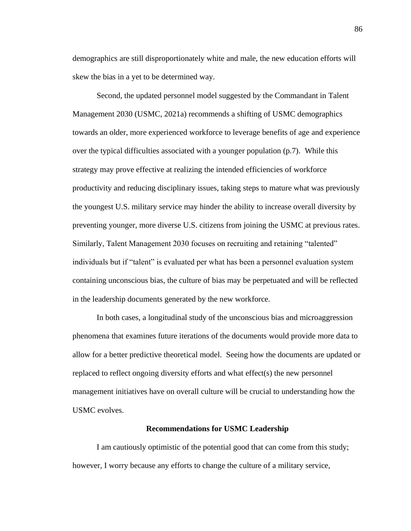demographics are still disproportionately white and male, the new education efforts will skew the bias in a yet to be determined way.

Second, the updated personnel model suggested by the Commandant in Talent Management 2030 (USMC, 2021a) recommends a shifting of USMC demographics towards an older, more experienced workforce to leverage benefits of age and experience over the typical difficulties associated with a younger population (p.7). While this strategy may prove effective at realizing the intended efficiencies of workforce productivity and reducing disciplinary issues, taking steps to mature what was previously the youngest U.S. military service may hinder the ability to increase overall diversity by preventing younger, more diverse U.S. citizens from joining the USMC at previous rates. Similarly, Talent Management 2030 focuses on recruiting and retaining "talented" individuals but if "talent" is evaluated per what has been a personnel evaluation system containing unconscious bias, the culture of bias may be perpetuated and will be reflected in the leadership documents generated by the new workforce.

In both cases, a longitudinal study of the unconscious bias and microaggression phenomena that examines future iterations of the documents would provide more data to allow for a better predictive theoretical model. Seeing how the documents are updated or replaced to reflect ongoing diversity efforts and what effect(s) the new personnel management initiatives have on overall culture will be crucial to understanding how the USMC evolves.

## **Recommendations for USMC Leadership**

I am cautiously optimistic of the potential good that can come from this study; however, I worry because any efforts to change the culture of a military service,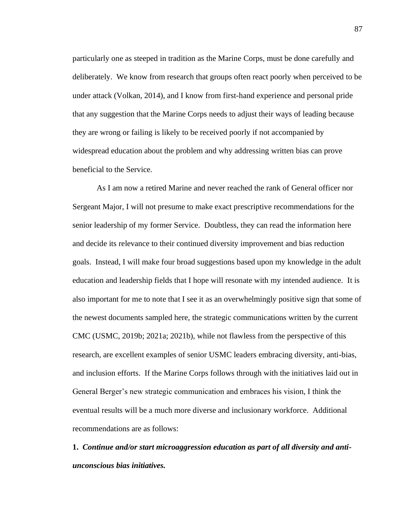particularly one as steeped in tradition as the Marine Corps, must be done carefully and deliberately. We know from research that groups often react poorly when perceived to be under attack (Volkan, 2014), and I know from first-hand experience and personal pride that any suggestion that the Marine Corps needs to adjust their ways of leading because they are wrong or failing is likely to be received poorly if not accompanied by widespread education about the problem and why addressing written bias can prove beneficial to the Service.

As I am now a retired Marine and never reached the rank of General officer nor Sergeant Major, I will not presume to make exact prescriptive recommendations for the senior leadership of my former Service. Doubtless, they can read the information here and decide its relevance to their continued diversity improvement and bias reduction goals. Instead, I will make four broad suggestions based upon my knowledge in the adult education and leadership fields that I hope will resonate with my intended audience. It is also important for me to note that I see it as an overwhelmingly positive sign that some of the newest documents sampled here, the strategic communications written by the current CMC (USMC, 2019b; 2021a; 2021b), while not flawless from the perspective of this research, are excellent examples of senior USMC leaders embracing diversity, anti-bias, and inclusion efforts. If the Marine Corps follows through with the initiatives laid out in General Berger's new strategic communication and embraces his vision, I think the eventual results will be a much more diverse and inclusionary workforce. Additional recommendations are as follows:

**1.** *Continue and/or start microaggression education as part of all diversity and antiunconscious bias initiatives.*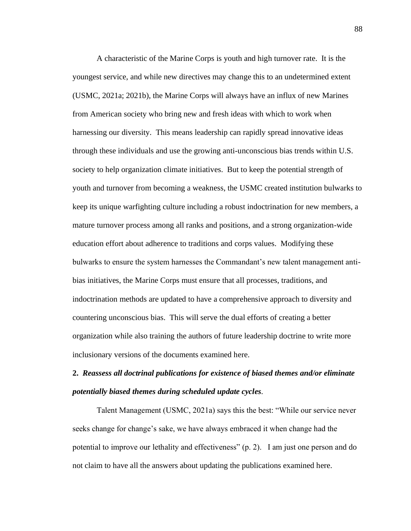A characteristic of the Marine Corps is youth and high turnover rate. It is the youngest service, and while new directives may change this to an undetermined extent (USMC, 2021a; 2021b), the Marine Corps will always have an influx of new Marines from American society who bring new and fresh ideas with which to work when harnessing our diversity. This means leadership can rapidly spread innovative ideas through these individuals and use the growing anti-unconscious bias trends within U.S. society to help organization climate initiatives. But to keep the potential strength of youth and turnover from becoming a weakness, the USMC created institution bulwarks to keep its unique warfighting culture including a robust indoctrination for new members, a mature turnover process among all ranks and positions, and a strong organization-wide education effort about adherence to traditions and corps values. Modifying these bulwarks to ensure the system harnesses the Commandant's new talent management antibias initiatives, the Marine Corps must ensure that all processes, traditions, and indoctrination methods are updated to have a comprehensive approach to diversity and countering unconscious bias. This will serve the dual efforts of creating a better organization while also training the authors of future leadership doctrine to write more inclusionary versions of the documents examined here.

# **2.** *Reassess all doctrinal publications for existence of biased themes and/or eliminate potentially biased themes during scheduled update cycles.*

Talent Management (USMC, 2021a) says this the best: "While our service never seeks change for change's sake, we have always embraced it when change had the potential to improve our lethality and effectiveness" (p. 2). I am just one person and do not claim to have all the answers about updating the publications examined here.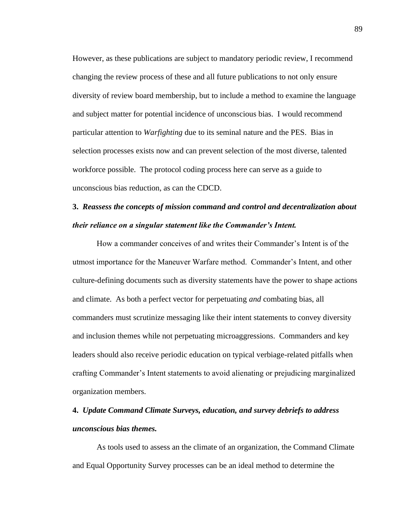However, as these publications are subject to mandatory periodic review, I recommend changing the review process of these and all future publications to not only ensure diversity of review board membership, but to include a method to examine the language and subject matter for potential incidence of unconscious bias. I would recommend particular attention to *Warfighting* due to its seminal nature and the PES. Bias in selection processes exists now and can prevent selection of the most diverse, talented workforce possible. The protocol coding process here can serve as a guide to unconscious bias reduction, as can the CDCD.

# **3.** *Reassess the concepts of mission command and control and decentralization about their reliance on a singular statement like the Commander's Intent.*

How a commander conceives of and writes their Commander's Intent is of the utmost importance for the Maneuver Warfare method. Commander's Intent, and other culture-defining documents such as diversity statements have the power to shape actions and climate. As both a perfect vector for perpetuating *and* combating bias, all commanders must scrutinize messaging like their intent statements to convey diversity and inclusion themes while not perpetuating microaggressions. Commanders and key leaders should also receive periodic education on typical verbiage-related pitfalls when crafting Commander's Intent statements to avoid alienating or prejudicing marginalized organization members.

# **4.** *Update Command Climate Surveys, education, and survey debriefs to address unconscious bias themes.*

As tools used to assess an the climate of an organization, the Command Climate and Equal Opportunity Survey processes can be an ideal method to determine the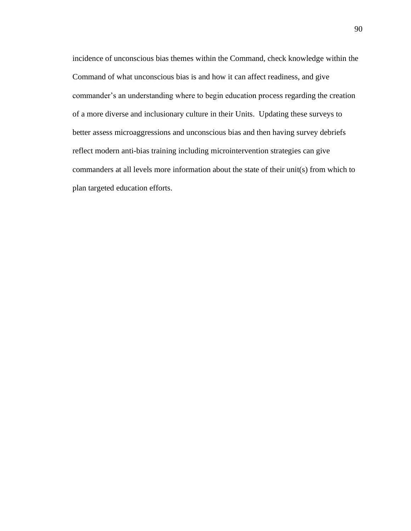incidence of unconscious bias themes within the Command, check knowledge within the Command of what unconscious bias is and how it can affect readiness, and give commander's an understanding where to begin education process regarding the creation of a more diverse and inclusionary culture in their Units. Updating these surveys to better assess microaggressions and unconscious bias and then having survey debriefs reflect modern anti-bias training including microintervention strategies can give commanders at all levels more information about the state of their unit(s) from which to plan targeted education efforts.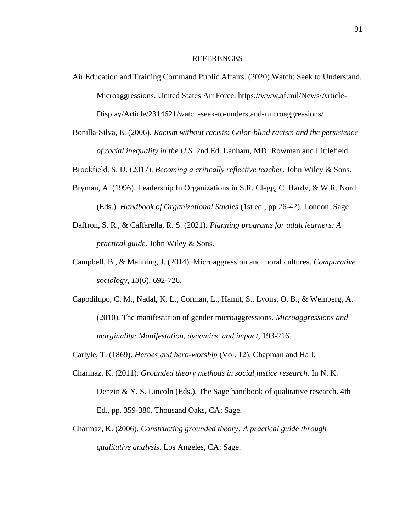#### REFERENCES

- Air Education and Training Command Public Affairs. (2020) Watch: Seek to Understand, Microaggressions. United States Air Force. https://www.af.mil/News/Article-Display/Article/2314621/watch-seek-to-understand-microaggressions/
- Bonilla-Silva, E. (2006). *Racism without racists: Color-blind racism and the persistence of racial inequality in the U.S.* 2nd Ed. Lanham, MD: Rowman and Littlefield

Brookfield, S. D. (2017). *Becoming a critically reflective teacher*. John Wiley & Sons.

- Bryman, A. (1996). Leadership In Organizations in S.R. Clegg, C. Hardy, & W.R. Nord (Eds.). *Handbook of Organizational Studies* (1st ed., pp 26-42). London: Sage
- Daffron, S. R., & Caffarella, R. S. (2021). *Planning programs for adult learners: A practical guide*. John Wiley & Sons.
- Campbell, B., & Manning, J. (2014). Microaggression and moral cultures. *Comparative sociology*, *13*(6), 692-726.
- Capodilupo, C. M., Nadal, K. L., Corman, L., Hamit, S., Lyons, O. B., & Weinberg, A. (2010). The manifestation of gender microaggressions. *Microaggressions and marginality: Manifestation, dynamics, and impact*, 193-216.
- Carlyle, T. (1869). *Heroes and hero-worship* (Vol. 12). Chapman and Hall.
- Charmaz, K. (2011). *Grounded theory methods in social justice research*. In N. K. Denzin & Y. S. Lincoln (Eds.), The Sage handbook of qualitative research. 4th Ed., pp. 359-380. Thousand Oaks, CA: Sage.
- Charmaz, K. (2006). *Constructing grounded theory: A practical guide through qualitative analysis*. Los Angeles, CA: Sage.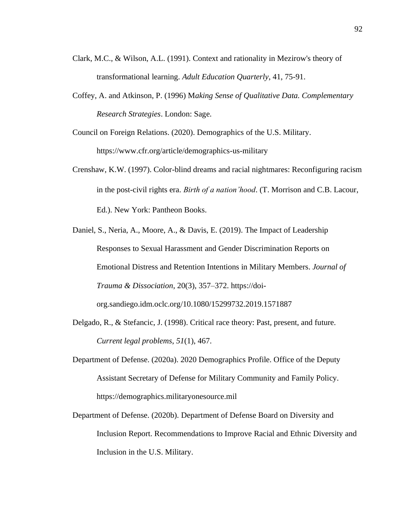- Clark, M.C., & Wilson, A.L. (1991). Context and rationality in Mezirow's theory of transformational learning. *Adult Education Quarterly*, 41, 75-91.
- Coffey, A. and Atkinson, P. (1996) M*aking Sense of Qualitative Data. Complementary Research Strategies*. London: Sage.

Council on Foreign Relations. (2020). Demographics of the U.S. Military. <https://www.cfr.org/article/demographics-us-military>

- Crenshaw, K.W. (1997). Color-blind dreams and racial nightmares: Reconfiguring racism in the post-civil rights era. *Birth of a nation'hood*. (T. Morrison and C.B. Lacour, Ed.). New York: Pantheon Books.
- Daniel, S., Neria, A., Moore, A., & Davis, E. (2019). The Impact of Leadership Responses to Sexual Harassment and Gender Discrimination Reports on Emotional Distress and Retention Intentions in Military Members. *Journal of Trauma & Dissociation*, 20(3), 357–372. https://doiorg.sandiego.idm.oclc.org/10.1080/15299732.2019.1571887
- Delgado, R., & Stefancic, J. (1998). Critical race theory: Past, present, and future. *Current legal problems*, *51*(1), 467.
- Department of Defense. (2020a). 2020 Demographics Profile. Office of the Deputy Assistant Secretary of Defense for Military Community and Family Policy. https://demographics.militaryonesource.mil
- Department of Defense. (2020b). Department of Defense Board on Diversity and Inclusion Report. Recommendations to Improve Racial and Ethnic Diversity and Inclusion in the U.S. Military.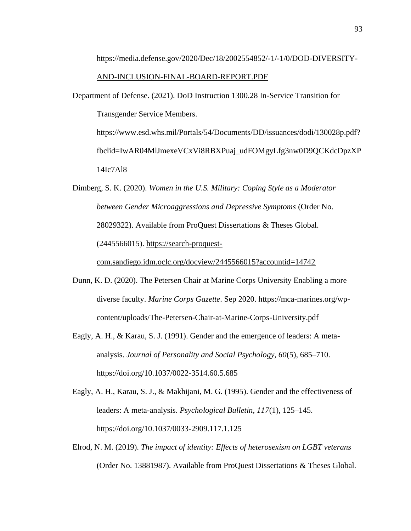# [https://media.defense.gov/2020/Dec/18/2002554852/-1/-1/0/DOD-DIVERSITY-](https://media.defense.gov/2020/Dec/18/2002554852/-1/-1/0/DOD-DIVERSITY-AND-INCLUSION-FINAL-BOARD-REPORT.PDF)[AND-INCLUSION-FINAL-BOARD-REPORT.PDF](https://media.defense.gov/2020/Dec/18/2002554852/-1/-1/0/DOD-DIVERSITY-AND-INCLUSION-FINAL-BOARD-REPORT.PDF)

Department of Defense. (2021). DoD Instruction 1300.28 In-Service Transition for Transgender Service Members. https://www.esd.whs.mil/Portals/54/Documents/DD/issuances/dodi/130028p.pdf? fbclid=IwAR04MlJmexeVCxVi8RBXPuaj\_udFOMgyLfg3nw0D9QCKdcDpzXP 14Ic7Al8

Dimberg, S. K. (2020). *Women in the U.S. Military: Coping Style as a Moderator between Gender Microaggressions and Depressive Symptoms* (Order No. 28029322). Available from ProQuest Dissertations & Theses Global. (2445566015). [https://search-proquest-](https://search-proquest-com.sandiego.idm.oclc.org/docview/2445566015?accountid=14742)

[com.sandiego.idm.oclc.org/docview/2445566015?accountid=14742](https://search-proquest-com.sandiego.idm.oclc.org/docview/2445566015?accountid=14742)

- Dunn, K. D. (2020). The Petersen Chair at Marine Corps University Enabling a more diverse faculty. *Marine Corps Gazette*. Sep 2020. https://mca-marines.org/wpcontent/uploads/The-Petersen-Chair-at-Marine-Corps-University.pdf
- Eagly, A. H., & Karau, S. J. (1991). Gender and the emergence of leaders: A metaanalysis. *Journal of Personality and Social Psychology, 60*(5), 685–710. [https://doi.org/10.1037/0022-3514.60.5.685](https://psycnet.apa.org/doi/10.1037/0022-3514.60.5.685)
- Eagly, A. H., Karau, S. J., & Makhijani, M. G. (1995). Gender and the effectiveness of leaders: A meta-analysis. *Psychological Bulletin, 117*(1), 125–145. [https://doi.org/10.1037/0033-2909.117.1.125](https://psycnet.apa.org/doi/10.1037/0033-2909.117.1.125)
- Elrod, N. M. (2019). *The impact of identity: Effects of heterosexism on LGBT veterans*  (Order No. 13881987). Available from ProQuest Dissertations & Theses Global.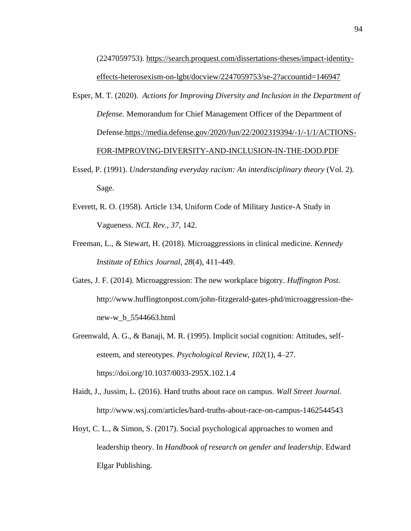(2247059753). [https://search.proquest.com/dissertations-theses/impact-identity](https://search.proquest.com/dissertations-theses/impact-identity-effects-heterosexism-on-lgbt/docview/2247059753/se-2?accountid=146947)[effects-heterosexism-on-lgbt/docview/2247059753/se-2?accountid=146947](https://search.proquest.com/dissertations-theses/impact-identity-effects-heterosexism-on-lgbt/docview/2247059753/se-2?accountid=146947)

Esper, M. T. (2020). *Actions for Improving Diversity and Inclusion in the Department of Defense.* Memorandum for Chief Management Officer of the Department of Defense[.https://media.defense.gov/2020/Jun/22/2002319394/-1/-1/1/ACTIONS-](https://media.defense.gov/2020/Jun/22/2002319394/-1/-1/1/ACTIONS-FOR-IMPROVING-DIVERSITY-AND-INCLUSION-IN-THE-DOD.PDF)[FOR-IMPROVING-DIVERSITY-AND-INCLUSION-IN-THE-DOD.PDF](https://media.defense.gov/2020/Jun/22/2002319394/-1/-1/1/ACTIONS-FOR-IMPROVING-DIVERSITY-AND-INCLUSION-IN-THE-DOD.PDF)

- Essed, P. (1991). *Understanding everyday racism: An interdisciplinary theory* (Vol. 2). Sage.
- Everett, R. O. (1958). Article 134, Uniform Code of Military Justice-A Study in Vagueness. *NCL Rev.*, *37*, 142.
- Freeman, L., & Stewart, H. (2018). Microaggressions in clinical medicine. *Kennedy Institute of Ethics Journal*, *28*(4), 411-449.
- Gates, J. F. (2014). Microaggression: The new workplace bigotry. *Huffington Post*. [http://www.huffingtonpost.com/john-fitzgerald-gates-phd/microaggression-the](http://www.huffingtonpost.com/john-fitzgerald-gates-phd/microaggression-the-new-w_b_5544663.html)[new-w\\_b\\_5544663.html](http://www.huffingtonpost.com/john-fitzgerald-gates-phd/microaggression-the-new-w_b_5544663.html)
- Greenwald, A. G., & Banaji, M. R. (1995). Implicit social cognition: Attitudes, selfesteem, and stereotypes. *Psychological Review, 102*(1), 4–27. [https://doi.org/10.1037/0033-295X.102.1.4](https://doi.apa.org/doi/10.1037/0033-295X.102.1.4)
- Haidt, J., Jussim, L. (2016). Hard truths about race on campus. *Wall Street Journal*. <http://www.wsj.com/articles/hard-truths-about-race-on-campus-1462544543>
- Hoyt, C. L., & Simon, S. (2017). Social psychological approaches to women and leadership theory. In *Handbook of research on gender and leadership*. Edward Elgar Publishing.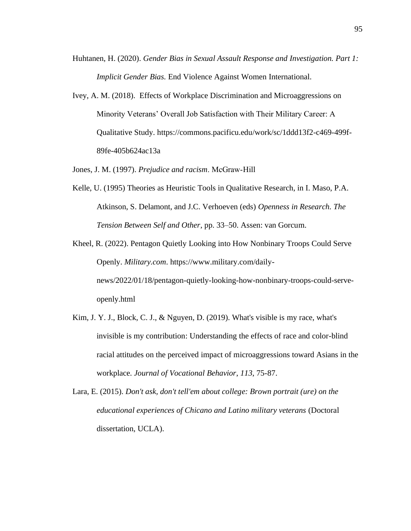- Huhtanen, H. (2020). *Gender Bias in Sexual Assault Response and Investigation. Part 1: Implicit Gender Bias.* End Violence Against Women International.
- Ivey, A. M. (2018). Effects of Workplace Discrimination and Microaggressions on Minority Veterans' Overall Job Satisfaction with Their Military Career: A Qualitative Study. [https://commons.pacificu.edu/work/sc/1ddd13f2-c469-499f-](https://commons.pacificu.edu/work/sc/1ddd13f2-c469-499f-89fe-405b624ac13a)[89fe-405b624ac13a](https://commons.pacificu.edu/work/sc/1ddd13f2-c469-499f-89fe-405b624ac13a)
- Jones, J. M. (1997). *Prejudice and racism*. McGraw‐Hill
- Kelle, U. (1995) Theories as Heuristic Tools in Qualitative Research, in I. Maso, P.A. Atkinson, S. Delamont, and J.C. Verhoeven (eds) *Openness in Research. The Tension Between Self and Other*, pp. 33–50. Assen: van Gorcum.
- Kheel, R. (2022). Pentagon Quietly Looking into How Nonbinary Troops Could Serve Openly. *Military.com*. https://www.military.com/dailynews/2022/01/18/pentagon-quietly-looking-how-nonbinary-troops-could-serveopenly.html
- Kim, J. Y. J., Block, C. J., & Nguyen, D. (2019). What's visible is my race, what's invisible is my contribution: Understanding the effects of race and color-blind racial attitudes on the perceived impact of microaggressions toward Asians in the workplace. *Journal of Vocational Behavior*, *113*, 75-87.
- Lara, E. (2015). *Don't ask, don't tell'em about college: Brown portrait (ure) on the educational experiences of Chicano and Latino military veterans* (Doctoral dissertation, UCLA).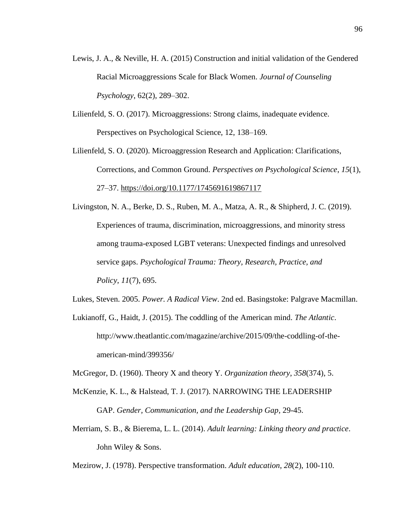- Lewis, J. A., & Neville, H. A. (2015) Construction and initial validation of the Gendered Racial Microaggressions Scale for Black Women. *Journal of Counseling Psychology*, 62(2), 289–302.
- Lilienfeld, S. O. (2017). Microaggressions: Strong claims, inadequate evidence. Perspectives on Psychological Science, 12, 138–169.
- Lilienfeld, S. O. (2020). Microaggression Research and Application: Clarifications, Corrections, and Common Ground. *Perspectives on Psychological Science*, *15*(1), 27–37.<https://doi.org/10.1177/1745691619867117>
- Livingston, N. A., Berke, D. S., Ruben, M. A., Matza, A. R., & Shipherd, J. C. (2019). Experiences of trauma, discrimination, microaggressions, and minority stress among trauma-exposed LGBT veterans: Unexpected findings and unresolved service gaps. *Psychological Trauma: Theory, Research, Practice, and Policy*, *11*(7), 695.
- Lukes, Steven. 2005. *Power. A Radical View*. 2nd ed. Basingstoke: Palgrave Macmillan.
- Lukianoff, G., Haidt, J. (2015). The coddling of the American mind. *The Atlantic*. [http://www.theatlantic.com/magazine/archive/2015/09/the-coddling-of-the](http://www.theatlantic.com/magazine/archive/2015/09/the-coddling-of-the-american-mind/399356/)[american-mind/399356/](http://www.theatlantic.com/magazine/archive/2015/09/the-coddling-of-the-american-mind/399356/)
- McGregor, D. (1960). Theory X and theory Y. *Organization theory*, *358*(374), 5.
- McKenzie, K. L., & Halstead, T. J. (2017). NARROWING THE LEADERSHIP GAP. *Gender, Communication, and the Leadership Gap*, 29-45.
- Merriam, S. B., & Bierema, L. L. (2014). *Adult learning: Linking theory and practice*. John Wiley & Sons.
- Mezirow, J. (1978). Perspective transformation. *Adult education*, *28*(2), 100-110.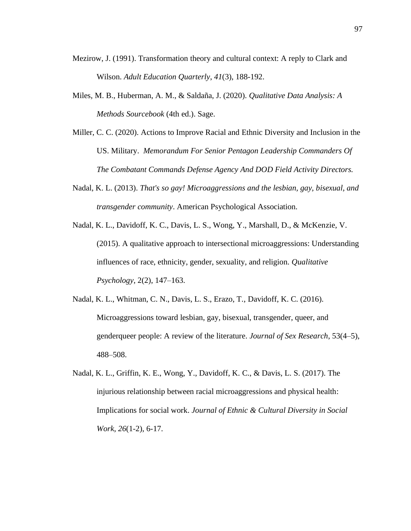- Mezirow, J. (1991). Transformation theory and cultural context: A reply to Clark and Wilson. *Adult Education Quarterly*, *41*(3), 188-192.
- Miles, M. B., Huberman, A. M., & Saldaña, J. (2020). *Qualitative Data Analysis: A Methods Sourcebook* (4th ed.). Sage.
- Miller, C. C. (2020). Actions to Improve Racial and Ethnic Diversity and Inclusion in the US. Military. *Memorandum For Senior Pentagon Leadership Commanders Of The Combatant Commands Defense Agency And DOD Field Activity Directors.*
- Nadal, K. L. (2013). *That's so gay! Microaggressions and the lesbian, gay, bisexual, and transgender community*. American Psychological Association.
- Nadal, K. L., Davidoff, K. C., Davis, L. S., Wong, Y., Marshall, D., & McKenzie, V. (2015). A qualitative approach to intersectional microaggressions: Understanding influences of race, ethnicity, gender, sexuality, and religion. *Qualitative Psychology*, 2(2), 147–163.
- Nadal, K. L., Whitman, C. N., Davis, L. S., Erazo, T., Davidoff, K. C. (2016). Microaggressions toward lesbian, gay, bisexual, transgender, queer, and genderqueer people: A review of the literature. *Journal of Sex Research*, 53(4–5), 488–508.
- Nadal, K. L., Griffin, K. E., Wong, Y., Davidoff, K. C., & Davis, L. S. (2017). The injurious relationship between racial microaggressions and physical health: Implications for social work. *Journal of Ethnic & Cultural Diversity in Social Work*, *26*(1-2), 6-17.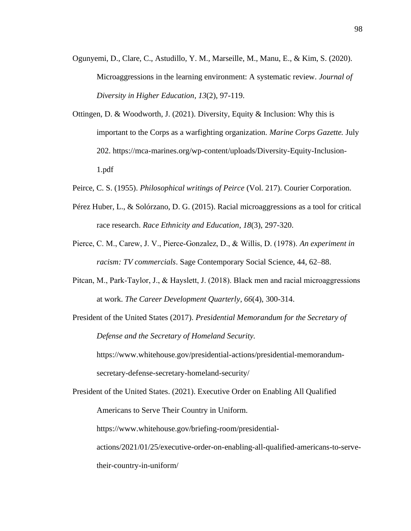- Ogunyemi, D., Clare, C., Astudillo, Y. M., Marseille, M., Manu, E., & Kim, S. (2020). Microaggressions in the learning environment: A systematic review. *Journal of Diversity in Higher Education*, *13*(2), 97-119.
- Ottingen, D. & Woodworth, J. (2021). Diversity, Equity & Inclusion: Why this is important to the Corps as a warfighting organization. *Marine Corps Gazette.* July 202. https://mca-marines.org/wp-content/uploads/Diversity-Equity-Inclusion-1.pdf
- Peirce, C. S. (1955). *Philosophical writings of Peirce* (Vol. 217). Courier Corporation.
- Pérez Huber, L., & Solórzano, D. G. (2015). Racial microaggressions as a tool for critical race research. *Race Ethnicity and Education*, *18*(3), 297-320.
- Pierce, C. M., Carew, J. V., Pierce‐Gonzalez, D., & Willis, D. (1978). *An experiment in racism: TV commercials*. Sage Contemporary Social Science, 44, 62–88.
- Pitcan, M., Park‐Taylor, J., & Hayslett, J. (2018). Black men and racial microaggressions at work. *The Career Development Quarterly*, *66*(4), 300-314.
- President of the United States (2017). *Presidential Memorandum for the Secretary of Defense and the Secretary of Homeland Security.*

[https://www.whitehouse.gov/presidential-actions/presidential-memorandum](https://www.whitehouse.gov/presidential-actions/presidential-memorandum-secretary-defense-secretary-homeland-security/)[secretary-defense-secretary-homeland-security/](https://www.whitehouse.gov/presidential-actions/presidential-memorandum-secretary-defense-secretary-homeland-security/)

President of the United States. (2021). Executive Order on Enabling All Qualified Americans to Serve Their Country in Uniform. https://www.whitehouse.gov/briefing-room/presidentialactions/2021/01/25/executive-order-on-enabling-all-qualified-americans-to-servetheir-country-in-uniform/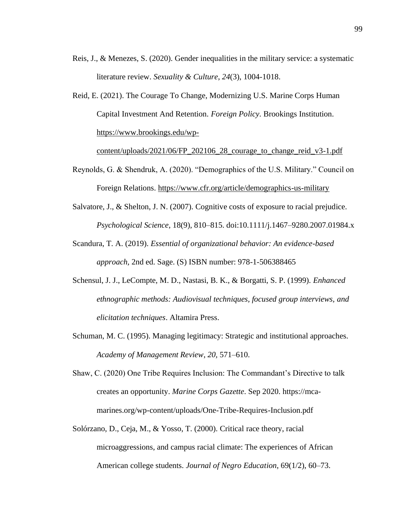- Reis, J., & Menezes, S. (2020). Gender inequalities in the military service: a systematic literature review. *Sexuality & Culture*, *24*(3), 1004-1018.
- Reid, E. (2021). The Courage To Change, Modernizing U.S. Marine Corps Human Capital Investment And Retention. *Foreign Policy*. Brookings Institution. [https://www.brookings.edu/wp-](https://www.brookings.edu/wp-content/uploads/2021/06/FP_202106_28_courage_to_change_reid_v3-1.pdf)

[content/uploads/2021/06/FP\\_202106\\_28\\_courage\\_to\\_change\\_reid\\_v3-1.pdf](https://www.brookings.edu/wp-content/uploads/2021/06/FP_202106_28_courage_to_change_reid_v3-1.pdf)

- Reynolds, G. & Shendruk, A. (2020). "Demographics of the U.S. Military." Council on Foreign Relations.<https://www.cfr.org/article/demographics-us-military>
- Salvatore, J., & Shelton, J. N. (2007). Cognitive costs of exposure to racial prejudice. *Psychological Science*, 18(9), 810–815. doi:10.1111/j.1467–9280.2007.01984.x
- Scandura, T. A. (2019). *Essential of organizational behavior: An evidence-based approach,* 2nd ed. Sage. (S) ISBN number: 978-1-506388465
- Schensul, J. J., LeCompte, M. D., Nastasi, B. K., & Borgatti, S. P. (1999). *Enhanced ethnographic methods: Audiovisual techniques, focused group interviews, and elicitation techniques*. Altamira Press.
- Schuman, M. C. (1995). Managing legitimacy: Strategic and institutional approaches. *Academy of Management Review*, *20,* 571–610.
- Shaw, C. (2020) One Tribe Requires Inclusion: The Commandant's Directive to talk creates an opportunity. *Marine Corps Gazette*. Sep 2020. https://mcamarines.org/wp-content/uploads/One-Tribe-Requires-Inclusion.pdf
- Solórzano, D., Ceja, M., & Yosso, T. (2000). Critical race theory, racial microaggressions, and campus racial climate: The experiences of African American college students. *Journal of Negro Education*, 69(1/2), 60–73.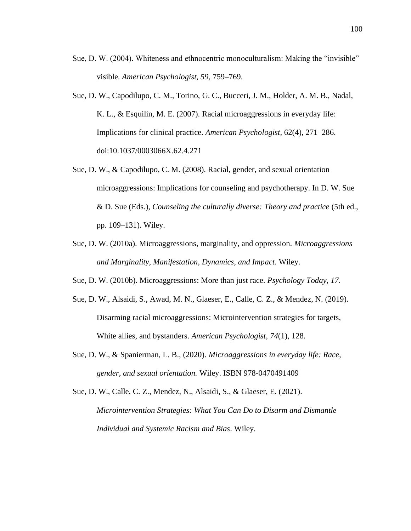- Sue, D. W. (2004). Whiteness and ethnocentric monoculturalism: Making the "invisible" visible. *American Psychologist, 59*, 759–769.
- Sue, D. W., Capodilupo, C. M., Torino, G. C., Bucceri, J. M., Holder, A. M. B., Nadal, K. L., & Esquilin, M. E. (2007). Racial microaggressions in everyday life: Implications for clinical practice. *American Psychologist*, 62(4), 271–286. doi:10.1037/0003066X.62.4.271
- Sue, D. W., & Capodilupo, C. M. (2008). Racial, gender, and sexual orientation microaggressions: Implications for counseling and psychotherapy. In D. W. Sue & D. Sue (Eds.), *Counseling the culturally diverse: Theory and practice* (5th ed., pp. 109–131). Wiley.
- Sue, D. W. (2010a). Microaggressions, marginality, and oppression. *Microaggressions and Marginality, Manifestation, Dynamics, and Impact.* Wiley.
- Sue, D. W. (2010b). Microaggressions: More than just race. *Psychology Today*, *17*.
- Sue, D. W., Alsaidi, S., Awad, M. N., Glaeser, E., Calle, C. Z., & Mendez, N. (2019). Disarming racial microaggressions: Microintervention strategies for targets, White allies, and bystanders. *American Psychologist*, *74*(1), 128.
- Sue, D. W., & Spanierman, L. B., (2020). *Microaggressions in everyday life: Race, gender, and sexual orientation.* Wiley. ISBN 978-0470491409
- Sue, D. W., Calle, C. Z., Mendez, N., Alsaidi, S., & Glaeser, E. (2021). *Microintervention Strategies: What You Can Do to Disarm and Dismantle Individual and Systemic Racism and Bias*. Wiley.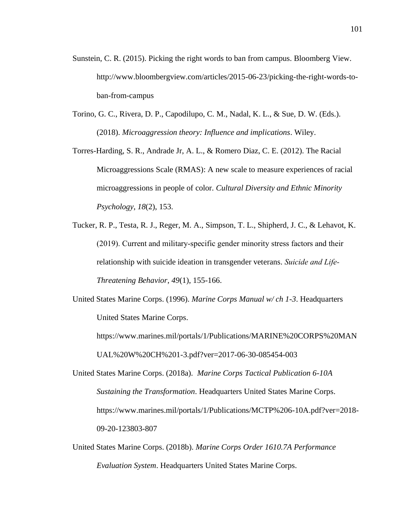- Sunstein, C. R. (2015). Picking the right words to ban from campus. Bloomberg View. [http://www.bloombergview.com/articles/2015-06-23/picking-the-right-words-to](http://www.bloombergview.com/articles/2015-06-23/picking-the-right-words-to-ban-from-campus)[ban-from-campus](http://www.bloombergview.com/articles/2015-06-23/picking-the-right-words-to-ban-from-campus)
- Torino, G. C., Rivera, D. P., Capodilupo, C. M., Nadal, K. L., & Sue, D. W. (Eds.). (2018). *Microaggression theory: Influence and implications*. Wiley.

Torres-Harding, S. R., Andrade Jr, A. L., & Romero Diaz, C. E. (2012). The Racial Microaggressions Scale (RMAS): A new scale to measure experiences of racial microaggressions in people of color. *Cultural Diversity and Ethnic Minority Psychology*, *18*(2), 153.

Tucker, R. P., Testa, R. J., Reger, M. A., Simpson, T. L., Shipherd, J. C., & Lehavot, K. (2019). Current and military‐specific gender minority stress factors and their relationship with suicide ideation in transgender veterans. *Suicide and Life‐ Threatening Behavior*, *49*(1), 155-166.

United States Marine Corps. (1996). *Marine Corps Manual w/ ch 1-3*. Headquarters United States Marine Corps.

https://www.marines.mil/portals/1/Publications/MARINE%20CORPS%20MAN UAL%20W%20CH%201-3.pdf?ver=2017-06-30-085454-003

- United States Marine Corps. (2018a). *Marine Corps Tactical Publication 6-10A Sustaining the Transformation*. Headquarters United States Marine Corps. https://www.marines.mil/portals/1/Publications/MCTP%206-10A.pdf?ver=2018- 09-20-123803-807
- United States Marine Corps. (2018b). *Marine Corps Order 1610.7A Performance Evaluation System*. Headquarters United States Marine Corps.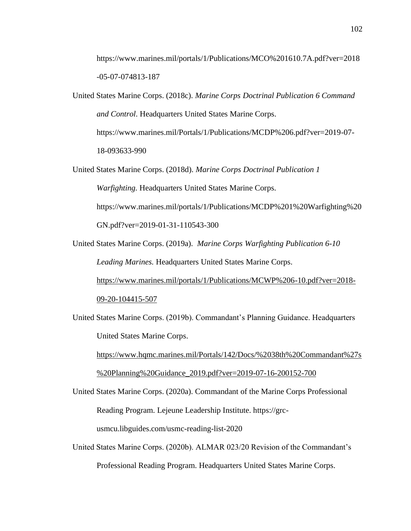https://www.marines.mil/portals/1/Publications/MCO%201610.7A.pdf?ver=2018 -05-07-074813-187

- United States Marine Corps. (2018c). *Marine Corps Doctrinal Publication 6 Command and Control*. Headquarters United States Marine Corps. https://www.marines.mil/Portals/1/Publications/MCDP%206.pdf?ver=2019-07- 18-093633-990
- United States Marine Corps. (2018d). *Marine Corps Doctrinal Publication 1 Warfighting.* Headquarters United States Marine Corps. https://www.marines.mil/portals/1/Publications/MCDP%201%20Warfighting%20 GN.pdf?ver=2019-01-31-110543-300
- United States Marine Corps. (2019a). *Marine Corps Warfighting Publication 6-10 Leading Marines.* Headquarters United States Marine Corps. [https://www.marines.mil/portals/1/Publications/MCWP%206-10.pdf?ver=2018-](https://www.marines.mil/portals/1/Publications/MCWP%206-10.pdf?ver=2018-09-20-104415-507)

[09-20-104415-507](https://www.marines.mil/portals/1/Publications/MCWP%206-10.pdf?ver=2018-09-20-104415-507)

United States Marine Corps. (2019b). Commandant's Planning Guidance. Headquarters United States Marine Corps.

[https://www.hqmc.marines.mil/Portals/142/Docs/%2038th%20Commandant%27s](https://www.hqmc.marines.mil/Portals/142/Docs/%2038th%20Commandant%27s%20Planning%20Guidance_2019.pdf?ver=2019-07-16-200152-700) [%20Planning%20Guidance\\_2019.pdf?ver=2019-07-16-200152-700](https://www.hqmc.marines.mil/Portals/142/Docs/%2038th%20Commandant%27s%20Planning%20Guidance_2019.pdf?ver=2019-07-16-200152-700)

- United States Marine Corps. (2020a). Commandant of the Marine Corps Professional Reading Program. Lejeune Leadership Institute. https://grcusmcu.libguides.com/usmc-reading-list-2020
- United States Marine Corps. (2020b). ALMAR 023/20 Revision of the Commandant's Professional Reading Program. Headquarters United States Marine Corps.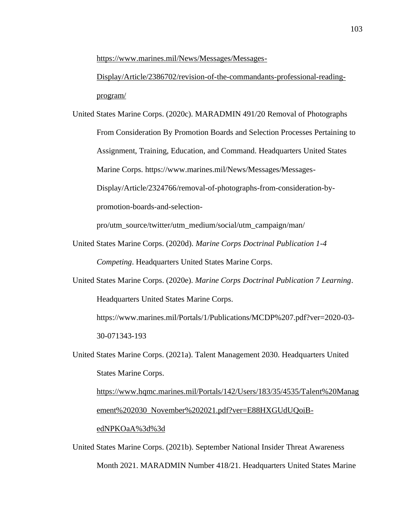[https://www.marines.mil/News/Messages/Messages-](https://www.marines.mil/News/Messages/Messages-Display/Article/2386702/revision-of-the-commandants-professional-reading-program/)

[Display/Article/2386702/revision-of-the-commandants-professional-reading](https://www.marines.mil/News/Messages/Messages-Display/Article/2386702/revision-of-the-commandants-professional-reading-program/)[program/](https://www.marines.mil/News/Messages/Messages-Display/Article/2386702/revision-of-the-commandants-professional-reading-program/)

United States Marine Corps. (2020c). MARADMIN 491/20 Removal of Photographs From Consideration By Promotion Boards and Selection Processes Pertaining to Assignment, Training, Education, and Command. Headquarters United States Marine Corps. [https://www.marines.mil/News/Messages/Messages-](https://www.marines.mil/News/Messages/Messages-Display/Article/2324766/removal-of-photographs-from-consideration-by-promotion-boards-and-selection-pro/utm_source/twitter/utm_medium/social/utm_campaign/man/)[Display/Article/2324766/removal-of-photographs-from-consideration-by](https://www.marines.mil/News/Messages/Messages-Display/Article/2324766/removal-of-photographs-from-consideration-by-promotion-boards-and-selection-pro/utm_source/twitter/utm_medium/social/utm_campaign/man/)[promotion-boards-and-selection-](https://www.marines.mil/News/Messages/Messages-Display/Article/2324766/removal-of-photographs-from-consideration-by-promotion-boards-and-selection-pro/utm_source/twitter/utm_medium/social/utm_campaign/man/)

[pro/utm\\_source/twitter/utm\\_medium/social/utm\\_campaign/man/](https://www.marines.mil/News/Messages/Messages-Display/Article/2324766/removal-of-photographs-from-consideration-by-promotion-boards-and-selection-pro/utm_source/twitter/utm_medium/social/utm_campaign/man/)

- United States Marine Corps. (2020d). *Marine Corps Doctrinal Publication 1-4 Competing*. Headquarters United States Marine Corps.
- United States Marine Corps. (2020e). *Marine Corps Doctrinal Publication 7 Learning*. Headquarters United States Marine Corps.

https://www.marines.mil/Portals/1/Publications/MCDP%207.pdf?ver=2020-03- 30-071343-193

United States Marine Corps. (2021a). Talent Management 2030. Headquarters United States Marine Corps.

[https://www.hqmc.marines.mil/Portals/142/Users/183/35/4535/Talent%20Manag](https://www.hqmc.marines.mil/Portals/142/Users/183/35/4535/Talent%20Management%202030_November%202021.pdf?ver=E88HXGUdUQoiB-edNPKOaA%3d%3d) [ement%202030\\_November%202021.pdf?ver=E88HXGUdUQoiB-](https://www.hqmc.marines.mil/Portals/142/Users/183/35/4535/Talent%20Management%202030_November%202021.pdf?ver=E88HXGUdUQoiB-edNPKOaA%3d%3d)

## [edNPKOaA%3d%3d](https://www.hqmc.marines.mil/Portals/142/Users/183/35/4535/Talent%20Management%202030_November%202021.pdf?ver=E88HXGUdUQoiB-edNPKOaA%3d%3d)

United States Marine Corps. (2021b). September National Insider Threat Awareness Month 2021. MARADMIN Number 418/21. Headquarters United States Marine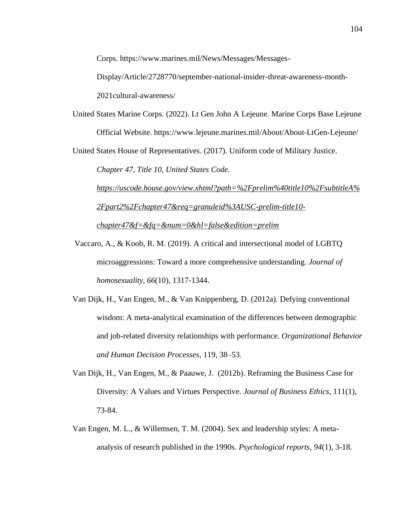Corps. https://www.marines.mil/News/Messages/Messages-

Display/Article/2728770/september-national-insider-threat-awareness-month-2021cultural-awareness/

United States Marine Corps. (2022). Lt Gen John A Lejeune. Marine Corps Base Lejeune Official Website. https://www.lejeune.marines.mil/About/About-LtGen-Lejeune/

United States House of Representatives. (2017). Uniform code of Military Justice.

*Chapter 47, Title 10, United States Code.* 

*[https://uscode.house.gov/view.xhtml?path=%2Fprelim%40title10%2FsubtitleA%](https://uscode.house.gov/view.xhtml?path=%2Fprelim%40title10%2FsubtitleA%2Fpart2%2Fchapter47&req=granuleid%3AUSC-prelim-title10-chapter47&f=&fq=&num=0&hl=false&edition=prelim) [2Fpart2%2Fchapter47&req=granuleid%3AUSC-prelim-title10](https://uscode.house.gov/view.xhtml?path=%2Fprelim%40title10%2FsubtitleA%2Fpart2%2Fchapter47&req=granuleid%3AUSC-prelim-title10-chapter47&f=&fq=&num=0&hl=false&edition=prelim) [chapter47&f=&fq=&num=0&hl=false&edition=prelim](https://uscode.house.gov/view.xhtml?path=%2Fprelim%40title10%2FsubtitleA%2Fpart2%2Fchapter47&req=granuleid%3AUSC-prelim-title10-chapter47&f=&fq=&num=0&hl=false&edition=prelim)*

Vaccaro, A., & Koob, R. M. (2019). A critical and intersectional model of LGBTQ microaggressions: Toward a more comprehensive understanding. *Journal of homosexuality*, *66*(10), 1317-1344.

- Van Dijk, H., Van Engen, M., & Van Knippenberg, D. (2012a). Defying conventional wisdom: A meta-analytical examination of the differences between demographic and job-related diversity relationships with performance. *Organizational Behavior and Human Decision Processes*, 119, 38–53.
- Van Dijk, H., Van Engen, M., & Paauwe, J. (2012b). Reframing the Business Case for Diversity: A Values and Virtues Perspective. *Journal of Business Ethics,* 111(1), 73-84.
- Van Engen, M. L., & Willemsen, T. M. (2004). Sex and leadership styles: A metaanalysis of research published in the 1990s. *Psychological reports*, *94*(1), 3-18.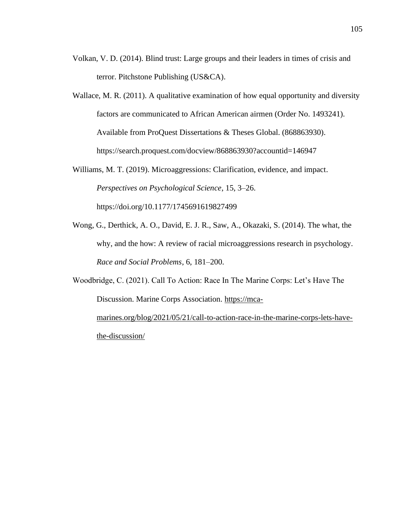- Volkan, V. D. (2014). Blind trust: Large groups and their leaders in times of crisis and terror. Pitchstone Publishing (US&CA).
- Wallace, M. R. (2011). A qualitative examination of how equal opportunity and diversity factors are communicated to African American airmen (Order No. 1493241). Available from ProQuest Dissertations & Theses Global. (868863930). <https://search.proquest.com/docview/868863930?accountid=146947>
- Williams, M. T. (2019). Microaggressions: Clarification, evidence, and impact. *Perspectives on Psychological Science*, 15, 3–26. [https://doi.org/10.1177/1745691619827499](https://doi.org/10.1177%2F1745691619827499)
- Wong, G., Derthick, A. O., David, E. J. R., Saw, A., Okazaki, S. (2014). The what, the why, and the how: A review of racial microaggressions research in psychology. *Race and Social Problems*, 6, 181–200.

Woodbridge, C. (2021). Call To Action: Race In The Marine Corps: Let's Have The Discussion. Marine Corps Association. [https://mca](https://mca-marines.org/blog/2021/05/21/call-to-action-race-in-the-marine-corps-lets-have-the-discussion/)[marines.org/blog/2021/05/21/call-to-action-race-in-the-marine-corps-lets-have](https://mca-marines.org/blog/2021/05/21/call-to-action-race-in-the-marine-corps-lets-have-the-discussion/)[the-discussion/](https://mca-marines.org/blog/2021/05/21/call-to-action-race-in-the-marine-corps-lets-have-the-discussion/)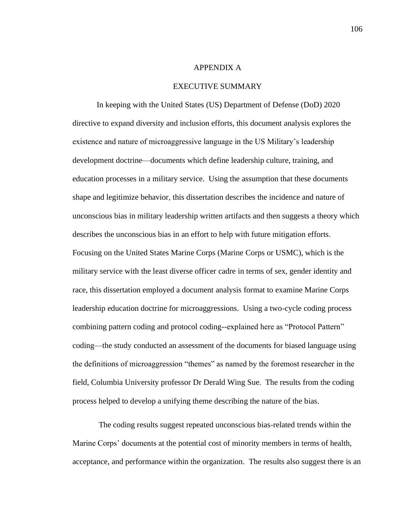#### APPENDIX A

### EXECUTIVE SUMMARY

In keeping with the United States (US) Department of Defense (DoD) 2020 directive to expand diversity and inclusion efforts, this document analysis explores the existence and nature of microaggressive language in the US Military's leadership development doctrine—documents which define leadership culture, training, and education processes in a military service. Using the assumption that these documents shape and legitimize behavior, this dissertation describes the incidence and nature of unconscious bias in military leadership written artifacts and then suggests a theory which describes the unconscious bias in an effort to help with future mitigation efforts. Focusing on the United States Marine Corps (Marine Corps or USMC), which is the military service with the least diverse officer cadre in terms of sex, gender identity and race, this dissertation employed a document analysis format to examine Marine Corps leadership education doctrine for microaggressions. Using a two-cycle coding process combining pattern coding and protocol coding--explained here as "Protocol Pattern" coding—the study conducted an assessment of the documents for biased language using the definitions of microaggression "themes" as named by the foremost researcher in the field, Columbia University professor Dr Derald Wing Sue. The results from the coding process helped to develop a unifying theme describing the nature of the bias.

The coding results suggest repeated unconscious bias-related trends within the Marine Corps' documents at the potential cost of minority members in terms of health, acceptance, and performance within the organization. The results also suggest there is an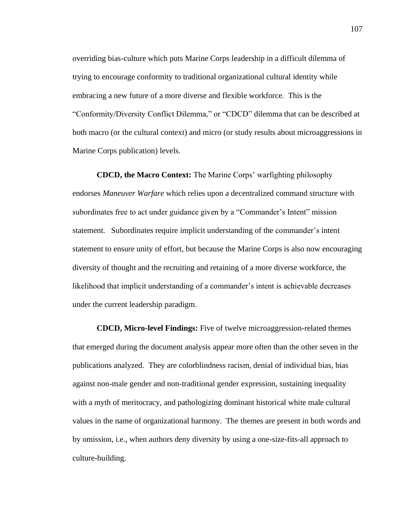overriding bias-culture which puts Marine Corps leadership in a difficult dilemma of trying to encourage conformity to traditional organizational cultural identity while embracing a new future of a more diverse and flexible workforce. This is the "Conformity/Diversity Conflict Dilemma," or "CDCD" dilemma that can be described at both macro (or the cultural context) and micro (or study results about microaggressions in Marine Corps publication) levels.

**CDCD, the Macro Context:** The Marine Corps' warfighting philosophy endorses *Maneuver Warfare* which relies upon a decentralized command structure with subordinates free to act under guidance given by a "Commander's Intent" mission statement. Subordinates require implicit understanding of the commander's intent statement to ensure unity of effort, but because the Marine Corps is also now encouraging diversity of thought and the recruiting and retaining of a more diverse workforce, the likelihood that implicit understanding of a commander's intent is achievable decreases under the current leadership paradigm.

**CDCD, Micro-level Findings:** Five of twelve microaggression-related themes that emerged during the document analysis appear more often than the other seven in the publications analyzed. They are colorblindness racism, denial of individual bias, bias against non-male gender and non-traditional gender expression, sustaining inequality with a myth of meritocracy, and pathologizing dominant historical white male cultural values in the name of organizational harmony. The themes are present in both words and by omission, i.e., when authors deny diversity by using a one-size-fits-all approach to culture-building.